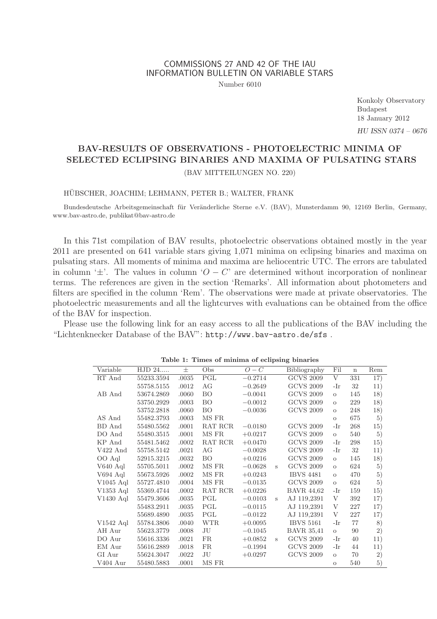# COMMISSIONS 27 AND 42 OF THE IAU INFORMATION BULLETIN ON VARIABLE STARS

Number 6010

Konkoly Observatory Budapest 18 January 2012 HU ISSN 0374 – 0676

# BAV-RESULTS OF OBSERVATIONS - PHOTOELECTRIC MINIMA OF SELECTED ECLIPSING BINARIES AND MAXIMA OF PULSATING STARS (BAV MITTEILUNGEN NO. 220)

### HÜBSCHER, JOACHIM; LEHMANN, PETER B.; WALTER, FRANK

Bundesdeutsche Arbeitsgemeinschaft für Veränderliche Sterne e.V. (BAV), Munsterdamm 90, 12169 Berlin, Germany, www.bav-astro.de, publikat@bav-astro.de

In this 71st compilation of BAV results, photoelectric observations obtained mostly in the year 2011 are presented on 641 variable stars giving 1,071 minima on eclipsing binaries and maxima on pulsating stars. All moments of minima and maxima are heliocentric UTC. The errors are tabulated in column ' $\pm$ '. The values in column ' $O - C$ ' are determined without incorporation of nonlinear terms. The references are given in the section 'Remarks'. All information about photometers and filters are specified in the column 'Rem'. The observations were made at private observatories. The photoelectric measurements and all the lightcurves with evaluations can be obtained from the office of the BAV for inspection.

Please use the following link for an easy access to all the publications of the BAV including the "Lichtenknecker Database of the BAV": http://www.bav-astro.de/sfs .

| Variable    | HJD 24     | $_{\pm}$ | Obs                     | $O - C$   |   | Bibliography      | Fil                | $\mathbf n$ | Rem |
|-------------|------------|----------|-------------------------|-----------|---|-------------------|--------------------|-------------|-----|
| RT And      | 55233.3594 | .0035    | $\overline{\text{PGL}}$ | $-0.2714$ |   | <b>GCVS 2009</b>  | $\overline{\rm v}$ | 331         | 17) |
|             | 55758.5155 | .0012    | AG                      | $-0.2649$ |   | <b>GCVS 2009</b>  | -Ir                | 32          | 11) |
| AB And      | 53674.2869 | .0060    | BO                      | $-0.0041$ |   | <b>GCVS 2009</b>  | $\circ$            | 145         | 18) |
|             | 53750.2929 | .0003    | BO                      | $-0.0012$ |   | <b>GCVS 2009</b>  | $\circ$            | 229         | 18) |
|             | 53752.2818 | .0060    | ВO                      | $-0.0036$ |   | <b>GCVS 2009</b>  | $\circ$            | 248         | 18) |
| AS And      | 55482.3793 | .0003    | MS FR                   |           |   |                   | $\circ$            | 675         | 5)  |
| BD And      | 55480.5562 | .0001    | RAT RCR                 | $-0.0180$ |   | <b>GCVS 2009</b>  | -Ir                | 268         | 15) |
| DO And      | 55480.3515 | .0001    | MS FR                   | $+0.0217$ |   | <b>GCVS 2009</b>  | $\circ$            | 540         | 5)  |
| KP And      | 55481.5462 | .0002    | RAT RCR                 | $+0.0470$ |   | <b>GCVS 2009</b>  | -Ir                | 298         | 15) |
| $V422$ And  | 55758.5142 | .0021    | AG                      | $-0.0028$ |   | <b>GCVS 2009</b>  | -Ir                | 32          | 11) |
| OO Aql      | 52915.3215 | .0032    | BO                      | $+0.0216$ |   | <b>GCVS 2009</b>  | $\circ$            | 145         | 18) |
| V640 Aql    | 55705.5011 | .0002    | MS FR                   | $-0.0628$ | Ś | <b>GCVS 2009</b>  | $\circ$            | 624         | 5)  |
| V694 Aql    | 55673.5926 | .0002    | MS FR                   | $+0.0243$ |   | <b>IBVS 4481</b>  | $\circ$            | 470         | 5)  |
| $V1045$ Aql | 55727.4810 | .0004    | MS FR                   | $-0.0135$ |   | <b>GCVS 2009</b>  | $\circ$            | 624         | 5)  |
| $V1353$ Aql | 55369.4744 | .0002    | RAT RCR                 | $+0.0226$ |   | <b>BAVR 44.62</b> | -Ir                | 159         | 15) |
| $V1430$ Aql | 55479.3606 | .0035    | PGL                     | $-0.0103$ | S | AJ 119,2391       | V                  | 392         | 17) |
|             | 55483.2911 | .0035    | PGL                     | $-0.0115$ |   | AJ 119,2391       | V                  | 227         | 17) |
|             | 55689.4890 | .0035    | PGL                     | $-0.0122$ |   | AJ 119,2391       | V                  | 227         | 17) |
| $V1542$ Aql | 55784.3806 | .0040    | <b>WTR</b>              | $+0.0095$ |   | <b>IBVS 5161</b>  | -Ir                | 77          | 8)  |
| AH Aur      | 55623.3779 | .0008    | JU                      | $-0.1045$ |   | <b>BAVR 35.41</b> | $\circ$            | 90          | 2)  |
| DO Aur      | 55616.3336 | .0021    | FR                      | $+0.0852$ | S | <b>GCVS 2009</b>  | -Ir                | 40          | 11) |
| EM Aur      | 55616.2889 | .0018    | <b>FR</b>               | $-0.1994$ |   | <b>GCVS 2009</b>  | -Ir                | 44          | 11) |
| GI Aur      | 55624.3047 | .0022    | JU                      | $+0.0297$ |   | <b>GCVS 2009</b>  | $\circ$            | 70          | 2)  |
| V404 Aur    | 55480.5883 | .0001    | MS FR                   |           |   |                   | $\circ$            | 540         | 5)  |

Table 1: Times of minima of eclipsing binaries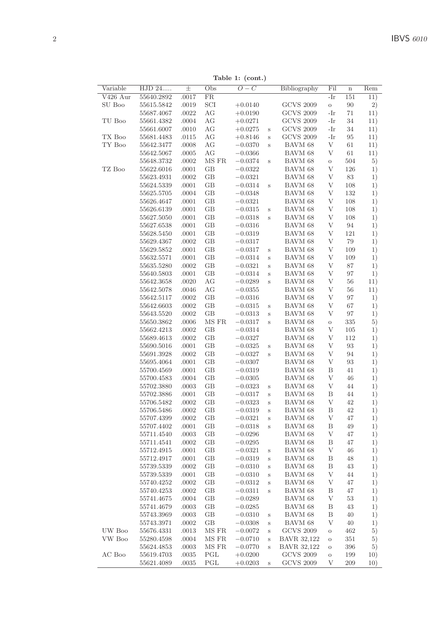| Variable | HJD 24     | 士     | Obs       | $O-C$     |         | Bibliography     | Fil     | $\mathbf n$ | $\bar{R}$ em |
|----------|------------|-------|-----------|-----------|---------|------------------|---------|-------------|--------------|
| V426 Aur | 55640.2892 | .0017 | <b>FR</b> |           |         |                  | -Ir     | 151         | 11)          |
| SU Boo   | 55615.5842 | .0019 | SCI       | $+0.0140$ |         | <b>GCVS 2009</b> | $\circ$ | 90          | 2)           |
|          | 55687.4067 | .0022 | AG        | $+0.0190$ |         | <b>GCVS 2009</b> | -Ir     | 71          | 11)          |
| TU Boo   | 55661.4382 | .0004 | AG        | $+0.0271$ |         | <b>GCVS 2009</b> | -Ir     | 34          | 11)          |
|          | 55661.6007 | .0010 | AG        | $+0.0275$ | $\rm s$ | <b>GCVS 2009</b> | -Ir     | 34          | 11)          |
| TX Boo   | 55681.4483 | .0115 | AG        | $+0.8146$ | $\,$ s  | <b>GCVS 2009</b> | -Ir     | 95          | 11)          |
| TY Boo   | 55642.3477 | .0008 | AG        | $-0.0370$ | S       | BAVM 68          | V       | 61          | 11)          |
|          | 55642.5067 | .0005 | AG        | $-0.0366$ |         | BAVM 68          | V       | 61          | 11)          |
|          | 55648.3732 | .0002 | MS FR     | $-0.0374$ | $\,$ s  | BAVM 68          | $\circ$ | 504         | 5)           |
| TZ Boo   | 55622.6016 | .0001 | GВ        | $-0.0322$ |         | BAVM 68          | V       | 126         | 1)           |
|          | 55623.4931 | .0002 | GB        | $-0.0321$ |         | BAVM 68          | V       | 83          | 1)           |
|          | 55624.5339 | .0001 | GB        | $-0.0314$ | $\,$ s  | BAVM 68          | V       | 108         | 1)           |
|          | 55625.5705 | .0004 | GB        | $-0.0348$ |         | BAVM 68          | V       | 132         | 1)           |
|          | 55626.4647 | .0001 | GB        | $-0.0321$ |         | BAVM 68          | V       | 108         | 1)           |
|          | 55626.6139 | .0001 | GB        | $-0.0315$ | $\rm s$ | BAVM 68          | V       | 108         | 1)           |
|          | 55627.5050 | .0001 | GB        | $-0.0318$ | S       | BAVM 68          | V       | 108         | 1)           |
|          | 55627.6538 | .0001 | GB        | $-0.0316$ |         | BAVM 68          | V       | 94          | 1)           |
|          | 55628.5450 | .0001 | GB        | $-0.0319$ |         | BAVM 68          | V       | 121         | 1)           |
|          | 55629.4367 | .0002 | GB        | $-0.0317$ |         | BAVM 68          | V       | 79          | 1)           |
|          | 55629.5852 | .0001 | GВ        | $-0.0317$ | S       | BAVM 68          | V       | 109         | 1)           |
|          | 55632.5571 | .0001 | GВ        | $-0.0314$ | $\rm s$ | BAVM 68          | V       | 109         | 1)           |
|          | 55635.5280 | .0002 | GB        | $-0.0321$ | S       | BAVM 68          | V       | 87          | 1)           |
|          | 55640.5803 | .0001 | GВ        | $-0.0314$ | S       | BAVM 68          | V       | 97          | 1)           |
|          | 55642.3658 | .0020 | АG        | $-0.0289$ | s       | BAVM 68          | V       | 56          | 11)          |
|          | 55642.5078 | .0046 | AG        | $-0.0355$ |         | BAVM 68          | V       | 56          | 11)          |
|          | 55642.5117 | .0002 | GВ        | $-0.0316$ |         | BAVM 68          | $\rm V$ | 97          | 1)           |
|          | 55642.6603 | .0002 | GВ        | $-0.0315$ | S       | BAVM 68          | V       | 67          | 1)           |
|          | 55643.5520 | .0002 | GB        | $-0.0313$ | S       | BAVM 68          | V       | 97          | 1)           |
|          | 55650.3862 | .0006 | MS FR     | $-0.0317$ | S       | BAVM 68          | $\circ$ | 335         | 5)           |
|          | 55662.4213 | .0002 | GВ        | $-0.0314$ |         | BAVM 68          | V       | 105         | 1)           |
|          | 55689.4613 | .0002 | GВ        | $-0.0327$ |         | BAVM 68          | $\rm V$ | 112         | 1)           |
|          | 55690.5016 | .0001 | GB        | $-0.0325$ | $\,$ s  | BAVM 68          | V       | 93          | 1)           |
|          | 55691.3928 | .0002 | GВ        | $-0.0327$ | S       | BAVM 68          | V       | 94          | 1)           |
|          | 55695.4064 | .0001 | GВ        | $-0.0307$ |         | BAVM 68          | V       | 93          | 1)           |
|          | 55700.4569 | .0001 | GB        | $-0.0319$ |         | BAVM 68          | B       | 41          | 1)           |
|          | 55700.4583 | .0004 | GB        | $-0.0305$ |         | BAVM 68          | V       | 46          | 1)           |
|          | 55702.3880 | .0003 | GВ        | $-0.0323$ | S       | BAVM 68          | $\rm V$ | 44          | 1)           |
|          | 55702.3886 | .0001 | GB        | $-0.0317$ | $\,$ s  | BAVM 68          | B       | 44          | 1)           |
|          | 55706.5482 | .0002 | GB        | $-0.0323$ | $\,$ s  | BAVM 68          | V       | 42          | 1)           |
|          | 55706.5486 | .0002 | GB        | $-0.0319$ | S       | BAVM 68          | B       | 42          | 1)           |
|          | 55707.4399 | .0002 | GB        | $-0.0321$ | S       | BAVM 68          | V       | 47          | 1)           |
|          | 55707.4402 | .0001 | GB        | $-0.0318$ | S       | BAVM 68          | B       | 49          | 1)           |
|          | 55711.4540 | .0003 | GВ        | $-0.0296$ |         | BAVM 68          | V       | 47          | 1)           |
|          | 55711.4541 | .0002 | GB        | $-0.0295$ |         | BAVM 68          | Β       | 47          | 1)           |
|          | 55712.4915 | .0001 | GB        | $-0.0321$ | $\rm s$ | BAVM 68          | V       | 46          | 1)           |
|          | 55712.4917 | .0001 | GB        | $-0.0319$ | S       | BAVM 68          | B       | 48          | 1)           |
|          | 55739.5339 | .0002 | GB        | $-0.0310$ | S       | BAVM 68          | B       | 43          | 1)           |
|          | 55739.5339 | .0001 | GB        | $-0.0310$ | $\rm s$ | BAVM 68          | V       | 44          | 1)           |
|          | 55740.4252 | .0002 | GB        | $-0.0312$ | $\rm s$ | BAVM 68          | V       | 47          | 1)           |
|          | 55740.4253 | .0002 | GВ        | $-0.0311$ | S       | BAVM 68          | Β       | 47          | 1)           |
|          | 55741.4675 | .0004 | GB        | $-0.0289$ |         | BAVM 68          | V       | 53          | 1)           |
|          | 55741.4679 | .0003 | GB        | $-0.0285$ |         | BAVM 68          | B       | 43          | 1)           |
|          | 55743.3969 | .0003 | GВ        | $-0.0310$ | S       | BAVM 68          | В       | 40          | 1)           |
|          | 55743.3971 | .0002 | GВ        | $-0.0308$ | $\rm s$ | BAVM 68          | V       | 40          | 1)           |
| UW Boo   | 55676.4331 | .0013 | MS FR     | $-0.0072$ | $\,$ s  | <b>GCVS 2009</b> | $\circ$ | 462         | 5)           |
| VW Boo   | 55280.4598 | .0004 | MS FR     | $-0.0710$ | S       | BAVR 32,122      | $\circ$ | 351         | 5)           |
|          | 55624.4853 | .0003 | MS FR     | $-0.0770$ | S       | BAVR 32,122      | $\circ$ | 396         | 5)           |
| AC Boo   | 55619.4703 | .0035 | PGL       | $+0.0200$ |         | <b>GCVS 2009</b> | $\circ$ | 199         | 10)          |
|          | 55621.4089 | .0035 | PGL       | $+0.0203$ | s       | <b>GCVS 2009</b> | V       | 209         | 10)          |

Table 1: (cont.)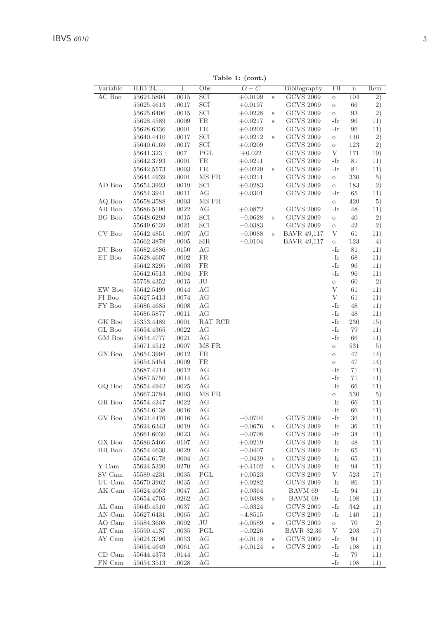| Variable | HJD 24     | $_{\pm}$ | $\cdots$<br>Obs | $\cdots$<br>$\overline{O-C}$ |        | Bibliography     | Fil        | $\mathbf n$ | Rem |
|----------|------------|----------|-----------------|------------------------------|--------|------------------|------------|-------------|-----|
| AC Boo   | 55624.5804 | .0015    | SCI             | $+0.0199$                    | $\,$ s | <b>GCVS 2009</b> | $\circ$    | 104         | 2)  |
|          | 55625.4613 | .0017    | SCI             | $+0.0197$                    |        | <b>GCVS 2009</b> | $\circ$    | 66          | 2)  |
|          | 55625.6406 | .0015    | SCI             | $+0.0228$                    | S      | <b>GCVS 2009</b> | $\circ$    | 93          | 2)  |
|          | 55628.4589 | .0009    | <b>FR</b>       | $+0.0217$                    | S      | <b>GCVS 2009</b> | -Ir        | 96          | 11) |
|          | 55628.6336 | .0001    | <b>FR</b>       | $+0.0202$                    |        | <b>GCVS 2009</b> | -Ir        | 96          | 11) |
|          | 55640.4410 | .0017    | SCI             | $+0.0212$                    | $\,$ s | <b>GCVS 2009</b> | $\circ$    | 110         | 2)  |
|          | 55640.6169 | .0017    | SCI             | $+0.0209$                    |        | <b>GCVS 2009</b> | $\circ$    | 123         | 2)  |
|          | 55641.323: | .007     | PGL             | $+0.022$                     |        | $\rm GCVS$ 2009  | V          | 171         | 10) |
|          | 55642.3793 | .0001    | <b>FR</b>       | $+0.0211$                    |        | <b>GCVS 2009</b> | -Ir        | 81          | 11) |
|          | 55642.5573 | .0003    | FR.             | $+0.0229$                    | S      | <b>GCVS 2009</b> | -Ir        | 81          | 11) |
|          | 55644.4939 | .0001    | MS FR           | $+0.0211$                    |        | <b>GCVS 2009</b> | $\circ$    | 330         | 5)  |
| AD Boo   | 55654.3923 | .0019    | SCI             | $+0.0283$                    |        | <b>GCVS 2009</b> | $\circ$    | 183         | 2)  |
|          | 55654.3941 | .0011    | AG              | $+0.0301$                    |        | <b>GCVS 2009</b> | -Ir        | 65          | 11) |
| AQ Boo   | 55658.3588 | .0003    | MS FR           |                              |        |                  | $\circ$    | 420         | 5)  |
| AR Boo   | 55686.5190 | .0022    | AG              | $+0.0872$                    |        | <b>GCVS 2009</b> | -Ir        | 48          | 11) |
| BG Boo   | 55648.6293 | .0015    | SCI             | $-0.0628$                    | S      | <b>GCVS 2009</b> | $\circ$    | 40          | 2)  |
|          | 55649.6139 | .0021    | SCI             | $-0.0383$                    |        | <b>GCVS 2009</b> | $\circ$    | 42          | 2)  |
|          |            |          |                 |                              |        |                  |            |             |     |
| CV Boo   | 55642.4851 | .0007    | AG              | $-0.0088$                    | S      | BAVR 49,117      | V          | 61          | 11) |
|          | 55662.3878 | .0005    | SIR             | $-0.0104$                    |        | BAVR 49,117      | $\circ$    | 123         | 4)  |
| DU Boo   | 55682.4886 | .0150    | AG              |                              |        |                  | -Ir        | 81          | 11) |
| ET Boo   | 55628.4607 | .0002    | <b>FR</b>       |                              |        |                  | -Ir        | 68          | 11) |
|          | 55642.3295 | .0003    | <b>FR</b>       |                              |        |                  | -Ir        | 96          | 11) |
|          | 55642.6513 | .0004    | FR.             |                              |        |                  | -Ir        | 96          | 11) |
|          | 55758.4352 | .0015    | JU              |                              |        |                  | $\circ$    | 60          | 2)  |
| EW Boo   | 55642.5499 | .0044    | AG              |                              |        |                  | V          | 61          | 11) |
| FI Boo   | 55627.5413 | .0074    | AG              |                              |        |                  | V          | 61          | 11) |
| FY Boo   | 55686.4685 | .0008    | AG              |                              |        |                  | $-Ir$      | 48          | 11) |
|          | 55686.5877 | .0011    | AG              |                              |        |                  | -Ir        | 48          | 11) |
| GK Boo   | 55353.4489 | .0001    | RAT RCR         |                              |        |                  | -Ir        | 230         | 15) |
| GL Boo   | 55654.4365 | .0022    | AG              |                              |        |                  | -Ir        | 79          | 11) |
| GM Boo   | 55654.4777 | .0021    | AG              |                              |        |                  | -Ir        | 66          | 11) |
|          | 55671.4512 | .0007    | MS FR           |                              |        |                  | $\circ$    | 531         | 5)  |
| GN Boo   | 55654.3994 | .0012    | <b>FR</b>       |                              |        |                  | $\circ$    | 47          | 14) |
|          | 55654.5454 | .0009    | <b>FR</b>       |                              |        |                  | $\circ$    | 47          | 14) |
|          | 55687.4214 | .0012    | AG              |                              |        |                  | -Ir        | 71          | 11) |
|          | 55687.5750 | .0014    | AG              |                              |        |                  | -Ir        | 71          | 11) |
| GQ Boo   | 55654.4942 | .0025    | AG              |                              |        |                  | -Ir        | 66          | 11) |
|          | 55667.3784 | .0003    | MS FR           |                              |        |                  | $\rm _O$   | 530         | 5)  |
| GR Boo   | 55654.4247 | .0022    | AG              |                              |        |                  | -Ir        | 66          | 11) |
|          | 55654.6138 | .0016    | AG              |                              |        |                  | -Ir        | 66          | 11) |
| GV Boo   | 55624.4476 | .0016    | AG              | $-0.0704$                    |        | <b>GCVS 2009</b> | -Ir        | 36          | 11) |
|          | 55624.6343 | .0019    | AG              | $-0.0676$                    | S      | <b>GCVS 2009</b> | -Ir        | 36          | 11) |
|          | 55661.6030 | .0023    | AG              | $-0.0708$                    |        | <b>GCVS 2009</b> | -Ir        | 34          | 11) |
| GX Boo   | 55686.5466 | .0107    | AG              | $+0.0219$                    |        | <b>GCVS 2009</b> | -Ir        | 48          | 11) |
| HR Boo   | 55654.4630 | .0029    | AG              | $-0.0407$                    |        | <b>GCVS 2009</b> | -Ir        | 65          | 11) |
|          | 55654.6178 | .0004    | AG              | $-0.0439$                    | S      | <b>GCVS 2009</b> | -Ir        | 65          | 11) |
| Y Cam    | 55624.5320 | .0270    | AG              | $+0.4102$                    | s      | <b>GCVS 2009</b> | -Ir        | 94          | 11) |
| SV Cam   | 55589.4231 | .0035    | PGL             | $+0.0523$                    |        | <b>GCVS 2009</b> | V          | 523         | 17) |
| UU Cam   | 55670.3962 | .0035    | AG              | $+0.0282$                    |        | <b>GCVS 2009</b> | -Ir        | 86          | 11) |
| AK Cam   | 55624.4063 | .0047    | AG              | $+0.0364$                    |        | BAVM 69          | -Ir        | 94          | 11) |
|          |            | .0262    | AG              |                              |        | BAVM 69          | -Ir        | 108         |     |
|          | 55654.4705 |          |                 | $+0.0388$                    | S      |                  |            |             | 11) |
| AL Cam   | 55645.4510 | .0037    | AG              | $-0.0324$                    |        | <b>GCVS 2009</b> | -Ir<br>-Ir | 342         | 11) |
| AN Cam   | 55627.6431 | .0065    | AG              | $-4.8515$                    |        | <b>GCVS 2009</b> |            | 140         | 11) |
| AO Cam   | 55584.3608 | .0002    | JU              | $+0.0589$                    | S      | <b>GCVS 2009</b> | $\circ$    | 70          | 2)  |
| AT Cam   | 55590.4187 | .0035    | PGL             | $-0.0226$                    |        | BAVR 32,36       | V          | 203         | 17) |
| AY Cam   | 55624.3796 | .0053    | AG              | $+0.0118$                    | $\,$ s | <b>GCVS 2009</b> | -Ir        | 94          | 11) |
|          | 55654.4649 | .0061    | AG              | $+0.0124$                    | S      | <b>GCVS 2009</b> | -Ir        | 108         | 11) |
| CD Cam   | 55644.4373 | .0144    | AG              |                              |        |                  | -Ir        | 79          | 11) |
| FN Cam   | 55654.3513 | .0028    | AG              |                              |        |                  | -Ir        | 108         | 11) |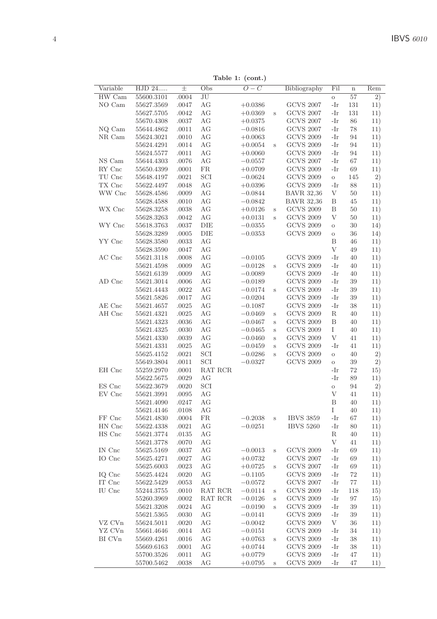Table 1: (cont.)

|          |                              |       |           | rable $\mathbf{r}$ : (com.) |             |                   |             |         |     |
|----------|------------------------------|-------|-----------|-----------------------------|-------------|-------------------|-------------|---------|-----|
| Variable | $\overline{\mathrm{HJD 24}}$ | 士     | Obs       | $\overline{O-C}$            |             | Bibliography      | Fil         | $\bf n$ | Rem |
| HW Cam   | 55600.3101                   | .0004 | JU        |                             |             |                   | $\circ$     | 57      | 2)  |
| NO Cam   | 55627.3569                   | .0047 | AG        | $+0.0386$                   |             | <b>GCVS 2007</b>  | -Ir         | 131     | 11) |
|          | 55627.5705                   | .0042 | AG        | $+0.0369$                   | $\rm s$     | <b>GCVS 2007</b>  | -Ir         | 131     | 11) |
|          | 55670.4308                   | .0037 | AG        | $+0.0375$                   |             | <b>GCVS 2007</b>  | -Ir         | 86      | 11) |
| NQ Cam   | 55644.4862                   | .0011 | AG        | $-0.0816$                   |             | <b>GCVS 2007</b>  | -Ir         | 78      | 11) |
| NR Cam   | 55624.3021                   | .0010 | AG        | $+0.0063$                   |             | <b>GCVS 2009</b>  | -Ir         | 94      | 11) |
|          | 55624.4291                   | .0014 | AG        | $+0.0054$                   | Ś           | <b>GCVS 2009</b>  | -Ir         | 94      | 11) |
|          | 55624.5577                   | .0011 | AG        | $+0.0060$                   |             | <b>GCVS 2009</b>  | -Ir         | 94      | 11) |
| NS Cam   | 55644.4303                   | .0076 | AG        | $-0.0557$                   |             | <b>GCVS 2007</b>  | -Ir         | 67      | 11) |
| RY Cnc   | 55650.4399                   | .0001 | <b>FR</b> | $+0.0709$                   |             | <b>GCVS 2009</b>  | -Ir         | 69      | 11) |
| TU Cnc   | 55648.4197                   | .0021 | SCI       | $-0.0624$                   |             | <b>GCVS 2009</b>  | $\rm{O}$    | 145     | 2)  |
| TX Cnc   | 55622.4497                   | .0048 | AG        | $+0.0396$                   |             | <b>GCVS 2009</b>  | -Ir         | 88      | 11) |
| WW Cnc   | 55628.4586                   | .0009 | AG        | $-0.0844$                   |             | <b>BAVR 32,36</b> | V           | 50      | 11) |
|          | 55628.4588                   | .0010 | AG        | $-0.0842$                   |             | <b>BAVR 32,36</b> | В           | 45      | 11) |
| WX Cnc   | 55628.3258                   | .0038 | AG        | $+0.0126$                   | S           | <b>GCVS 2009</b>  | Β           | 50      | 11) |
|          | 55628.3263                   | .0042 | AG        | $+0.0131$                   | S           | <b>GCVS 2009</b>  | V           | 50      | 11) |
| WY Cnc   | 55618.3763                   | .0037 | DIE       | $-0.0355$                   |             | <b>GCVS 2009</b>  | $\circ$     | 30      | 14) |
|          | 55628.3289                   | .0005 | DIE       | $-0.0353$                   |             | <b>GCVS 2009</b>  | $\circ$     | 36      | 14) |
| YY Cnc   | 55628.3580                   | .0033 | AG        |                             |             |                   | B           | 46      | 11) |
|          | $55628.3590\,$               | .0047 | AG        |                             |             |                   | V           | 49      | 11) |
| AC Cnc   | 55621.3118                   | .0008 | AG        | $-0.0105$                   |             | <b>GCVS 2009</b>  | -Ir         | 40      | 11) |
|          | 55621.4598                   | .0009 | AG        | $-0.0128$                   | $\,$ s      | <b>GCVS 2009</b>  | -Ir         | 40      | 11) |
|          | 55621.6139                   | .0009 | AG        | $-0.0089$                   |             | <b>GCVS 2009</b>  | -Ir         | 40      | 11) |
| AD Cnc   | 55621.3014                   | .0006 | AG        | $-0.0189$                   |             | <b>GCVS 2009</b>  | -Ir         | 39      | 11) |
|          | 55621.4443                   | .0022 | AG        | $-0.0174$                   | S           | <b>GCVS 2009</b>  | -Ir         | 39      | 11) |
|          | 55621.5826                   | .0017 | AG        | $-0.0204$                   |             | <b>GCVS 2009</b>  | -Ir         | 39      | 11) |
| AE Cnc   | 55621.4657                   | .0025 | AG        | $-0.1087$                   |             | <b>GCVS 2009</b>  | -Ir         | 38      | 11) |
| AH Cnc   | 55621.4321                   | .0025 | AG        | $-0.0469$                   | S           | <b>GCVS 2009</b>  | R           | 40      | 11) |
|          | 55621.4323                   | .0036 | AG        | $-0.0467$                   | S           | <b>GCVS 2009</b>  | B           | 40      | 11) |
|          | 55621.4325                   | .0030 | AG        | $-0.0465$                   | $\rm s$     | <b>GCVS 2009</b>  | Ι           | 40      | 11) |
|          | 55621.4330                   | .0039 | AG        | $-0.0460$                   | $\mathbf s$ | <b>GCVS 2009</b>  | $\mathbf V$ | 41      | 11) |
|          | 55621.4331                   | .0025 | AG        | $-0.0459$                   | S           | <b>GCVS 2009</b>  | -Ir         | 41      | 11) |
|          | 55625.4152                   | .0021 | SCI       | $-0.0286$                   | Ś           | <b>GCVS 2009</b>  | $\circ$     | 40      | 2)  |
|          | 55649.3804                   | .0011 | SCI       | $-0.0327$                   |             | <b>GCVS 2009</b>  | $\circ$     | 39      | 2)  |
| EH Cnc   | 55259.2970                   | .0001 | RAT RCR   |                             |             |                   | -Ir         | 72      | 15) |
|          | 55622.5675                   | .0029 | AG        |                             |             |                   | -Ir         | 89      | 11) |
| ES Cnc   | 55622.3679                   | .0020 | SCI       |                             |             |                   | $\circ$     | 94      | 2)  |
| EV Cnc   | 55621.3991                   | .0095 | AG        |                             |             |                   | V           | 41      | 11) |
|          | 55621.4090                   | .0247 | AG        |                             |             |                   | B           | 40      | 11) |
|          | 55621.4146                   | .0108 | AG        |                             |             |                   | Ι           | 40      | 11) |
| FF Cnc   | 55621.4830                   | .0004 | <b>FR</b> | $-0.2038$                   | $\rm s$     | <b>IBVS 3859</b>  | -Ir         | 67      | 11) |
| HN Cnc   | 55622.4338                   | .0021 | AG        | $-0.0251$                   |             | <b>IBVS 5260</b>  | -Ir         | 80      | 11) |
| HS Cnc   | 55621.3774                   | .0135 | AG        |                             |             |                   | R           | 40      | 11) |
|          | 55621.3778                   | .0070 | AG        |                             |             |                   | V           | 41      | 11) |
| IN Cnc   | 55625.5169                   | .0037 | AG        | $-0.0013$                   | S           | <b>GCVS 2009</b>  | -Ir         | 69      | 11) |
| IO Cnc   | 55625.4271                   | .0027 | AG        | $+0.0732$                   |             | <b>GCVS 2007</b>  | -Ir         | 69      | 11) |
|          | 55625.6003                   | .0023 | AG        | $+0.0725$                   | $\rm s$     | <b>GCVS 2007</b>  | -Ir         | 69      | 11) |
| IQ Cnc   | 55625.4424                   | .0020 | AG        | $-0.1105$                   |             | <b>GCVS 2009</b>  | -Ir         | 72      | 11) |
| IT Cnc   | 55622.5429                   | .0053 | AG        | $-0.0572$                   |             | <b>GCVS 2007</b>  | -Ir         | 77      | 11) |
| IU Cnc   | 55244.3755                   | .0010 | RAT RCR   | $-0.0114$                   | $\rm s$     | <b>GCVS 2009</b>  | -Ir         | 118     | 15) |
|          | 55260.3969                   | .0002 | RAT RCR   | $-0.0126$                   | S           | <b>GCVS 2009</b>  | -Ir         | 97      | 15) |
|          | $55621.3208\,$               | .0024 | AG        | $-0.0190$                   | $\mathbf s$ | <b>GCVS 2009</b>  | -Ir         | 39      | 11) |
|          | 55621.5365                   | .0030 | AG        | $-0.0141$                   |             | <b>GCVS 2009</b>  | -Ir         | 39      | 11) |
| VZ CVn   | 55624.5011                   | .0020 | AG        |                             |             | <b>GCVS 2009</b>  | V           | 36      |     |
| YZ CVn   | 55661.4646                   | .0014 | AG        | $-0.0042$                   |             | <b>GCVS 2009</b>  | -Ir         | 34      | 11) |
| BI CVn   |                              |       |           | $-0.0151$                   |             |                   |             |         | 11) |
|          | 55669.4261                   | .0016 | AG        | $+0.0763$                   | S           | <b>GCVS 2009</b>  | -Ir         | 38      | 11) |
|          | 55669.6163                   | .0001 | AG        | $+0.0744$                   |             | <b>GCVS 2009</b>  | -Ir<br>-Ir  | 38      | 11) |
|          | 55700.3526                   | .0011 | AG        | $+0.0779$                   |             | <b>GCVS 2009</b>  |             | 47      | 11) |
|          | 55700.5462                   | .0038 | AG        | $+0.0795$                   | $\,$ s      | <b>GCVS 2009</b>  | -Ir         | 47      | 11) |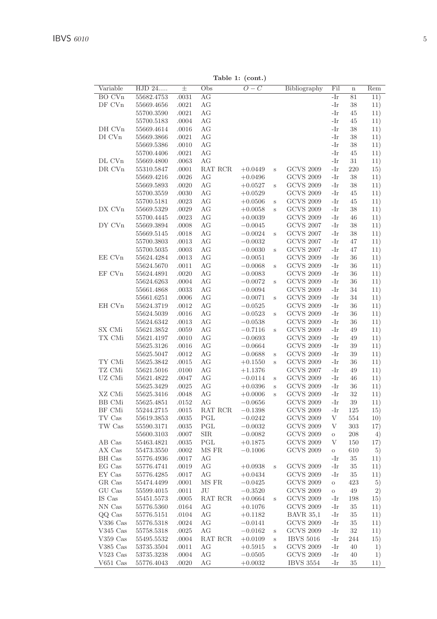Table 1: (cont.)

| Variable                 | HJD 24                   | $_{\pm}$       | Obs        | (<br>$\overline{O}-C$  |              | Bibliography                         | $\overline{\mathrm{Fil}}$ | $\overline{\mathbf{n}}$ | Rem        |
|--------------------------|--------------------------|----------------|------------|------------------------|--------------|--------------------------------------|---------------------------|-------------------------|------------|
| <b>BO CVn</b>            | 55682.4753               | .0031          | AG         |                        |              |                                      | -Ir                       | 81                      | 11)        |
| DF CVn                   | 55669.4656               | .0021          | AG         |                        |              |                                      | -Ir                       | 38                      | 11)        |
|                          | 55700.3590               | .0021          | AG         |                        |              |                                      | -Ir                       | 45                      | 11)        |
|                          | 55700.5183               | .0004          | AG         |                        |              |                                      | -Ir                       | 45                      | 11)        |
| DH CVn                   | 55669.4614               | .0016          | AG         |                        |              |                                      | -Ir                       | 38                      | 11)        |
| DI CVn                   | 55669.3866               | .0021          | AG         |                        |              |                                      | -Ir                       | 38                      | 11)        |
|                          | 55669.5386               | .0010          | AG         |                        |              |                                      | -Ir                       | 38                      | 11)        |
|                          | 55700.4406               | .0021          | AG         |                        |              |                                      | -Ir                       | 45                      | 11)        |
| DL CVn                   | 55669.4800               | .0063          | AG         |                        |              |                                      | -Ir                       | 31                      | 11)        |
| DR CVn                   | 55310.5847               | .0001          | RAT RCR    | $+0.0449$              | S            | <b>GCVS 2009</b>                     | -Ir                       | 220                     | 15)        |
|                          | 55669.4216               | .0026          | AG         | $+0.0496$              |              | <b>GCVS 2009</b>                     | -Ir                       | 38                      | 11)        |
|                          | 55669.5893               | .0020          | AG         | $+0.0527$              | S            | <b>GCVS 2009</b>                     | -Ir                       | 38                      | 11)        |
|                          | 55700.3559               | .0030          | AG         | $+0.0529$              |              | <b>GCVS 2009</b>                     | -Ir                       | 45                      | 11)        |
|                          | 55700.5181               | .0023          | AG         | $+0.0506$              | $\rm s$      | <b>GCVS 2009</b>                     | -Ir                       | 45                      | 11)        |
| DX CVn                   | 55669.5329               | .0029          | AG         | $+0.0058$              | S            | <b>GCVS 2009</b>                     | -Ir                       | 38                      | 11)        |
|                          | 55700.4445               | .0023          | AG         | $+0.0039$              |              | <b>GCVS 2009</b>                     | -Ir                       | 46                      | 11)        |
| DY CVn                   | 55669.3894               | .0008          | AG         | $-0.0045$              |              | <b>GCVS 2007</b>                     | -Ir                       | 38                      | 11)        |
|                          | 55669.5145               | .0018          | AG         | $-0.0024$              | S            | <b>GCVS 2007</b>                     | -Ir                       | 38                      | 11)        |
|                          | 55700.3803               | .0013          | AG         | $-0.0032$              |              | <b>GCVS 2007</b>                     | -Ir                       | 47                      | 11)        |
|                          | 55700.5035               | .0003          | AG         | $-0.0030$              | $\rm s$      | <b>GCVS 2007</b>                     | -Ir                       | 47                      | 11)        |
| EE CVn                   | 55624.4284               | .0013          | AG         | $-0.0051$              |              | <b>GCVS 2009</b>                     | -Ir                       | 36                      | 11)        |
| EF CVn                   | 55624.5670<br>55624.4891 | .0011<br>.0020 | AG<br>AG   | $-0.0068$<br>$-0.0083$ | $\rm s$      | <b>GCVS 2009</b><br><b>GCVS 2009</b> | -Ir<br>-Ir                | 36<br>36                | 11)        |
|                          | 55624.6263               | .0004          | AG         | $-0.0072$              |              | <b>GCVS 2009</b>                     | -Ir                       | 36                      | 11)<br>11) |
|                          | 55661.4868               | .0033          | AG         | $-0.0094$              | $\rm s$      | <b>GCVS 2009</b>                     | -Ir                       | 34                      | 11)        |
|                          | 55661.6251               | .0006          | AG         | $-0.0071$              | S            | <b>GCVS 2009</b>                     | -Ir                       | 34                      | 11)        |
| EH CVn                   | 55624.3719               | .0012          | AG         | $-0.0525$              |              | <b>GCVS 2009</b>                     | -Ir                       | 36                      | 11)        |
|                          | 55624.5039               | .0016          | AG         | $-0.0523$              | S            | <b>GCVS 2009</b>                     | -Ir                       | 36                      | 11)        |
|                          | 55624.6342               | .0013          | AG         | $-0.0538$              |              | <b>GCVS 2009</b>                     | -Ir                       | 36                      | 11)        |
| SX CMi                   | 55621.3852               | .0059          | AG         | $-0.7116$              | S            | <b>GCVS 2009</b>                     | -Ir                       | 49                      | 11)        |
| TX CMi                   | 55621.4197               | .0010          | AG         | $-0.0693$              |              | <b>GCVS 2009</b>                     | -Ir                       | 49                      | 11)        |
|                          | 55625.3126               | .0016          | AG         | $-0.0664$              |              | <b>GCVS 2009</b>                     | -Ir                       | 39                      | 11)        |
|                          | 55625.5047               | .0012          | AG         | $-0.0688$              | $\rm s$      | <b>GCVS 2009</b>                     | -Ir                       | 39                      | 11)        |
| TY CMi                   | 55625.3842               | .0015          | AG         | $+0.1550$              | S            | <b>GCVS 2009</b>                     | -Ir                       | 36                      | 11)        |
| TZ CMi                   | 55621.5016               | .0100          | AG         | $+1.1376$              |              | <b>GCVS 2007</b>                     | -Ir                       | 49                      | 11)        |
| UZ CMi                   | 55621.4822               | .0047          | AG         | $-0.0114$              | S            | <b>GCVS 2009</b>                     | -Ir                       | 46                      | 11)        |
|                          | 55625.3429               | .0025          | AG         | $+0.0396$              | S            | <b>GCVS 2009</b>                     | -Ir                       | 36                      | 11)        |
| XZ CMi                   | 55625.3416               | .0048          | AG         | $+0.0006$              | S            | <b>GCVS 2009</b>                     | -Ir                       | 32                      | 11)        |
| <b>BB</b> CMi            | 55625.4851               | .0152          | AG         | $-0.0656$              |              | <b>GCVS 2009</b>                     | -Ir                       | 39                      | 11)        |
| BF CMi                   | 55244.2715               | .0015          | RAT RCR    | $-0.1398$              |              | <b>GCVS 2009</b>                     | -Ir                       | 125                     | 15)        |
| TV Cas                   | 55619.3853               | .0035          | PGL        | $-0.0242$              |              | <b>GCVS 2009</b>                     | V                         | 554                     | 10)        |
| TW Cas                   | 55590.3171               | .0035          | PGL        | $-0.0032$              |              | <b>GCVS 2009</b>                     | V                         | 303                     | 17)        |
|                          | 55600.3103               | .0007          | <b>SIR</b> | $-0.0082$              |              | <b>GCVS 2009</b>                     | O                         | 208                     | 4)         |
| AB Cas                   | 55463.4821               | .0035          | PGL        | $+0.1875$              |              | <b>GCVS 2009</b>                     | V                         | 150                     | 17)        |
| AX Cas                   | $55473.3550\,$           | .0002          | MS FR      | $-0.1006$              |              | <b>GCVS 2009</b>                     | $\circ$                   | 610                     | 5)         |
| BH Cas                   | 55776.4936               | .0017          | AG         |                        |              |                                      | -Ir                       | 35                      | 11)        |
| EG Cas                   | 55776.4741               | .0019          | AG         | $+0.0938$              | S            | <b>GCVS 2009</b>                     | -Ir                       | 35                      | 11)        |
| EY Cas                   | 55776.4285               | .0017          | AG         | $+0.0434$              |              | <b>GCVS 2009</b>                     | -Ir                       | 35                      | 11)        |
| GR Cas                   | 55474.4499               | .0001          | MS FR      | $-0.0425$              |              | <b>GCVS 2009</b>                     | $\circ$                   | 423                     | 5)         |
| GU Cas                   | 55599.4015               | .0011          | JU         | $-0.3520$              |              | <b>GCVS 2009</b>                     | $\circ$                   | 49                      | 2)         |
| IS Cas                   | 55451.5573               | .0005          | RAT RCR    | $+0.0664$              | $\rm s$      | <b>GCVS 2009</b>                     | -Ir                       | 198                     | 15)        |
| NN Cas                   | 55776.5360               | .0164          | AG         | $+0.1076$              |              | <b>GCVS 2009</b>                     | -Ir                       | 35                      | 11)        |
| QQ Cas                   | 55776.5151               | .0104          | AG         | $+0.1182$              |              | <b>BAVR 35,1</b>                     | -Ir                       | 35                      | 11)        |
| V336 Cas                 | 55776.5318               | .0024          | AG<br>AG   | $-0.0141$              |              | <b>GCVS 2009</b>                     | -Ir                       | 35<br>32                | 11)        |
| $V345$ Cas<br>$V359$ Cas | 55758.5318<br>55495.5532 | .0025<br>.0004 | RAT RCR    | $-0.0162$<br>$+0.0109$ | $\rm s$      | <b>GCVS 2009</b><br><b>IBVS 5016</b> | -Ir<br>-Ir                | 244                     | 11)        |
| V385 Cas                 | 53735.3504               | .0011          | AG         | $+0.5915$              | $\rm s$<br>S | <b>GCVS 2009</b>                     | -Ir                       | 40                      | 15)<br>1)  |
| $V523$ Cas               | 53735.3238               | .0004          | АG         | $-0.0505$              |              | <b>GCVS 2009</b>                     | -Ir                       | 40                      | 1)         |
| V651 Cas                 | 55776.4043               | .0020          | АG         | $+0.0032$              |              | <b>IBVS 3554</b>                     | -Ir                       | 35                      | 11)        |
|                          |                          |                |            |                        |              |                                      |                           |                         |            |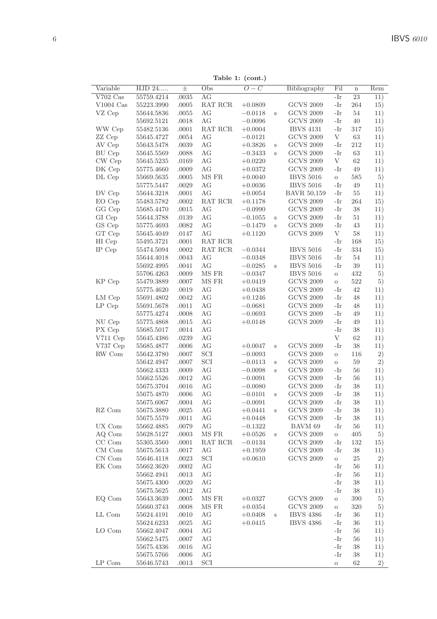Table 1: (cont.)

| $\bf n$<br>23<br>$V702$ Cas<br>55759.4214<br>.0035<br>AG<br>-Ir<br>11)<br>$V1004$ Cas<br>55223.3990<br>.0005<br>RAT RCR<br>$+0.0809$<br><b>GCVS 2009</b><br>-Ir<br>264<br>15)<br><b>GCVS 2009</b><br>-Ir<br>54<br>VZ Cep<br>55644.5836<br>.0055<br>АG<br>$-0.0118$<br>S<br>11)<br><b>GCVS 2009</b><br>.0018<br>АG<br>-Ir<br>40<br>11)<br>55692.5121<br>$-0.0096$<br>WW Cep<br>RAT RCR<br><b>IBVS 4131</b><br>-Ir<br>317<br>55482.5136<br>.0001<br>$+0.0004$<br>15)<br><b>GCVS 2009</b><br>V<br>63<br>ZZ Cep<br>55645.4727<br>.0054<br>АG<br>$-0.0121$<br>11)<br><b>GCVS 2009</b><br>-Ir<br>212<br>AV Cep<br>55643.5478<br>.0039<br>АG<br>11)<br>$+0.3826$<br>S<br><b>GCVS 2009</b><br>BU Cep<br>55645.5569<br>.0088<br>АG<br>-Ir<br>63<br>11)<br>$-0.3433$<br>S<br>CW Cep<br>AG<br><b>GCVS 2009</b><br>V<br>62<br>55645.5235<br>.0169<br>$+0.0220$<br>11)<br>DK Cep<br>55775.4660<br>.0009<br>АG<br>$+0.0372$<br><b>GCVS 2009</b><br>-Ir<br>49<br>11)<br>DL Cep<br>55669.5635<br>.0005<br>MS FR<br>$+0.0040$<br><b>IBVS 5016</b><br>585<br>5)<br>$\circ$<br>55775.5447<br>.0029<br>AG<br>$+0.0036$<br><b>IBVS 5016</b><br>-Ir<br>49<br>11)<br>DV Cep<br>55644.3218<br>.0001<br>АG<br><b>BAVR 50,159</b><br>-Ir<br>55<br>11)<br>$+0.0054$<br>EO Cep<br>55483.5782<br>.0002<br>RAT RCR<br><b>GCVS 2009</b><br>-Ir<br>264<br>15)<br>$+0.1178$<br>GG Cep<br><b>GCVS 2009</b><br>38<br>55685.4470<br>.0015<br>АG<br>-Ir<br>11)<br>$-0.0990$<br>GI Cep<br>AG<br><b>GCVS 2009</b><br>-Ir<br>51<br>55644.3788<br>.0139<br>11)<br>$-0.1055$<br>$\rm s$<br>GS Cep<br>55775.4693<br>.0082<br>AG<br><b>GCVS 2009</b><br>-Ir<br>43<br>$-0.1479$<br>11)<br>S<br>GT Cep<br>AG<br><b>GCVS 2009</b><br>V<br>58<br>55645.4049<br>.0147<br>$+0.1120$<br>11)<br>.0001<br>RAT RCR<br>-Ir<br>HI Cep<br>55495.3721<br>168<br>15)<br><b>IBVS 5016</b><br>IP Cep<br>55474.5094<br>.0002<br>RAT RCR<br>$-0.0344$<br>-Ir<br>334<br>15)<br><b>IBVS 5016</b><br>55644.4018<br>.0043<br>AG<br>$-0.0348$<br>-Ir<br>54<br>11)<br>.0041<br>AG<br><b>IBVS 5016</b><br>39<br>55692.4995<br>$-0.0285$<br>-Ir<br>11)<br>S<br>MS FR<br><b>IBVS 5016</b><br>432<br>.0009<br>$-0.0347$<br>5)<br>55706.4263<br>$\circ$<br><b>GCVS 2009</b><br>KP Cep<br>MS FR<br>522<br>5)<br>55479.3889<br>.0007<br>$+0.0419$<br>$\rm{O}$<br>AG<br><b>GCVS 2009</b><br>-Ir<br>42<br>55775.4620<br>.0019<br>11)<br>$+0.0438$<br>LM Cep<br>.0042<br>AG<br><b>GCVS 2009</b><br>-Ir<br>48<br>55691.4802<br>$+0.1246$<br>11)<br><b>GCVS 2009</b><br>LP Cep<br>55691.5678<br>.0011<br>AG<br>-Ir<br>48<br>$-0.0681$<br>11)<br>AG<br><b>GCVS 2009</b><br>-Ir<br>49<br>55775.4274<br>.0008<br>$-0.0693$<br>11)<br>NU Cep<br>.0015<br>AG<br><b>GCVS 2009</b><br>-Ir<br>49<br>55775.4868<br>$+0.0148$<br>11)<br>AG<br>38<br>PX Cep<br>55685.5017<br>.0014<br>-Ir<br>11)<br>V<br>V711 Cep<br>AG<br>62<br>55645.4386<br>.0239<br>11)<br>AG<br><b>GCVS 2009</b><br>-Ir<br>38<br>V737Cep<br>55685.4877<br>.0006<br>$+0.0047$<br>11)<br>S<br>SCI<br><b>GCVS 2009</b><br>RW Com<br>116<br>2)<br>55642.3780<br>.0007<br>$-0.0093$<br>$\circ$<br>SCI<br><b>GCVS 2009</b><br>59<br>2)<br>55642.4947<br>.0007<br>$-0.0113$<br>S<br>$\rm{O}$<br>AG<br><b>GCVS 2009</b><br>-Ir<br>56<br>55662.4333<br>.0009<br>$-0.0098$<br>11)<br>S<br><b>GCVS 2009</b><br>55662.5526<br>.0012<br>AG<br>-Ir<br>56<br>11)<br>$-0.0091$<br><b>GCVS 2009</b><br>55675.3704<br>.0016<br>АG<br>$-0.0080$<br>-Ir<br>38<br>11)<br>.0006<br>АG<br><b>GCVS 2009</b><br>-Ir<br>38<br>55675.4870<br>$-0.0101$<br>S<br>11)<br>55675.6067<br>.0004<br>АG<br><b>GCVS 2009</b><br>-Ir<br>38<br>$-0.0091$<br>11)<br><b>GCVS 2009</b><br>RZ Com<br>АG<br>-Ir<br>38<br>55675.3880<br>.0025<br>$+0.0441$<br>S<br>11)<br>АG<br><b>GCVS 2009</b><br>-Ir<br>38<br>55675.5579<br>.0011<br>$+0.0448$<br>11)<br>UX Com<br>.0079<br>АG<br>BAVM 69<br>-Ir<br>56<br>11)<br>55662.4885<br>$-0.1322$<br>AQ Com<br>MS FR<br><b>GCVS 2009</b><br>405<br>5)<br>55628.5127<br>.0003<br>$+0.0526$<br>$\rm{O}$<br>S<br>CC Com<br>RAT RCR<br><b>GCVS 2009</b><br>-Ir<br>132<br>.0001<br>15)<br>55305.3560<br>$-0.0134$<br><b>GCVS 2009</b><br>$CM$ Com<br>55675.5613<br>.0017<br>АG<br>-Ir<br>38<br>11)<br>$+0.1959$<br>$CN$ Com<br><b>GCVS 2009</b><br>55646.4118<br>.0023<br>SCI<br>$+0.0610$<br>$\circ$<br>25<br>2)<br>AG<br>EK Com<br>55662.3620<br>.0002<br>-Ir<br>56<br>11)<br>55662.4941<br>.0013<br>AG<br>-Ir<br>56<br>11)<br>AG<br>55675.4300<br>.0020<br>-Ir<br>38<br>11)<br>АG<br>-Ir<br>38<br>11)<br>55675.5625<br>.0012<br>MS FR<br><b>GCVS 2009</b><br>EQ Com<br>55643.3639<br>.0005<br>$+0.0327$<br>390<br>5)<br>$\rm{O}$<br>MS FR<br><b>GCVS 2009</b><br>320<br>55660.3743<br>.0008<br>$+0.0354$<br>5)<br>$\rm{O}$<br>LL Com<br>AG<br><b>IBVS 4386</b><br>-Ir<br>55624.4191<br>.0010<br>36<br>11)<br>$+0.0408$<br>$\,$ s<br>.0025<br>AG<br><b>IBVS 4386</b><br>-Ir<br>36<br>55624.6233<br>$+0.0415$<br>11)<br>LO Com<br>AG<br>-Ir<br>55662.4047<br>.0004<br>56<br>11)<br>AG<br>-Ir<br>55662.5475<br>.0007<br>56<br>11)<br>AG<br>-Ir<br>38<br>55675.4336<br>.0016<br>11)<br>55675.5766<br>.0006<br>АG<br>-Ir<br>38<br>11)<br>LP Com<br>SCI<br>55646.5743<br>.0013<br>62<br>2)<br>$\circ$ |          |        |       |     | rapie 1. (com.)  |              |     |              |
|----------------------------------------------------------------------------------------------------------------------------------------------------------------------------------------------------------------------------------------------------------------------------------------------------------------------------------------------------------------------------------------------------------------------------------------------------------------------------------------------------------------------------------------------------------------------------------------------------------------------------------------------------------------------------------------------------------------------------------------------------------------------------------------------------------------------------------------------------------------------------------------------------------------------------------------------------------------------------------------------------------------------------------------------------------------------------------------------------------------------------------------------------------------------------------------------------------------------------------------------------------------------------------------------------------------------------------------------------------------------------------------------------------------------------------------------------------------------------------------------------------------------------------------------------------------------------------------------------------------------------------------------------------------------------------------------------------------------------------------------------------------------------------------------------------------------------------------------------------------------------------------------------------------------------------------------------------------------------------------------------------------------------------------------------------------------------------------------------------------------------------------------------------------------------------------------------------------------------------------------------------------------------------------------------------------------------------------------------------------------------------------------------------------------------------------------------------------------------------------------------------------------------------------------------------------------------------------------------------------------------------------------------------------------------------------------------------------------------------------------------------------------------------------------------------------------------------------------------------------------------------------------------------------------------------------------------------------------------------------------------------------------------------------------------------------------------------------------------------------------------------------------------------------------------------------------------------------------------------------------------------------------------------------------------------------------------------------------------------------------------------------------------------------------------------------------------------------------------------------------------------------------------------------------------------------------------------------------------------------------------------------------------------------------------------------------------------------------------------------------------------------------------------------------------------------------------------------------------------------------------------------------------------------------------------------------------------------------------------------------------------------------------------------------------------------------------------------------------------------------------------------------------------------------------------------------------------------------------------------------------------------------------------------------------------------------------------------------------------------------------------------------------------------------------------------------------------------------------------------------------------------------------------------------------------------------------------------------------------------------------------------------------------------------------------------------------------------------------------------------------------------------------------------------------------------------------------------------------------------------------------------------------------------------------------------------------------------------------------------------------------------------------------------------------------------------------------------------------------------------------------------------------------------------|----------|--------|-------|-----|------------------|--------------|-----|--------------|
|                                                                                                                                                                                                                                                                                                                                                                                                                                                                                                                                                                                                                                                                                                                                                                                                                                                                                                                                                                                                                                                                                                                                                                                                                                                                                                                                                                                                                                                                                                                                                                                                                                                                                                                                                                                                                                                                                                                                                                                                                                                                                                                                                                                                                                                                                                                                                                                                                                                                                                                                                                                                                                                                                                                                                                                                                                                                                                                                                                                                                                                                                                                                                                                                                                                                                                                                                                                                                                                                                                                                                                                                                                                                                                                                                                                                                                                                                                                                                                                                                                                                                                                                                                                                                                                                                                                                                                                                                                                                                                                                                                                                                                                                                                                                                                                                                                                                                                                                                                                                                                                                                                                                                                      | Variable | HJD 24 | $\pm$ | Obs | $\overline{O-C}$ | Bibliography | Fil | $\bar{R}$ em |
|                                                                                                                                                                                                                                                                                                                                                                                                                                                                                                                                                                                                                                                                                                                                                                                                                                                                                                                                                                                                                                                                                                                                                                                                                                                                                                                                                                                                                                                                                                                                                                                                                                                                                                                                                                                                                                                                                                                                                                                                                                                                                                                                                                                                                                                                                                                                                                                                                                                                                                                                                                                                                                                                                                                                                                                                                                                                                                                                                                                                                                                                                                                                                                                                                                                                                                                                                                                                                                                                                                                                                                                                                                                                                                                                                                                                                                                                                                                                                                                                                                                                                                                                                                                                                                                                                                                                                                                                                                                                                                                                                                                                                                                                                                                                                                                                                                                                                                                                                                                                                                                                                                                                                                      |          |        |       |     |                  |              |     |              |
|                                                                                                                                                                                                                                                                                                                                                                                                                                                                                                                                                                                                                                                                                                                                                                                                                                                                                                                                                                                                                                                                                                                                                                                                                                                                                                                                                                                                                                                                                                                                                                                                                                                                                                                                                                                                                                                                                                                                                                                                                                                                                                                                                                                                                                                                                                                                                                                                                                                                                                                                                                                                                                                                                                                                                                                                                                                                                                                                                                                                                                                                                                                                                                                                                                                                                                                                                                                                                                                                                                                                                                                                                                                                                                                                                                                                                                                                                                                                                                                                                                                                                                                                                                                                                                                                                                                                                                                                                                                                                                                                                                                                                                                                                                                                                                                                                                                                                                                                                                                                                                                                                                                                                                      |          |        |       |     |                  |              |     |              |
|                                                                                                                                                                                                                                                                                                                                                                                                                                                                                                                                                                                                                                                                                                                                                                                                                                                                                                                                                                                                                                                                                                                                                                                                                                                                                                                                                                                                                                                                                                                                                                                                                                                                                                                                                                                                                                                                                                                                                                                                                                                                                                                                                                                                                                                                                                                                                                                                                                                                                                                                                                                                                                                                                                                                                                                                                                                                                                                                                                                                                                                                                                                                                                                                                                                                                                                                                                                                                                                                                                                                                                                                                                                                                                                                                                                                                                                                                                                                                                                                                                                                                                                                                                                                                                                                                                                                                                                                                                                                                                                                                                                                                                                                                                                                                                                                                                                                                                                                                                                                                                                                                                                                                                      |          |        |       |     |                  |              |     |              |
|                                                                                                                                                                                                                                                                                                                                                                                                                                                                                                                                                                                                                                                                                                                                                                                                                                                                                                                                                                                                                                                                                                                                                                                                                                                                                                                                                                                                                                                                                                                                                                                                                                                                                                                                                                                                                                                                                                                                                                                                                                                                                                                                                                                                                                                                                                                                                                                                                                                                                                                                                                                                                                                                                                                                                                                                                                                                                                                                                                                                                                                                                                                                                                                                                                                                                                                                                                                                                                                                                                                                                                                                                                                                                                                                                                                                                                                                                                                                                                                                                                                                                                                                                                                                                                                                                                                                                                                                                                                                                                                                                                                                                                                                                                                                                                                                                                                                                                                                                                                                                                                                                                                                                                      |          |        |       |     |                  |              |     |              |
|                                                                                                                                                                                                                                                                                                                                                                                                                                                                                                                                                                                                                                                                                                                                                                                                                                                                                                                                                                                                                                                                                                                                                                                                                                                                                                                                                                                                                                                                                                                                                                                                                                                                                                                                                                                                                                                                                                                                                                                                                                                                                                                                                                                                                                                                                                                                                                                                                                                                                                                                                                                                                                                                                                                                                                                                                                                                                                                                                                                                                                                                                                                                                                                                                                                                                                                                                                                                                                                                                                                                                                                                                                                                                                                                                                                                                                                                                                                                                                                                                                                                                                                                                                                                                                                                                                                                                                                                                                                                                                                                                                                                                                                                                                                                                                                                                                                                                                                                                                                                                                                                                                                                                                      |          |        |       |     |                  |              |     |              |
|                                                                                                                                                                                                                                                                                                                                                                                                                                                                                                                                                                                                                                                                                                                                                                                                                                                                                                                                                                                                                                                                                                                                                                                                                                                                                                                                                                                                                                                                                                                                                                                                                                                                                                                                                                                                                                                                                                                                                                                                                                                                                                                                                                                                                                                                                                                                                                                                                                                                                                                                                                                                                                                                                                                                                                                                                                                                                                                                                                                                                                                                                                                                                                                                                                                                                                                                                                                                                                                                                                                                                                                                                                                                                                                                                                                                                                                                                                                                                                                                                                                                                                                                                                                                                                                                                                                                                                                                                                                                                                                                                                                                                                                                                                                                                                                                                                                                                                                                                                                                                                                                                                                                                                      |          |        |       |     |                  |              |     |              |
|                                                                                                                                                                                                                                                                                                                                                                                                                                                                                                                                                                                                                                                                                                                                                                                                                                                                                                                                                                                                                                                                                                                                                                                                                                                                                                                                                                                                                                                                                                                                                                                                                                                                                                                                                                                                                                                                                                                                                                                                                                                                                                                                                                                                                                                                                                                                                                                                                                                                                                                                                                                                                                                                                                                                                                                                                                                                                                                                                                                                                                                                                                                                                                                                                                                                                                                                                                                                                                                                                                                                                                                                                                                                                                                                                                                                                                                                                                                                                                                                                                                                                                                                                                                                                                                                                                                                                                                                                                                                                                                                                                                                                                                                                                                                                                                                                                                                                                                                                                                                                                                                                                                                                                      |          |        |       |     |                  |              |     |              |
|                                                                                                                                                                                                                                                                                                                                                                                                                                                                                                                                                                                                                                                                                                                                                                                                                                                                                                                                                                                                                                                                                                                                                                                                                                                                                                                                                                                                                                                                                                                                                                                                                                                                                                                                                                                                                                                                                                                                                                                                                                                                                                                                                                                                                                                                                                                                                                                                                                                                                                                                                                                                                                                                                                                                                                                                                                                                                                                                                                                                                                                                                                                                                                                                                                                                                                                                                                                                                                                                                                                                                                                                                                                                                                                                                                                                                                                                                                                                                                                                                                                                                                                                                                                                                                                                                                                                                                                                                                                                                                                                                                                                                                                                                                                                                                                                                                                                                                                                                                                                                                                                                                                                                                      |          |        |       |     |                  |              |     |              |
|                                                                                                                                                                                                                                                                                                                                                                                                                                                                                                                                                                                                                                                                                                                                                                                                                                                                                                                                                                                                                                                                                                                                                                                                                                                                                                                                                                                                                                                                                                                                                                                                                                                                                                                                                                                                                                                                                                                                                                                                                                                                                                                                                                                                                                                                                                                                                                                                                                                                                                                                                                                                                                                                                                                                                                                                                                                                                                                                                                                                                                                                                                                                                                                                                                                                                                                                                                                                                                                                                                                                                                                                                                                                                                                                                                                                                                                                                                                                                                                                                                                                                                                                                                                                                                                                                                                                                                                                                                                                                                                                                                                                                                                                                                                                                                                                                                                                                                                                                                                                                                                                                                                                                                      |          |        |       |     |                  |              |     |              |
|                                                                                                                                                                                                                                                                                                                                                                                                                                                                                                                                                                                                                                                                                                                                                                                                                                                                                                                                                                                                                                                                                                                                                                                                                                                                                                                                                                                                                                                                                                                                                                                                                                                                                                                                                                                                                                                                                                                                                                                                                                                                                                                                                                                                                                                                                                                                                                                                                                                                                                                                                                                                                                                                                                                                                                                                                                                                                                                                                                                                                                                                                                                                                                                                                                                                                                                                                                                                                                                                                                                                                                                                                                                                                                                                                                                                                                                                                                                                                                                                                                                                                                                                                                                                                                                                                                                                                                                                                                                                                                                                                                                                                                                                                                                                                                                                                                                                                                                                                                                                                                                                                                                                                                      |          |        |       |     |                  |              |     |              |
|                                                                                                                                                                                                                                                                                                                                                                                                                                                                                                                                                                                                                                                                                                                                                                                                                                                                                                                                                                                                                                                                                                                                                                                                                                                                                                                                                                                                                                                                                                                                                                                                                                                                                                                                                                                                                                                                                                                                                                                                                                                                                                                                                                                                                                                                                                                                                                                                                                                                                                                                                                                                                                                                                                                                                                                                                                                                                                                                                                                                                                                                                                                                                                                                                                                                                                                                                                                                                                                                                                                                                                                                                                                                                                                                                                                                                                                                                                                                                                                                                                                                                                                                                                                                                                                                                                                                                                                                                                                                                                                                                                                                                                                                                                                                                                                                                                                                                                                                                                                                                                                                                                                                                                      |          |        |       |     |                  |              |     |              |
|                                                                                                                                                                                                                                                                                                                                                                                                                                                                                                                                                                                                                                                                                                                                                                                                                                                                                                                                                                                                                                                                                                                                                                                                                                                                                                                                                                                                                                                                                                                                                                                                                                                                                                                                                                                                                                                                                                                                                                                                                                                                                                                                                                                                                                                                                                                                                                                                                                                                                                                                                                                                                                                                                                                                                                                                                                                                                                                                                                                                                                                                                                                                                                                                                                                                                                                                                                                                                                                                                                                                                                                                                                                                                                                                                                                                                                                                                                                                                                                                                                                                                                                                                                                                                                                                                                                                                                                                                                                                                                                                                                                                                                                                                                                                                                                                                                                                                                                                                                                                                                                                                                                                                                      |          |        |       |     |                  |              |     |              |
|                                                                                                                                                                                                                                                                                                                                                                                                                                                                                                                                                                                                                                                                                                                                                                                                                                                                                                                                                                                                                                                                                                                                                                                                                                                                                                                                                                                                                                                                                                                                                                                                                                                                                                                                                                                                                                                                                                                                                                                                                                                                                                                                                                                                                                                                                                                                                                                                                                                                                                                                                                                                                                                                                                                                                                                                                                                                                                                                                                                                                                                                                                                                                                                                                                                                                                                                                                                                                                                                                                                                                                                                                                                                                                                                                                                                                                                                                                                                                                                                                                                                                                                                                                                                                                                                                                                                                                                                                                                                                                                                                                                                                                                                                                                                                                                                                                                                                                                                                                                                                                                                                                                                                                      |          |        |       |     |                  |              |     |              |
|                                                                                                                                                                                                                                                                                                                                                                                                                                                                                                                                                                                                                                                                                                                                                                                                                                                                                                                                                                                                                                                                                                                                                                                                                                                                                                                                                                                                                                                                                                                                                                                                                                                                                                                                                                                                                                                                                                                                                                                                                                                                                                                                                                                                                                                                                                                                                                                                                                                                                                                                                                                                                                                                                                                                                                                                                                                                                                                                                                                                                                                                                                                                                                                                                                                                                                                                                                                                                                                                                                                                                                                                                                                                                                                                                                                                                                                                                                                                                                                                                                                                                                                                                                                                                                                                                                                                                                                                                                                                                                                                                                                                                                                                                                                                                                                                                                                                                                                                                                                                                                                                                                                                                                      |          |        |       |     |                  |              |     |              |
|                                                                                                                                                                                                                                                                                                                                                                                                                                                                                                                                                                                                                                                                                                                                                                                                                                                                                                                                                                                                                                                                                                                                                                                                                                                                                                                                                                                                                                                                                                                                                                                                                                                                                                                                                                                                                                                                                                                                                                                                                                                                                                                                                                                                                                                                                                                                                                                                                                                                                                                                                                                                                                                                                                                                                                                                                                                                                                                                                                                                                                                                                                                                                                                                                                                                                                                                                                                                                                                                                                                                                                                                                                                                                                                                                                                                                                                                                                                                                                                                                                                                                                                                                                                                                                                                                                                                                                                                                                                                                                                                                                                                                                                                                                                                                                                                                                                                                                                                                                                                                                                                                                                                                                      |          |        |       |     |                  |              |     |              |
|                                                                                                                                                                                                                                                                                                                                                                                                                                                                                                                                                                                                                                                                                                                                                                                                                                                                                                                                                                                                                                                                                                                                                                                                                                                                                                                                                                                                                                                                                                                                                                                                                                                                                                                                                                                                                                                                                                                                                                                                                                                                                                                                                                                                                                                                                                                                                                                                                                                                                                                                                                                                                                                                                                                                                                                                                                                                                                                                                                                                                                                                                                                                                                                                                                                                                                                                                                                                                                                                                                                                                                                                                                                                                                                                                                                                                                                                                                                                                                                                                                                                                                                                                                                                                                                                                                                                                                                                                                                                                                                                                                                                                                                                                                                                                                                                                                                                                                                                                                                                                                                                                                                                                                      |          |        |       |     |                  |              |     |              |
|                                                                                                                                                                                                                                                                                                                                                                                                                                                                                                                                                                                                                                                                                                                                                                                                                                                                                                                                                                                                                                                                                                                                                                                                                                                                                                                                                                                                                                                                                                                                                                                                                                                                                                                                                                                                                                                                                                                                                                                                                                                                                                                                                                                                                                                                                                                                                                                                                                                                                                                                                                                                                                                                                                                                                                                                                                                                                                                                                                                                                                                                                                                                                                                                                                                                                                                                                                                                                                                                                                                                                                                                                                                                                                                                                                                                                                                                                                                                                                                                                                                                                                                                                                                                                                                                                                                                                                                                                                                                                                                                                                                                                                                                                                                                                                                                                                                                                                                                                                                                                                                                                                                                                                      |          |        |       |     |                  |              |     |              |
|                                                                                                                                                                                                                                                                                                                                                                                                                                                                                                                                                                                                                                                                                                                                                                                                                                                                                                                                                                                                                                                                                                                                                                                                                                                                                                                                                                                                                                                                                                                                                                                                                                                                                                                                                                                                                                                                                                                                                                                                                                                                                                                                                                                                                                                                                                                                                                                                                                                                                                                                                                                                                                                                                                                                                                                                                                                                                                                                                                                                                                                                                                                                                                                                                                                                                                                                                                                                                                                                                                                                                                                                                                                                                                                                                                                                                                                                                                                                                                                                                                                                                                                                                                                                                                                                                                                                                                                                                                                                                                                                                                                                                                                                                                                                                                                                                                                                                                                                                                                                                                                                                                                                                                      |          |        |       |     |                  |              |     |              |
|                                                                                                                                                                                                                                                                                                                                                                                                                                                                                                                                                                                                                                                                                                                                                                                                                                                                                                                                                                                                                                                                                                                                                                                                                                                                                                                                                                                                                                                                                                                                                                                                                                                                                                                                                                                                                                                                                                                                                                                                                                                                                                                                                                                                                                                                                                                                                                                                                                                                                                                                                                                                                                                                                                                                                                                                                                                                                                                                                                                                                                                                                                                                                                                                                                                                                                                                                                                                                                                                                                                                                                                                                                                                                                                                                                                                                                                                                                                                                                                                                                                                                                                                                                                                                                                                                                                                                                                                                                                                                                                                                                                                                                                                                                                                                                                                                                                                                                                                                                                                                                                                                                                                                                      |          |        |       |     |                  |              |     |              |
|                                                                                                                                                                                                                                                                                                                                                                                                                                                                                                                                                                                                                                                                                                                                                                                                                                                                                                                                                                                                                                                                                                                                                                                                                                                                                                                                                                                                                                                                                                                                                                                                                                                                                                                                                                                                                                                                                                                                                                                                                                                                                                                                                                                                                                                                                                                                                                                                                                                                                                                                                                                                                                                                                                                                                                                                                                                                                                                                                                                                                                                                                                                                                                                                                                                                                                                                                                                                                                                                                                                                                                                                                                                                                                                                                                                                                                                                                                                                                                                                                                                                                                                                                                                                                                                                                                                                                                                                                                                                                                                                                                                                                                                                                                                                                                                                                                                                                                                                                                                                                                                                                                                                                                      |          |        |       |     |                  |              |     |              |
|                                                                                                                                                                                                                                                                                                                                                                                                                                                                                                                                                                                                                                                                                                                                                                                                                                                                                                                                                                                                                                                                                                                                                                                                                                                                                                                                                                                                                                                                                                                                                                                                                                                                                                                                                                                                                                                                                                                                                                                                                                                                                                                                                                                                                                                                                                                                                                                                                                                                                                                                                                                                                                                                                                                                                                                                                                                                                                                                                                                                                                                                                                                                                                                                                                                                                                                                                                                                                                                                                                                                                                                                                                                                                                                                                                                                                                                                                                                                                                                                                                                                                                                                                                                                                                                                                                                                                                                                                                                                                                                                                                                                                                                                                                                                                                                                                                                                                                                                                                                                                                                                                                                                                                      |          |        |       |     |                  |              |     |              |
|                                                                                                                                                                                                                                                                                                                                                                                                                                                                                                                                                                                                                                                                                                                                                                                                                                                                                                                                                                                                                                                                                                                                                                                                                                                                                                                                                                                                                                                                                                                                                                                                                                                                                                                                                                                                                                                                                                                                                                                                                                                                                                                                                                                                                                                                                                                                                                                                                                                                                                                                                                                                                                                                                                                                                                                                                                                                                                                                                                                                                                                                                                                                                                                                                                                                                                                                                                                                                                                                                                                                                                                                                                                                                                                                                                                                                                                                                                                                                                                                                                                                                                                                                                                                                                                                                                                                                                                                                                                                                                                                                                                                                                                                                                                                                                                                                                                                                                                                                                                                                                                                                                                                                                      |          |        |       |     |                  |              |     |              |
|                                                                                                                                                                                                                                                                                                                                                                                                                                                                                                                                                                                                                                                                                                                                                                                                                                                                                                                                                                                                                                                                                                                                                                                                                                                                                                                                                                                                                                                                                                                                                                                                                                                                                                                                                                                                                                                                                                                                                                                                                                                                                                                                                                                                                                                                                                                                                                                                                                                                                                                                                                                                                                                                                                                                                                                                                                                                                                                                                                                                                                                                                                                                                                                                                                                                                                                                                                                                                                                                                                                                                                                                                                                                                                                                                                                                                                                                                                                                                                                                                                                                                                                                                                                                                                                                                                                                                                                                                                                                                                                                                                                                                                                                                                                                                                                                                                                                                                                                                                                                                                                                                                                                                                      |          |        |       |     |                  |              |     |              |
|                                                                                                                                                                                                                                                                                                                                                                                                                                                                                                                                                                                                                                                                                                                                                                                                                                                                                                                                                                                                                                                                                                                                                                                                                                                                                                                                                                                                                                                                                                                                                                                                                                                                                                                                                                                                                                                                                                                                                                                                                                                                                                                                                                                                                                                                                                                                                                                                                                                                                                                                                                                                                                                                                                                                                                                                                                                                                                                                                                                                                                                                                                                                                                                                                                                                                                                                                                                                                                                                                                                                                                                                                                                                                                                                                                                                                                                                                                                                                                                                                                                                                                                                                                                                                                                                                                                                                                                                                                                                                                                                                                                                                                                                                                                                                                                                                                                                                                                                                                                                                                                                                                                                                                      |          |        |       |     |                  |              |     |              |
|                                                                                                                                                                                                                                                                                                                                                                                                                                                                                                                                                                                                                                                                                                                                                                                                                                                                                                                                                                                                                                                                                                                                                                                                                                                                                                                                                                                                                                                                                                                                                                                                                                                                                                                                                                                                                                                                                                                                                                                                                                                                                                                                                                                                                                                                                                                                                                                                                                                                                                                                                                                                                                                                                                                                                                                                                                                                                                                                                                                                                                                                                                                                                                                                                                                                                                                                                                                                                                                                                                                                                                                                                                                                                                                                                                                                                                                                                                                                                                                                                                                                                                                                                                                                                                                                                                                                                                                                                                                                                                                                                                                                                                                                                                                                                                                                                                                                                                                                                                                                                                                                                                                                                                      |          |        |       |     |                  |              |     |              |
|                                                                                                                                                                                                                                                                                                                                                                                                                                                                                                                                                                                                                                                                                                                                                                                                                                                                                                                                                                                                                                                                                                                                                                                                                                                                                                                                                                                                                                                                                                                                                                                                                                                                                                                                                                                                                                                                                                                                                                                                                                                                                                                                                                                                                                                                                                                                                                                                                                                                                                                                                                                                                                                                                                                                                                                                                                                                                                                                                                                                                                                                                                                                                                                                                                                                                                                                                                                                                                                                                                                                                                                                                                                                                                                                                                                                                                                                                                                                                                                                                                                                                                                                                                                                                                                                                                                                                                                                                                                                                                                                                                                                                                                                                                                                                                                                                                                                                                                                                                                                                                                                                                                                                                      |          |        |       |     |                  |              |     |              |
|                                                                                                                                                                                                                                                                                                                                                                                                                                                                                                                                                                                                                                                                                                                                                                                                                                                                                                                                                                                                                                                                                                                                                                                                                                                                                                                                                                                                                                                                                                                                                                                                                                                                                                                                                                                                                                                                                                                                                                                                                                                                                                                                                                                                                                                                                                                                                                                                                                                                                                                                                                                                                                                                                                                                                                                                                                                                                                                                                                                                                                                                                                                                                                                                                                                                                                                                                                                                                                                                                                                                                                                                                                                                                                                                                                                                                                                                                                                                                                                                                                                                                                                                                                                                                                                                                                                                                                                                                                                                                                                                                                                                                                                                                                                                                                                                                                                                                                                                                                                                                                                                                                                                                                      |          |        |       |     |                  |              |     |              |
|                                                                                                                                                                                                                                                                                                                                                                                                                                                                                                                                                                                                                                                                                                                                                                                                                                                                                                                                                                                                                                                                                                                                                                                                                                                                                                                                                                                                                                                                                                                                                                                                                                                                                                                                                                                                                                                                                                                                                                                                                                                                                                                                                                                                                                                                                                                                                                                                                                                                                                                                                                                                                                                                                                                                                                                                                                                                                                                                                                                                                                                                                                                                                                                                                                                                                                                                                                                                                                                                                                                                                                                                                                                                                                                                                                                                                                                                                                                                                                                                                                                                                                                                                                                                                                                                                                                                                                                                                                                                                                                                                                                                                                                                                                                                                                                                                                                                                                                                                                                                                                                                                                                                                                      |          |        |       |     |                  |              |     |              |
|                                                                                                                                                                                                                                                                                                                                                                                                                                                                                                                                                                                                                                                                                                                                                                                                                                                                                                                                                                                                                                                                                                                                                                                                                                                                                                                                                                                                                                                                                                                                                                                                                                                                                                                                                                                                                                                                                                                                                                                                                                                                                                                                                                                                                                                                                                                                                                                                                                                                                                                                                                                                                                                                                                                                                                                                                                                                                                                                                                                                                                                                                                                                                                                                                                                                                                                                                                                                                                                                                                                                                                                                                                                                                                                                                                                                                                                                                                                                                                                                                                                                                                                                                                                                                                                                                                                                                                                                                                                                                                                                                                                                                                                                                                                                                                                                                                                                                                                                                                                                                                                                                                                                                                      |          |        |       |     |                  |              |     |              |
|                                                                                                                                                                                                                                                                                                                                                                                                                                                                                                                                                                                                                                                                                                                                                                                                                                                                                                                                                                                                                                                                                                                                                                                                                                                                                                                                                                                                                                                                                                                                                                                                                                                                                                                                                                                                                                                                                                                                                                                                                                                                                                                                                                                                                                                                                                                                                                                                                                                                                                                                                                                                                                                                                                                                                                                                                                                                                                                                                                                                                                                                                                                                                                                                                                                                                                                                                                                                                                                                                                                                                                                                                                                                                                                                                                                                                                                                                                                                                                                                                                                                                                                                                                                                                                                                                                                                                                                                                                                                                                                                                                                                                                                                                                                                                                                                                                                                                                                                                                                                                                                                                                                                                                      |          |        |       |     |                  |              |     |              |
|                                                                                                                                                                                                                                                                                                                                                                                                                                                                                                                                                                                                                                                                                                                                                                                                                                                                                                                                                                                                                                                                                                                                                                                                                                                                                                                                                                                                                                                                                                                                                                                                                                                                                                                                                                                                                                                                                                                                                                                                                                                                                                                                                                                                                                                                                                                                                                                                                                                                                                                                                                                                                                                                                                                                                                                                                                                                                                                                                                                                                                                                                                                                                                                                                                                                                                                                                                                                                                                                                                                                                                                                                                                                                                                                                                                                                                                                                                                                                                                                                                                                                                                                                                                                                                                                                                                                                                                                                                                                                                                                                                                                                                                                                                                                                                                                                                                                                                                                                                                                                                                                                                                                                                      |          |        |       |     |                  |              |     |              |
|                                                                                                                                                                                                                                                                                                                                                                                                                                                                                                                                                                                                                                                                                                                                                                                                                                                                                                                                                                                                                                                                                                                                                                                                                                                                                                                                                                                                                                                                                                                                                                                                                                                                                                                                                                                                                                                                                                                                                                                                                                                                                                                                                                                                                                                                                                                                                                                                                                                                                                                                                                                                                                                                                                                                                                                                                                                                                                                                                                                                                                                                                                                                                                                                                                                                                                                                                                                                                                                                                                                                                                                                                                                                                                                                                                                                                                                                                                                                                                                                                                                                                                                                                                                                                                                                                                                                                                                                                                                                                                                                                                                                                                                                                                                                                                                                                                                                                                                                                                                                                                                                                                                                                                      |          |        |       |     |                  |              |     |              |
|                                                                                                                                                                                                                                                                                                                                                                                                                                                                                                                                                                                                                                                                                                                                                                                                                                                                                                                                                                                                                                                                                                                                                                                                                                                                                                                                                                                                                                                                                                                                                                                                                                                                                                                                                                                                                                                                                                                                                                                                                                                                                                                                                                                                                                                                                                                                                                                                                                                                                                                                                                                                                                                                                                                                                                                                                                                                                                                                                                                                                                                                                                                                                                                                                                                                                                                                                                                                                                                                                                                                                                                                                                                                                                                                                                                                                                                                                                                                                                                                                                                                                                                                                                                                                                                                                                                                                                                                                                                                                                                                                                                                                                                                                                                                                                                                                                                                                                                                                                                                                                                                                                                                                                      |          |        |       |     |                  |              |     |              |
|                                                                                                                                                                                                                                                                                                                                                                                                                                                                                                                                                                                                                                                                                                                                                                                                                                                                                                                                                                                                                                                                                                                                                                                                                                                                                                                                                                                                                                                                                                                                                                                                                                                                                                                                                                                                                                                                                                                                                                                                                                                                                                                                                                                                                                                                                                                                                                                                                                                                                                                                                                                                                                                                                                                                                                                                                                                                                                                                                                                                                                                                                                                                                                                                                                                                                                                                                                                                                                                                                                                                                                                                                                                                                                                                                                                                                                                                                                                                                                                                                                                                                                                                                                                                                                                                                                                                                                                                                                                                                                                                                                                                                                                                                                                                                                                                                                                                                                                                                                                                                                                                                                                                                                      |          |        |       |     |                  |              |     |              |
|                                                                                                                                                                                                                                                                                                                                                                                                                                                                                                                                                                                                                                                                                                                                                                                                                                                                                                                                                                                                                                                                                                                                                                                                                                                                                                                                                                                                                                                                                                                                                                                                                                                                                                                                                                                                                                                                                                                                                                                                                                                                                                                                                                                                                                                                                                                                                                                                                                                                                                                                                                                                                                                                                                                                                                                                                                                                                                                                                                                                                                                                                                                                                                                                                                                                                                                                                                                                                                                                                                                                                                                                                                                                                                                                                                                                                                                                                                                                                                                                                                                                                                                                                                                                                                                                                                                                                                                                                                                                                                                                                                                                                                                                                                                                                                                                                                                                                                                                                                                                                                                                                                                                                                      |          |        |       |     |                  |              |     |              |
|                                                                                                                                                                                                                                                                                                                                                                                                                                                                                                                                                                                                                                                                                                                                                                                                                                                                                                                                                                                                                                                                                                                                                                                                                                                                                                                                                                                                                                                                                                                                                                                                                                                                                                                                                                                                                                                                                                                                                                                                                                                                                                                                                                                                                                                                                                                                                                                                                                                                                                                                                                                                                                                                                                                                                                                                                                                                                                                                                                                                                                                                                                                                                                                                                                                                                                                                                                                                                                                                                                                                                                                                                                                                                                                                                                                                                                                                                                                                                                                                                                                                                                                                                                                                                                                                                                                                                                                                                                                                                                                                                                                                                                                                                                                                                                                                                                                                                                                                                                                                                                                                                                                                                                      |          |        |       |     |                  |              |     |              |
|                                                                                                                                                                                                                                                                                                                                                                                                                                                                                                                                                                                                                                                                                                                                                                                                                                                                                                                                                                                                                                                                                                                                                                                                                                                                                                                                                                                                                                                                                                                                                                                                                                                                                                                                                                                                                                                                                                                                                                                                                                                                                                                                                                                                                                                                                                                                                                                                                                                                                                                                                                                                                                                                                                                                                                                                                                                                                                                                                                                                                                                                                                                                                                                                                                                                                                                                                                                                                                                                                                                                                                                                                                                                                                                                                                                                                                                                                                                                                                                                                                                                                                                                                                                                                                                                                                                                                                                                                                                                                                                                                                                                                                                                                                                                                                                                                                                                                                                                                                                                                                                                                                                                                                      |          |        |       |     |                  |              |     |              |
|                                                                                                                                                                                                                                                                                                                                                                                                                                                                                                                                                                                                                                                                                                                                                                                                                                                                                                                                                                                                                                                                                                                                                                                                                                                                                                                                                                                                                                                                                                                                                                                                                                                                                                                                                                                                                                                                                                                                                                                                                                                                                                                                                                                                                                                                                                                                                                                                                                                                                                                                                                                                                                                                                                                                                                                                                                                                                                                                                                                                                                                                                                                                                                                                                                                                                                                                                                                                                                                                                                                                                                                                                                                                                                                                                                                                                                                                                                                                                                                                                                                                                                                                                                                                                                                                                                                                                                                                                                                                                                                                                                                                                                                                                                                                                                                                                                                                                                                                                                                                                                                                                                                                                                      |          |        |       |     |                  |              |     |              |
|                                                                                                                                                                                                                                                                                                                                                                                                                                                                                                                                                                                                                                                                                                                                                                                                                                                                                                                                                                                                                                                                                                                                                                                                                                                                                                                                                                                                                                                                                                                                                                                                                                                                                                                                                                                                                                                                                                                                                                                                                                                                                                                                                                                                                                                                                                                                                                                                                                                                                                                                                                                                                                                                                                                                                                                                                                                                                                                                                                                                                                                                                                                                                                                                                                                                                                                                                                                                                                                                                                                                                                                                                                                                                                                                                                                                                                                                                                                                                                                                                                                                                                                                                                                                                                                                                                                                                                                                                                                                                                                                                                                                                                                                                                                                                                                                                                                                                                                                                                                                                                                                                                                                                                      |          |        |       |     |                  |              |     |              |
|                                                                                                                                                                                                                                                                                                                                                                                                                                                                                                                                                                                                                                                                                                                                                                                                                                                                                                                                                                                                                                                                                                                                                                                                                                                                                                                                                                                                                                                                                                                                                                                                                                                                                                                                                                                                                                                                                                                                                                                                                                                                                                                                                                                                                                                                                                                                                                                                                                                                                                                                                                                                                                                                                                                                                                                                                                                                                                                                                                                                                                                                                                                                                                                                                                                                                                                                                                                                                                                                                                                                                                                                                                                                                                                                                                                                                                                                                                                                                                                                                                                                                                                                                                                                                                                                                                                                                                                                                                                                                                                                                                                                                                                                                                                                                                                                                                                                                                                                                                                                                                                                                                                                                                      |          |        |       |     |                  |              |     |              |
|                                                                                                                                                                                                                                                                                                                                                                                                                                                                                                                                                                                                                                                                                                                                                                                                                                                                                                                                                                                                                                                                                                                                                                                                                                                                                                                                                                                                                                                                                                                                                                                                                                                                                                                                                                                                                                                                                                                                                                                                                                                                                                                                                                                                                                                                                                                                                                                                                                                                                                                                                                                                                                                                                                                                                                                                                                                                                                                                                                                                                                                                                                                                                                                                                                                                                                                                                                                                                                                                                                                                                                                                                                                                                                                                                                                                                                                                                                                                                                                                                                                                                                                                                                                                                                                                                                                                                                                                                                                                                                                                                                                                                                                                                                                                                                                                                                                                                                                                                                                                                                                                                                                                                                      |          |        |       |     |                  |              |     |              |
|                                                                                                                                                                                                                                                                                                                                                                                                                                                                                                                                                                                                                                                                                                                                                                                                                                                                                                                                                                                                                                                                                                                                                                                                                                                                                                                                                                                                                                                                                                                                                                                                                                                                                                                                                                                                                                                                                                                                                                                                                                                                                                                                                                                                                                                                                                                                                                                                                                                                                                                                                                                                                                                                                                                                                                                                                                                                                                                                                                                                                                                                                                                                                                                                                                                                                                                                                                                                                                                                                                                                                                                                                                                                                                                                                                                                                                                                                                                                                                                                                                                                                                                                                                                                                                                                                                                                                                                                                                                                                                                                                                                                                                                                                                                                                                                                                                                                                                                                                                                                                                                                                                                                                                      |          |        |       |     |                  |              |     |              |
|                                                                                                                                                                                                                                                                                                                                                                                                                                                                                                                                                                                                                                                                                                                                                                                                                                                                                                                                                                                                                                                                                                                                                                                                                                                                                                                                                                                                                                                                                                                                                                                                                                                                                                                                                                                                                                                                                                                                                                                                                                                                                                                                                                                                                                                                                                                                                                                                                                                                                                                                                                                                                                                                                                                                                                                                                                                                                                                                                                                                                                                                                                                                                                                                                                                                                                                                                                                                                                                                                                                                                                                                                                                                                                                                                                                                                                                                                                                                                                                                                                                                                                                                                                                                                                                                                                                                                                                                                                                                                                                                                                                                                                                                                                                                                                                                                                                                                                                                                                                                                                                                                                                                                                      |          |        |       |     |                  |              |     |              |
|                                                                                                                                                                                                                                                                                                                                                                                                                                                                                                                                                                                                                                                                                                                                                                                                                                                                                                                                                                                                                                                                                                                                                                                                                                                                                                                                                                                                                                                                                                                                                                                                                                                                                                                                                                                                                                                                                                                                                                                                                                                                                                                                                                                                                                                                                                                                                                                                                                                                                                                                                                                                                                                                                                                                                                                                                                                                                                                                                                                                                                                                                                                                                                                                                                                                                                                                                                                                                                                                                                                                                                                                                                                                                                                                                                                                                                                                                                                                                                                                                                                                                                                                                                                                                                                                                                                                                                                                                                                                                                                                                                                                                                                                                                                                                                                                                                                                                                                                                                                                                                                                                                                                                                      |          |        |       |     |                  |              |     |              |
|                                                                                                                                                                                                                                                                                                                                                                                                                                                                                                                                                                                                                                                                                                                                                                                                                                                                                                                                                                                                                                                                                                                                                                                                                                                                                                                                                                                                                                                                                                                                                                                                                                                                                                                                                                                                                                                                                                                                                                                                                                                                                                                                                                                                                                                                                                                                                                                                                                                                                                                                                                                                                                                                                                                                                                                                                                                                                                                                                                                                                                                                                                                                                                                                                                                                                                                                                                                                                                                                                                                                                                                                                                                                                                                                                                                                                                                                                                                                                                                                                                                                                                                                                                                                                                                                                                                                                                                                                                                                                                                                                                                                                                                                                                                                                                                                                                                                                                                                                                                                                                                                                                                                                                      |          |        |       |     |                  |              |     |              |
|                                                                                                                                                                                                                                                                                                                                                                                                                                                                                                                                                                                                                                                                                                                                                                                                                                                                                                                                                                                                                                                                                                                                                                                                                                                                                                                                                                                                                                                                                                                                                                                                                                                                                                                                                                                                                                                                                                                                                                                                                                                                                                                                                                                                                                                                                                                                                                                                                                                                                                                                                                                                                                                                                                                                                                                                                                                                                                                                                                                                                                                                                                                                                                                                                                                                                                                                                                                                                                                                                                                                                                                                                                                                                                                                                                                                                                                                                                                                                                                                                                                                                                                                                                                                                                                                                                                                                                                                                                                                                                                                                                                                                                                                                                                                                                                                                                                                                                                                                                                                                                                                                                                                                                      |          |        |       |     |                  |              |     |              |
|                                                                                                                                                                                                                                                                                                                                                                                                                                                                                                                                                                                                                                                                                                                                                                                                                                                                                                                                                                                                                                                                                                                                                                                                                                                                                                                                                                                                                                                                                                                                                                                                                                                                                                                                                                                                                                                                                                                                                                                                                                                                                                                                                                                                                                                                                                                                                                                                                                                                                                                                                                                                                                                                                                                                                                                                                                                                                                                                                                                                                                                                                                                                                                                                                                                                                                                                                                                                                                                                                                                                                                                                                                                                                                                                                                                                                                                                                                                                                                                                                                                                                                                                                                                                                                                                                                                                                                                                                                                                                                                                                                                                                                                                                                                                                                                                                                                                                                                                                                                                                                                                                                                                                                      |          |        |       |     |                  |              |     |              |
|                                                                                                                                                                                                                                                                                                                                                                                                                                                                                                                                                                                                                                                                                                                                                                                                                                                                                                                                                                                                                                                                                                                                                                                                                                                                                                                                                                                                                                                                                                                                                                                                                                                                                                                                                                                                                                                                                                                                                                                                                                                                                                                                                                                                                                                                                                                                                                                                                                                                                                                                                                                                                                                                                                                                                                                                                                                                                                                                                                                                                                                                                                                                                                                                                                                                                                                                                                                                                                                                                                                                                                                                                                                                                                                                                                                                                                                                                                                                                                                                                                                                                                                                                                                                                                                                                                                                                                                                                                                                                                                                                                                                                                                                                                                                                                                                                                                                                                                                                                                                                                                                                                                                                                      |          |        |       |     |                  |              |     |              |
|                                                                                                                                                                                                                                                                                                                                                                                                                                                                                                                                                                                                                                                                                                                                                                                                                                                                                                                                                                                                                                                                                                                                                                                                                                                                                                                                                                                                                                                                                                                                                                                                                                                                                                                                                                                                                                                                                                                                                                                                                                                                                                                                                                                                                                                                                                                                                                                                                                                                                                                                                                                                                                                                                                                                                                                                                                                                                                                                                                                                                                                                                                                                                                                                                                                                                                                                                                                                                                                                                                                                                                                                                                                                                                                                                                                                                                                                                                                                                                                                                                                                                                                                                                                                                                                                                                                                                                                                                                                                                                                                                                                                                                                                                                                                                                                                                                                                                                                                                                                                                                                                                                                                                                      |          |        |       |     |                  |              |     |              |
|                                                                                                                                                                                                                                                                                                                                                                                                                                                                                                                                                                                                                                                                                                                                                                                                                                                                                                                                                                                                                                                                                                                                                                                                                                                                                                                                                                                                                                                                                                                                                                                                                                                                                                                                                                                                                                                                                                                                                                                                                                                                                                                                                                                                                                                                                                                                                                                                                                                                                                                                                                                                                                                                                                                                                                                                                                                                                                                                                                                                                                                                                                                                                                                                                                                                                                                                                                                                                                                                                                                                                                                                                                                                                                                                                                                                                                                                                                                                                                                                                                                                                                                                                                                                                                                                                                                                                                                                                                                                                                                                                                                                                                                                                                                                                                                                                                                                                                                                                                                                                                                                                                                                                                      |          |        |       |     |                  |              |     |              |
|                                                                                                                                                                                                                                                                                                                                                                                                                                                                                                                                                                                                                                                                                                                                                                                                                                                                                                                                                                                                                                                                                                                                                                                                                                                                                                                                                                                                                                                                                                                                                                                                                                                                                                                                                                                                                                                                                                                                                                                                                                                                                                                                                                                                                                                                                                                                                                                                                                                                                                                                                                                                                                                                                                                                                                                                                                                                                                                                                                                                                                                                                                                                                                                                                                                                                                                                                                                                                                                                                                                                                                                                                                                                                                                                                                                                                                                                                                                                                                                                                                                                                                                                                                                                                                                                                                                                                                                                                                                                                                                                                                                                                                                                                                                                                                                                                                                                                                                                                                                                                                                                                                                                                                      |          |        |       |     |                  |              |     |              |
|                                                                                                                                                                                                                                                                                                                                                                                                                                                                                                                                                                                                                                                                                                                                                                                                                                                                                                                                                                                                                                                                                                                                                                                                                                                                                                                                                                                                                                                                                                                                                                                                                                                                                                                                                                                                                                                                                                                                                                                                                                                                                                                                                                                                                                                                                                                                                                                                                                                                                                                                                                                                                                                                                                                                                                                                                                                                                                                                                                                                                                                                                                                                                                                                                                                                                                                                                                                                                                                                                                                                                                                                                                                                                                                                                                                                                                                                                                                                                                                                                                                                                                                                                                                                                                                                                                                                                                                                                                                                                                                                                                                                                                                                                                                                                                                                                                                                                                                                                                                                                                                                                                                                                                      |          |        |       |     |                  |              |     |              |
|                                                                                                                                                                                                                                                                                                                                                                                                                                                                                                                                                                                                                                                                                                                                                                                                                                                                                                                                                                                                                                                                                                                                                                                                                                                                                                                                                                                                                                                                                                                                                                                                                                                                                                                                                                                                                                                                                                                                                                                                                                                                                                                                                                                                                                                                                                                                                                                                                                                                                                                                                                                                                                                                                                                                                                                                                                                                                                                                                                                                                                                                                                                                                                                                                                                                                                                                                                                                                                                                                                                                                                                                                                                                                                                                                                                                                                                                                                                                                                                                                                                                                                                                                                                                                                                                                                                                                                                                                                                                                                                                                                                                                                                                                                                                                                                                                                                                                                                                                                                                                                                                                                                                                                      |          |        |       |     |                  |              |     |              |
|                                                                                                                                                                                                                                                                                                                                                                                                                                                                                                                                                                                                                                                                                                                                                                                                                                                                                                                                                                                                                                                                                                                                                                                                                                                                                                                                                                                                                                                                                                                                                                                                                                                                                                                                                                                                                                                                                                                                                                                                                                                                                                                                                                                                                                                                                                                                                                                                                                                                                                                                                                                                                                                                                                                                                                                                                                                                                                                                                                                                                                                                                                                                                                                                                                                                                                                                                                                                                                                                                                                                                                                                                                                                                                                                                                                                                                                                                                                                                                                                                                                                                                                                                                                                                                                                                                                                                                                                                                                                                                                                                                                                                                                                                                                                                                                                                                                                                                                                                                                                                                                                                                                                                                      |          |        |       |     |                  |              |     |              |
|                                                                                                                                                                                                                                                                                                                                                                                                                                                                                                                                                                                                                                                                                                                                                                                                                                                                                                                                                                                                                                                                                                                                                                                                                                                                                                                                                                                                                                                                                                                                                                                                                                                                                                                                                                                                                                                                                                                                                                                                                                                                                                                                                                                                                                                                                                                                                                                                                                                                                                                                                                                                                                                                                                                                                                                                                                                                                                                                                                                                                                                                                                                                                                                                                                                                                                                                                                                                                                                                                                                                                                                                                                                                                                                                                                                                                                                                                                                                                                                                                                                                                                                                                                                                                                                                                                                                                                                                                                                                                                                                                                                                                                                                                                                                                                                                                                                                                                                                                                                                                                                                                                                                                                      |          |        |       |     |                  |              |     |              |
|                                                                                                                                                                                                                                                                                                                                                                                                                                                                                                                                                                                                                                                                                                                                                                                                                                                                                                                                                                                                                                                                                                                                                                                                                                                                                                                                                                                                                                                                                                                                                                                                                                                                                                                                                                                                                                                                                                                                                                                                                                                                                                                                                                                                                                                                                                                                                                                                                                                                                                                                                                                                                                                                                                                                                                                                                                                                                                                                                                                                                                                                                                                                                                                                                                                                                                                                                                                                                                                                                                                                                                                                                                                                                                                                                                                                                                                                                                                                                                                                                                                                                                                                                                                                                                                                                                                                                                                                                                                                                                                                                                                                                                                                                                                                                                                                                                                                                                                                                                                                                                                                                                                                                                      |          |        |       |     |                  |              |     |              |
|                                                                                                                                                                                                                                                                                                                                                                                                                                                                                                                                                                                                                                                                                                                                                                                                                                                                                                                                                                                                                                                                                                                                                                                                                                                                                                                                                                                                                                                                                                                                                                                                                                                                                                                                                                                                                                                                                                                                                                                                                                                                                                                                                                                                                                                                                                                                                                                                                                                                                                                                                                                                                                                                                                                                                                                                                                                                                                                                                                                                                                                                                                                                                                                                                                                                                                                                                                                                                                                                                                                                                                                                                                                                                                                                                                                                                                                                                                                                                                                                                                                                                                                                                                                                                                                                                                                                                                                                                                                                                                                                                                                                                                                                                                                                                                                                                                                                                                                                                                                                                                                                                                                                                                      |          |        |       |     |                  |              |     |              |
|                                                                                                                                                                                                                                                                                                                                                                                                                                                                                                                                                                                                                                                                                                                                                                                                                                                                                                                                                                                                                                                                                                                                                                                                                                                                                                                                                                                                                                                                                                                                                                                                                                                                                                                                                                                                                                                                                                                                                                                                                                                                                                                                                                                                                                                                                                                                                                                                                                                                                                                                                                                                                                                                                                                                                                                                                                                                                                                                                                                                                                                                                                                                                                                                                                                                                                                                                                                                                                                                                                                                                                                                                                                                                                                                                                                                                                                                                                                                                                                                                                                                                                                                                                                                                                                                                                                                                                                                                                                                                                                                                                                                                                                                                                                                                                                                                                                                                                                                                                                                                                                                                                                                                                      |          |        |       |     |                  |              |     |              |
|                                                                                                                                                                                                                                                                                                                                                                                                                                                                                                                                                                                                                                                                                                                                                                                                                                                                                                                                                                                                                                                                                                                                                                                                                                                                                                                                                                                                                                                                                                                                                                                                                                                                                                                                                                                                                                                                                                                                                                                                                                                                                                                                                                                                                                                                                                                                                                                                                                                                                                                                                                                                                                                                                                                                                                                                                                                                                                                                                                                                                                                                                                                                                                                                                                                                                                                                                                                                                                                                                                                                                                                                                                                                                                                                                                                                                                                                                                                                                                                                                                                                                                                                                                                                                                                                                                                                                                                                                                                                                                                                                                                                                                                                                                                                                                                                                                                                                                                                                                                                                                                                                                                                                                      |          |        |       |     |                  |              |     |              |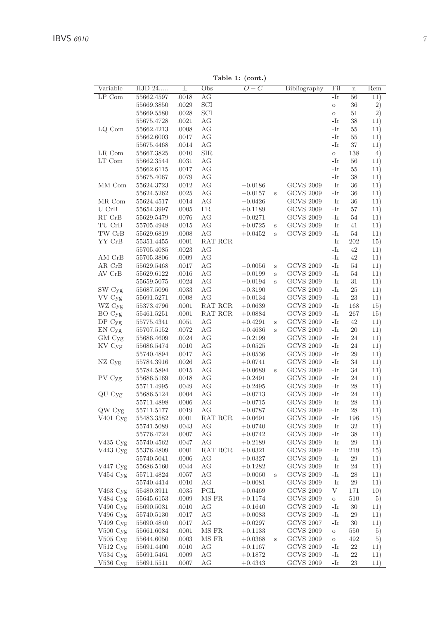Table 1: (cont.)

| Variable              | HJD 24     | $_{\pm}$ | Obs        | $O-C$     |         | Bibliography     | Fil      | $\mathbf n$ | Rem |
|-----------------------|------------|----------|------------|-----------|---------|------------------|----------|-------------|-----|
| $LP$ Com              | 55662.4597 | .0018    | AG         |           |         |                  | -Ir      | 56          | 11) |
|                       | 55669.3850 | .0029    | SCI        |           |         |                  | $\circ$  | 36          | 2)  |
|                       | 55669.5580 | .0028    | SCI        |           |         |                  | $\circ$  | 51          | 2)  |
|                       | 55675.4728 | .0021    | AG         |           |         |                  | -Ir      | 38          | 11) |
| LQ Com                | 55662.4213 | .0008    | AG         |           |         |                  | -Ir      | 55          | 11) |
|                       | 55662.6003 | .0017    | AG         |           |         |                  | -Ir      | 55          | 11) |
|                       | 55675.4468 | .0014    | AG         |           |         |                  | -Ir      | 37          | 11) |
| LR Com                | 55667.3825 | .0010    | <b>SIR</b> |           |         |                  | $\circ$  | 138         | 4)  |
| LT Com                | 55662.3544 | .0031    | AG         |           |         |                  | -Ir      | 56          | 11) |
|                       | 55662.6115 | .0017    | AG         |           |         |                  | -Ir      | 55          | 11) |
|                       | 55675.4067 | .0079    | AG         |           |         |                  | -Ir      | 38          | 11) |
| MM Com                | 55624.3723 | .0012    | AG         | $-0.0186$ |         | <b>GCVS 2009</b> | -Ir      | 36          | 11) |
|                       | 55624.5262 | .0025    | AG         | $-0.0157$ | S       | <b>GCVS 2009</b> | -Ir      | 36          | 11) |
| MR Com                | 55624.4517 | .0014    | AG         | $-0.0426$ |         | <b>GCVS 2009</b> | -Ir      | 36          | 11) |
| U CrB                 | 55654.3997 | .0005    | FR         | $+0.1189$ |         | <b>GCVS 2009</b> | -Ir      | 57          | 11) |
| RT CrB                | 55629.5479 | .0076    | AG         | $-0.0271$ |         | <b>GCVS 2009</b> | -Ir      | 54          | 11) |
| TU CrB                | 55705.4948 | .0015    | AG         | $+0.0725$ | S       | <b>GCVS 2009</b> | -Ir      | 41          | 11) |
| TW CrB                | 55629.6819 | .0008    | AG         | $+0.0452$ | S       | <b>GCVS 2009</b> | -Ir      | 54          | 11) |
| YY CrB                | 55351.4455 | .0001    | RAT RCR    |           |         |                  | -Ir      | 202         | 15) |
|                       | 55705.4085 | .0023    | AG         |           |         |                  | -Ir      | 42          | 11) |
| AM CrB                | 55705.3806 | .0009    | AG         |           |         |                  | -Ir      | 42          | 11) |
| AR CrB                | 55629.5468 | .0017    | AG         | $-0.0056$ | S       | <b>GCVS 2009</b> | -Ir      | 54          | 11) |
| AV CrB                | 55629.6122 | .0016    | AG         | $-0.0199$ | $\rm s$ | <b>GCVS 2009</b> | -Ir      | 54          | 11) |
|                       | 55659.5075 | .0024    | AG         | $-0.0194$ | S       | <b>GCVS 2009</b> | -Ir      | 31          | 11) |
| SW Cyg                | 55687.5096 | .0033    | AG         | $-0.3190$ |         | <b>GCVS 2009</b> | -Ir      | 25          | 11) |
| VV Cyg                | 55691.5271 | .0008    | AG         | $+0.0134$ |         | <b>GCVS 2009</b> | -Ir      | 23          | 11) |
| WZ Cyg                | 55373.4796 | .0001    | RAT RCR    | $+0.0639$ |         | <b>GCVS 2009</b> | -Ir      | 168         | 15) |
| BO Cyg                | 55461.5251 | .0001    | RAT RCR    | $+0.0884$ |         | <b>GCVS 2009</b> | -Ir      | 267         | 15) |
| DP Cyg                | 55775.4341 | .0051    | AG         | $+0.4291$ | S       | <b>GCVS 2009</b> | -Ir      | 42          | 11) |
| EN Cyg                | 55707.5152 | .0072    | AG         | $+0.4636$ | S       | <b>GCVS 2009</b> | -Ir      | 20          | 11) |
| GM Cyg                | 55686.4609 | .0024    | AG         | $-0.2199$ |         | <b>GCVS 2009</b> | -Ir      | 24          | 11) |
| KV Cyg                | 55686.5474 | .0010    | AG         | $+0.0525$ |         | <b>GCVS 2009</b> | -Ir      | 24          | 11) |
|                       | 55740.4894 | .0017    | AG         | $+0.0536$ |         | <b>GCVS 2009</b> | -Ir      | 29          | 11) |
| NZ Cyg                | 55784.3916 | .0026    | AG         | $+0.0741$ |         | <b>GCVS 2009</b> | -Ir      | 34          | 11) |
|                       | 55784.5894 | .0015    | AG         | $+0.0689$ | S       | <b>GCVS 2009</b> | -Ir      | 34          | 11) |
| PV Cyg                | 55686.5169 | .0018    | AG         | $+0.2491$ |         | <b>GCVS 2009</b> | -Ir      | 24          | 11) |
|                       | 55711.4995 | .0049    | AG         | $+0.2495$ |         | <b>GCVS 2009</b> | -Ir      | 28          | 11) |
| QU Cyg                | 55686.5124 | .0004    | AG         | $-0.0713$ |         | <b>GCVS 2009</b> | -Ir      | 24          | 11) |
|                       | 55711.4898 | .0006    | AG         | $-0.0715$ |         | <b>GCVS 2009</b> | -Ir      | 28          | 11) |
| QW Cyg                | 55711.5177 | .0019    | AG         | $-0.0787$ |         | <b>GCVS 2009</b> | -Ir      | 28          | 11) |
| $\rm V401~Cyg$        | 55483.3582 | .0001    | RAT RCR    | $+0.0691$ |         | <b>GCVS 2009</b> | -Ir      | 196         | 15) |
|                       | 55741.5089 | .0043    | AG         | $+0.0740$ |         | <b>GCVS 2009</b> | -Ir      | 32          | 11) |
|                       | 55776.4724 | .0007    | АG         | $+0.0742$ |         | <b>GCVS 2009</b> | -Ir      | 38          | 11) |
| $V435 \,\mathrm{Cyg}$ | 55740.4562 | .0047    | AG         | $+0.2189$ |         | <b>GCVS 2009</b> | -Ir      | 29          | 11) |
| V443 Cyg              | 55376.4809 | .0001    | RAT RCR    | $+0.0321$ |         | <b>GCVS 2009</b> | -Ir      | 219         | 15) |
|                       | 55740.5041 | .0006    | AG         | $+0.0327$ |         | <b>GCVS 2009</b> | -Ir      | 29          | 11) |
| $V447 \,\mathrm{Cyg}$ | 55686.5160 | .0044    | AG         | $+0.1282$ |         | <b>GCVS 2009</b> | -Ir      | 24          | 11) |
| V454 Cyg              | 55711.4824 | .0057    | AG         | $-0.0060$ | S       | <b>GCVS 2009</b> | -Ir      | 28          | 11) |
|                       | 55740.4414 | .0010    | AG         | $-0.0081$ |         | <b>GCVS 2009</b> | -Ir      | 29          | 11) |
| $V463$ Cyg            | 55480.3911 | .0035    | PGL        | $+0.0469$ |         | <b>GCVS 2009</b> | V        | 171         | 10) |
| V484 Cyg              | 55645.6153 | .0009    | MS FR      | $+0.1174$ |         | <b>GCVS 2009</b> | $\rm{O}$ | 510         | 5)  |
| V490 Cyg              | 55690.5031 | .0010    | AG         | $+0.1640$ |         | <b>GCVS 2009</b> | -Ir      | 30          | 11) |
| V496 Cyg              | 55740.5130 | .0017    | AG         | $+0.0083$ |         | <b>GCVS 2009</b> | -Ir      | 29          | 11) |
| V499 Cyg              | 55690.4840 | .0017    | AG         | $+0.0297$ |         | <b>GCVS 2007</b> | -Ir      | 30          | 11) |
| $V500$ Cyg            | 55661.6084 | .0001    | MS FR      | $+0.1133$ |         | <b>GCVS 2009</b> | O        | 550         | 5)  |
| V505 Cyg              | 55644.6050 | .0003    | MS FR      | $+0.0368$ | S       | <b>GCVS 2009</b> | $\circ$  | 492         | 5)  |
| V512 Cyg              | 55691.4400 | .0010    | AG         | $+0.1167$ |         | <b>GCVS 2009</b> | -Ir      | 22          | 11) |
| V534 Cyg              | 55691.5461 | .0009    | AG         | $+0.1872$ |         | <b>GCVS 2009</b> | -Ir      | 22          | 11) |
| V536 Cyg              | 55691.5511 | .0007    | AG         | $+0.4343$ |         | <b>GCVS 2009</b> | -Ir      | 23          | 11) |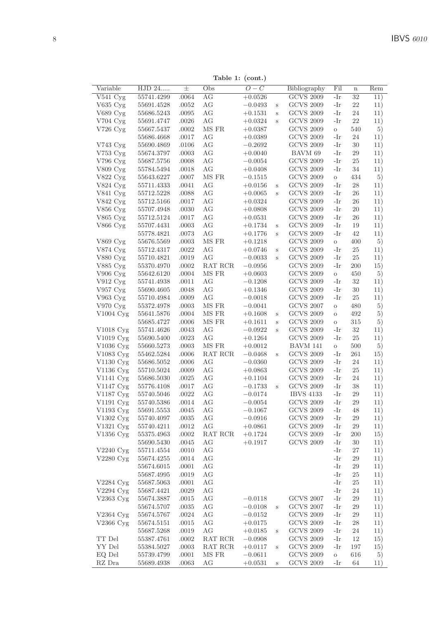Table 1: (cont.)

| Variable               | HJD 24     | $_{\pm}$  | Obs     | $\overline{O}-C$ |         | Bibliography     | Fil     | $\mathbf n$ | Rem       |
|------------------------|------------|-----------|---------|------------------|---------|------------------|---------|-------------|-----------|
| V541 Cyg               | 55741.4299 | .0064     | AG      | $+0.0526$        |         | <b>GCVS 2009</b> | -Ir     | 32          | 11)       |
| V635 Cyg               | 55691.4528 | .0052     | АG      | $-0.0493$        | S       | <b>GCVS 2009</b> | -Ir     | 22          | 11)       |
| V689 Cyg               | 55686.5243 | $.0095\,$ | АG      | $+0.1531$        | S       | <b>GCVS 2009</b> | -Ir     | 24          | 11)       |
| V704 Cyg               | 55691.4747 | .0026     | AG      | $+0.0324$        | S       | <b>GCVS 2009</b> | -Ir     | 22          | 11)       |
| V726 Cyg               | 55667.5437 | .0002     | MS FR   | $+0.0387$        |         | <b>GCVS 2009</b> | $\circ$ | 540         | 5)        |
|                        | 55686.4668 | .0017     | AG      | $+0.0389$        |         | <b>GCVS 2009</b> | -Ir     | 24          | 11)       |
| V743 Cyg               | 55690.4869 | .0106     | AG      | $-0.2692$        |         | <b>GCVS 2009</b> | -Ir     | 30          | 11)       |
| $V753$ Cyg             | 55674.3797 | .0003     | AG      | $+0.0040$        |         | BAVM 69          | -Ir     | 29          | 11)       |
| V796 Cyg               | 55687.5756 | .0008     | AG      | $-0.0054$        |         | <b>GCVS 2009</b> | -Ir     | 25          | 11)       |
| V809 Cyg               | 55784.5494 | .0018     | AG      | $+0.0408$        |         | <b>GCVS 2009</b> | -Ir     | 34          | 11)       |
| V822 Cyg               | 55643.6227 | .0007     | MS FR   | $-0.1515$        |         | <b>GCVS 2009</b> | $\circ$ | 434         | 5)        |
| V824 Cyg               | 55711.4333 | .0041     | AG      | $+0.0156$        | S       | <b>GCVS 2009</b> | -Ir     | 28          | 11)       |
| V841 Cyg               | 55712.5228 | .0088     | AG      | $+0.0065$        | S       | <b>GCVS 2009</b> | -Ir     | 26          | 11)       |
| $V842 \,\mathrm{Cyg}$  | 55712.5166 | .0017     | AG      | $+0.0324$        |         | <b>GCVS 2009</b> | -Ir     | 26          | 11)       |
| V856 Cyg               | 55707.4948 | .0030     | AG      | $+0.0808$        |         | <b>GCVS 2009</b> | -Ir     | 20          | 11)       |
| V865 Cyg               | 55712.5124 | .0017     | AG      | $+0.0531$        |         | <b>GCVS 2009</b> | -Ir     | 26          | 11)       |
| V866 Cyg               | 55707.4431 | .0003     | AG      | $+0.1734$        | $\rm s$ | <b>GCVS 2009</b> | -Ir     | 19          | 11)       |
|                        | 55778.4821 | .0073     | АG      | $+0.1776$        | Ś       | <b>GCVS 2009</b> | -Ir     | 42          | 11)       |
| V869 Cyg               | 55676.5569 | .0003     | MS FR   | $+0.1218$        |         | <b>GCVS 2009</b> | $\circ$ | 400         | 5)        |
| V874 Cyg               | 55712.4317 | .0022     | АG      | $+0.0746$        | S       | <b>GCVS 2009</b> | -Ir     | 25          | 11)       |
| V880 Cyg               | 55710.4821 | .0019     | AG      | $-0.0033$        | Ś       | <b>GCVS 2009</b> | -Ir     | 25          | 11)       |
| V885 Cyg               | 55370.4970 | .0002     | RAT RCR | $-0.0956$        |         | <b>GCVS 2009</b> | -Ir     | 200         | 15)       |
| V906 Cyg               | 55642.6120 | .0004     | MS FR   | $+0.0603$        |         | <b>GCVS 2009</b> | $\circ$ | 450         | 5)        |
| V912 Cyg               | 55741.4938 | .0011     | AG      | $-0.1208$        |         | <b>GCVS 2009</b> | -Ir     | 32          | 11)       |
| V957 Cyg               | 55690.4605 | .0048     | АG      | $+0.1346$        |         | <b>GCVS 2009</b> | -Ir     | 30          | 11)       |
| $V963$ Cyg             | 55710.4984 | .0009     | AG      | $-0.0018$        |         | <b>GCVS 2009</b> | -Ir     | 25          | 11)       |
| $V970 \,\mathrm{Cyg}$  | 55372.4978 | .0003     | MS FR   | $-0.0041$        |         | <b>GCVS 2007</b> | $\circ$ | 480         | 5)        |
| $V1004 \,\mathrm{Cyg}$ | 55641.5876 | .0004     | MS FR   | $+0.1608$        | S       | <b>GCVS 2009</b> | $\circ$ | 492         | 5)        |
|                        | 55685.4727 | .0006     | MS FR   | $+0.1611$        | S       | <b>GCVS 2009</b> | $\circ$ | 315         | 5)        |
| V1018 Cyg              | 55741.4626 | .0043     | AG      | $-0.0922$        | S       | <b>GCVS 2009</b> | -Ir     | 32          | 11)       |
| $V1019 \,\mathrm{Cyg}$ | 55690.5400 | .0023     | AG      | $+0.1264$        |         | <b>GCVS 2009</b> | -Ir     | 25          | 11)       |
| V1036 Cyg              | 55660.5273 | .0003     | MS FR   | $+0.0012$        |         | BAVM 141         | $\circ$ | 500         | 5)        |
| V1083 Cyg              | 55462.5284 | .0006     | RAT RCR | $-0.0468$        | S       | <b>GCVS 2009</b> | -Ir     | 261         | 15)       |
| V1130 Cyg              | 55686.5052 | .0006     | AG      | $-0.0360$        |         | <b>GCVS 2009</b> | -Ir     | 24          | 11)       |
| V1136 Cyg              | 55710.5024 | .0009     | АG      | $+0.0863$        |         | <b>GCVS 2009</b> | -Ir     | 25          | 11)       |
| $V1141 \,\mathrm{Cyg}$ | 55686.5030 | .0025     | АG      | $+0.1104$        |         | <b>GCVS 2009</b> | -Ir     | 24          | 11)       |
| $V1147 \,\mathrm{Cyg}$ | 55776.4108 | .0017     | АG      | $-0.1733$        | Ś       | <b>GCVS 2009</b> | -Ir     | 38          | 11)       |
| V1187 Cyg              | 55740.5046 | .0022     | AG      | $-0.0174$        |         | <b>IBVS 4133</b> | -Ir     | 29          | 11)       |
| V1191 Cyg              | 55740.5386 | .0014     | AG      | $-0.0054$        |         | <b>GCVS 2009</b> | -Ir     | 29          | 11)       |
| V1193 Cyg              | 55691.5553 | .0045     | АG      | $-0.1067$        |         | <b>GCVS 2009</b> | -Ir     | 48          | 11)       |
| V1302 Cyg              | 55740.4097 | .0035     | AG      | $-0.0916$        |         | <b>GCVS 2009</b> | -Ir     | 29          | 11)       |
| V1321 Cyg              | 55740.4211 | .0012     | АG      | $+0.0861$        |         | <b>GCVS 2009</b> | -Ir     | 29          | 11)       |
| V1356 Cyg              | 55375.4963 | .0002     | RAT RCR | $+0.1724$        |         | <b>GCVS 2009</b> | -Ir     | 200         | 15)       |
|                        | 55690.5430 | .0045     | AG      | $+0.1917$        |         | <b>GCVS 2009</b> | -Ir     | 30          | 11)       |
| V2240 Cyg              | 55711.4554 | .0010     | AG      |                  |         |                  | -Ir     | 27          | 11)       |
| V2280 Cyg              | 55674.4255 | .0014     | AG      |                  |         |                  | -Ir     | 29          | 11)       |
|                        | 55674.6015 | .0001     | AG      |                  |         |                  | -Ir     | 29          | 11)       |
|                        | 55687.4995 | .0019     | АG      |                  |         |                  | -Ir     | 25          | 11)       |
| V2284 Cyg              | 55687.5063 | .0001     | AG      |                  |         |                  | -Ir     | 25          | 11)       |
| V2294 Cyg              | 55687.4421 | .0029     | AG      |                  |         |                  | -Ir     | 24          | 11)       |
| V2363 Cyg              | 55674.3887 | .0015     | AG      | $-0.0118$        |         | <b>GCVS 2007</b> | -Ir     | 29          | 11)       |
|                        | 55674.5707 | .0035     | AG      | $-0.0108$        |         | <b>GCVS 2007</b> | -Ir     | 29          | 11)       |
| $V2364$ Cyg            | 55674.5767 | .0024     | АG      | $-0.0152$        | S       | <b>GCVS 2009</b> | -Ir     | 29          | 11)       |
| V2366 Cyg              | 55674.5151 | .0015     | АG      | $+0.0175$        |         | <b>GCVS 2009</b> | -Ir     | 28          | 11)       |
|                        | 55687.5268 | .0019     | AG      | $+0.0185$        | S       | <b>GCVS 2009</b> | -Ir     | 24          | 11)       |
| TT Del                 | 55387.4761 | .0002     | RAT RCR | $-0.0908$        |         | <b>GCVS 2009</b> | -Ir     | 12          | 15)       |
| YY Del                 | 55384.5027 | .0003     | RAT RCR | $+0.0117$        |         | <b>GCVS 2009</b> | -Ir     | 197         |           |
| EQ Del                 | 55739.4799 | .0001     | MS FR   | $-0.0611$        | S       | <b>GCVS 2009</b> | $\circ$ | 616         | 15)<br>5) |
| RZ Dra                 | 55689.4938 | .0063     | АG      | $+0.0531$        | S       | <b>GCVS 2009</b> | -Ir     | 64          | 11)       |
|                        |            |           |         |                  |         |                  |         |             |           |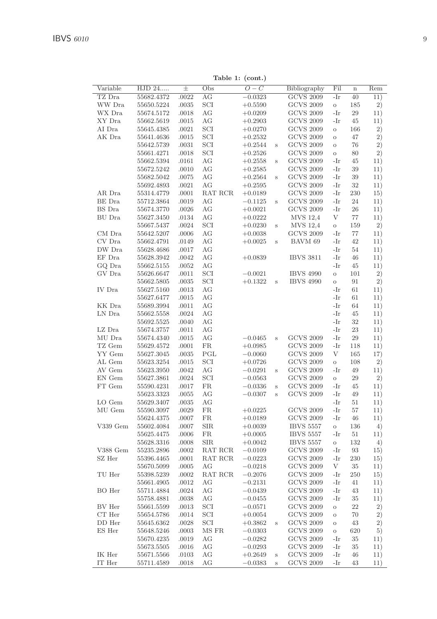Table 1: (cont.)

| Variable       | HJD 24     | $_{\pm}$ | $\cdots$<br>Obs | (<br>$\overline{O-C}$ |         | Bibliography     | Fil      | $\mathbf n$ | Rem |
|----------------|------------|----------|-----------------|-----------------------|---------|------------------|----------|-------------|-----|
| TZ Dra         | 55682.4372 | .0022    | AG              | $-0.0323$             |         | <b>GCVS 2009</b> | -Ir      | 40          | 11) |
| WW Dra         | 55650.5224 | .0035    | SCI             | $+0.5590$             |         | <b>GCVS 2009</b> | $\rm{O}$ | 185         | 2)  |
| WX Dra         | 55674.5172 | .0018    | AG              | $+0.0209$             |         | <b>GCVS 2009</b> | -Ir      | 29          | 11) |
| XY Dra         | 55662.5619 | .0015    | AG              | $+0.2903$             |         | <b>GCVS 2009</b> | -Ir      | 45          | 11) |
| AI Dra         | 55645.4385 | .0021    | SCI             | $+0.0270$             |         | <b>GCVS 2009</b> | $\circ$  | 166         | 2)  |
| AK Dra         | 55641.4636 | .0015    | SCI             | $+0.2532$             |         | <b>GCVS 2009</b> | $\circ$  | 47          | 2)  |
|                | 55642.5739 | .0031    | SCI             | $+0.2544$             | S       | <b>GCVS 2009</b> | $\circ$  | 76          | 2)  |
|                | 55661.4271 | .0018    | SCI             | $+0.2526$             |         | <b>GCVS 2009</b> | $\rm{O}$ | 80          | 2)  |
|                | 55662.5394 | .0161    | AG              | $+0.2558$             | S       | <b>GCVS 2009</b> | -Ir      | 45          | 11) |
|                | 55672.5242 | .0010    | AG              | $+0.2585$             |         | <b>GCVS 2009</b> | -Ir      | 39          | 11) |
|                | 55682.5042 | .0075    | AG              | $+0.2564$             | $\rm s$ | <b>GCVS 2009</b> | -Ir      | 39          | 11) |
|                | 55692.4893 | .0021    | AG              | $+0.2595$             |         | <b>GCVS 2009</b> | -Ir      | 32          | 11) |
| AR Dra         | 55314.4779 | .0001    | RAT RCR         | $+0.0189$             |         | <b>GCVS 2009</b> | -Ir      | 230         | 15) |
| BE Dra         | 55712.3864 | .0019    | AG              | $-0.1125$             | $\,$ s  | <b>GCVS 2009</b> | -Ir      | 24          | 11) |
| BS Dra         | 55674.3770 | .0026    | AG              | $+0.0021$             |         | <b>GCVS 2009</b> | -Ir      | 26          | 11) |
| BU Dra         | 55627.3450 | .0134    | AG              | $+0.0222$             |         | MVS 12,4         | V        | 77          | 11) |
|                | 55667.5437 | .0024    | SCI             | $+0.0230$             | S       | <b>MVS 12.4</b>  | $\circ$  | 159         | 2)  |
| CM Dra         | 55642.5207 | .0006    | АG              | $+0.0038$             |         | <b>GCVS 2009</b> | -Ir      | 77          | 11) |
| CV Dra         | 55662.4791 | .0149    | AG              | $+0.0025$             | S       | BAVM 69          | -Ir      | 42          | 11) |
| DW Dra         | 55628.4686 | .0017    | AG              |                       |         |                  | -Ir      | 54          | 11) |
| EF Dra         | 55628.3942 | .0042    | AG              | $+0.0839$             |         | <b>IBVS 3811</b> | -Ir      | 46          | 11) |
| GO Dra         | 55662.5155 | .0052    | AG              |                       |         |                  | -Ir      | 45          | 11) |
| GV Dra         | 55626.6647 | .0011    | SCI             | $-0.0021$             |         | <b>IBVS 4990</b> | $\circ$  | 101         | 2)  |
|                | 55662.5805 | .0035    | SCI             | $+0.1322$             | S       | <b>IBVS 4990</b> | $\circ$  | 91          | 2)  |
| IV Dra         | 55627.5160 | .0013    | $\rm{AG}$       |                       |         |                  | -Ir      | 61          | 11) |
|                | 55627.6477 | .0015    | AG              |                       |         |                  | -Ir      | 61          | 11) |
| KK Dra         | 55689.3994 | .0011    | AG              |                       |         |                  | -Ir      | 64          | 11) |
| LN Dra         | 55662.5558 | .0024    | AG              |                       |         |                  | -Ir      | 45          | 11) |
|                | 55692.5525 | .0040    | AG              |                       |         |                  | -Ir      | 32          | 11) |
| LZ Dra         | 55674.3757 | .0011    | AG              |                       |         |                  | -Ir      | 23          | 11) |
| MU Dra         | 55674.4340 | .0015    | AG              | $-0.0465$             | s       | <b>GCVS 2009</b> | -Ir      | 29          | 11) |
| TZ Gem         | 55629.4572 | .0001    | <b>FR</b>       | $+0.0985$             |         | <b>GCVS 2009</b> | -Ir      | 118         | 11) |
| YY Gem         | 55627.3045 | .0035    | PGL             | $-0.0060$             |         | <b>GCVS 2009</b> | V        | 165         | 17) |
| AL Gem         | 55623.3254 | .0015    | SCI             | $+0.0726$             |         | <b>GCVS 2009</b> | $\rm{O}$ | 108         | 2)  |
| AV Gem         | 55623.3950 | .0042    | AG              | $-0.0291$             | $\,$ s  | <b>GCVS 2009</b> | -Ir      | 49          | 11) |
| ${\rm EN}$ Gem | 55627.3861 | .0024    | SCI             | $-0.0563$             |         | <b>GCVS 2009</b> | $\circ$  | 29          | 2)  |
| FT Gem         | 55590.4231 | .0017    | <b>FR</b>       | $-0.0336$             | $\,$ s  | <b>GCVS 2009</b> | -Ir      | 45          | 11) |
|                | 55623.3323 | .0055    | AG              | $-0.0307$             | $\rm s$ | <b>GCVS 2009</b> | -Ir      | 49          | 11) |
| LO Gem         | 55629.3407 | .0035    | AG              |                       |         |                  | -Ir      | 51          | 11) |
| MU Gem         | 55590.3097 | .0029    | <b>FR</b>       | $+0.0225$             |         | <b>GCVS 2009</b> | -Ir      | 57          | 11) |
|                | 55624.4375 | .0007    | <b>FR</b>       | $+0.0189$             |         | <b>GCVS 2009</b> | -Ir      | 46          | 11) |
| $V339$ Gem     | 55602.4084 | .0007    | <b>SIR</b>      | $+0.0039$             |         | <b>IBVS 5557</b> | $\circ$  | 136         | 4)  |
|                | 55625.4475 | .0006    | FR.             | $+0.0005$             |         | <b>IBVS 5557</b> | -Ir      | 51          | 11) |
|                | 55628.3316 | .0008    | <b>SIR</b>      | $+0.0042$             |         | <b>IBVS 5557</b> | $\circ$  | 132         | 4)  |
| V388 Gem       | 55235.2896 | .0002    | RAT RCR         | $-0.0109$             |         | <b>GCVS 2009</b> | -Ir      | 93          | 15) |
| SZ Her         | 55396.4465 | .0001    | RAT RCR         | $-0.0223$             |         | <b>GCVS 2009</b> | -Ir      | 230         | 15) |
|                | 55670.5099 | .0005    | AG              | $-0.0218$             |         | <b>GCVS 2009</b> | V        | 35          | 11) |
| TU Her         | 55398.5239 | .0002    | RAT RCR         | $-0.2076$             |         | <b>GCVS 2009</b> | -Ir      | 250         | 15) |
|                | 55661.4905 | .0012    | AG              | $-0.2131$             |         | <b>GCVS 2009</b> | -Ir      | 41          | 11) |
| BO Her         | 55711.4884 | .0024    | AG              | $-0.0439$             |         | <b>GCVS 2009</b> | -Ir      | 43          |     |
|                |            |          |                 |                       |         | <b>GCVS 2009</b> | -Ir      |             | 11) |
|                | 55758.4881 | .0038    | AG              | $-0.0455$             |         |                  |          | 35          | 11) |
| BV Her         | 55661.5599 | .0013    | SCI             | $-0.0571$             |         | <b>GCVS 2009</b> | $\circ$  | 22          | 2)  |
| $\cal CT$ Her  | 55654.5786 | .0014    | SCI             | $+0.0054$             |         | <b>GCVS 2009</b> | $\circ$  | 70          | 2)  |
| DD Her         | 55645.6362 | .0028    | SCI             | $+0.3862$             | $\rm s$ | <b>GCVS 2009</b> | $\circ$  | 43          | 2)  |
| ES Her         | 55648.5246 | .0003    | MS FR           | $-0.0303$             |         | <b>GCVS 2009</b> | $\circ$  | 620         | 5)  |
|                | 55670.4235 | .0019    | AG              | $-0.0282$             |         | <b>GCVS 2009</b> | -Ir      | 35          | 11) |
|                | 55673.5505 | .0016    | AG              | $-0.0293$             |         | <b>GCVS 2009</b> | -Ir      | 35          | 11) |
| $\rm IK$ Her   | 55671.5566 | .0103    | AG              | $+0.2649$             | $\,$ s  | <b>GCVS 2009</b> | -Ir      | 46          | 11) |
| IT Her         | 55711.4589 | .0018    | AG              | $-0.0383$             | $\rm s$ | <b>GCVS 2009</b> | -Ir      | 43          | 11) |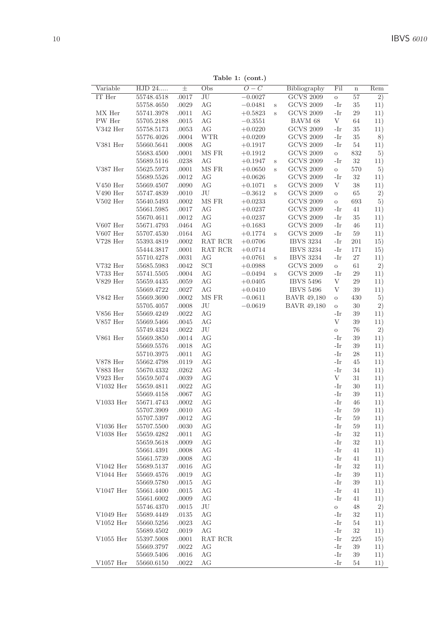Table 1: (cont.)

| Variable    | HJD 24                   | $_{\pm}$  | Obs     | $\frac{1}{2}$<br>$O-C$ |         | Bibliography       | Fil          | $\mathbf n$  | Rem             |
|-------------|--------------------------|-----------|---------|------------------------|---------|--------------------|--------------|--------------|-----------------|
| IT Her      | 55748.4518               | .0017     | JU      | $-0.0027$              |         | <b>GCVS 2009</b>   | $\circ$      | 57           | $\overline{2)}$ |
|             | 55758.4650               | .0029     | AG      | $-0.0481$              | $\,$ s  | <b>GCVS 2009</b>   | -Ir          | 35           | 11)             |
| MX Her      | 55741.3978               | .0011     | AG      | $+0.5823$              | $\rm s$ | <b>GCVS 2009</b>   | -Ir          | 29           | 11)             |
| PW Her      | 55705.2188               | .0015     | AG      | $-0.3551$              |         | BAVM 68            | V            | 64           | 11)             |
| V342 Her    | 55758.5173               | .0053     | AG      | $+0.0220$              |         | <b>GCVS 2009</b>   | -Ir          | 35           | 11)             |
|             | 55776.4026               | .0004     | WTR     | $+0.0209$              |         | <b>GCVS 2009</b>   | -Ir          | 35           | 8)              |
| V381 Her    | 55660.5641               | .0008     | AG      | $+0.1917$              |         | <b>GCVS 2009</b>   | -Ir          | 54           | 11)             |
|             | 55683.4500               | .0001     | MS FR   | $+0.1912$              |         | <b>GCVS 2009</b>   | $\circ$      | 832          | 5)              |
|             | 55689.5116               | .0238     | AG      | $+0.1947$              | $\,$ s  | <b>GCVS 2009</b>   | -Ir          | $32\,$       | 11)             |
| V387 Her    | 55625.5973               | .0001     | MS FR   | $+0.0650$              | $\rm s$ | <b>GCVS 2009</b>   | $\circ$      | 570          | 5)              |
|             | 55689.5526               | .0012     | АG      | $+0.0626$              |         | <b>GCVS 2009</b>   | -Ir          | $32\,$       | 11)             |
| $V450$ Her  | 55669.4507               | .0090     | АG      | $+0.1071$              | $\rm s$ | <b>GCVS 2009</b>   | V            | $38\,$       | 11)             |
| V490 Her    | 55747.4839               | .0010     | JU      | $-0.3612$              | $\rm s$ | <b>GCVS 2009</b>   | $\circ$      | 65           | 2)              |
| $V502$ Her  | 55640.5493               | $.0002\,$ | MS FR   | $+0.0233$              |         | <b>GCVS 2009</b>   | $\circ$      | 693          | 5)              |
|             | 55661.5985               | .0017     | AG      | $+0.0237$              |         | <b>GCVS 2009</b>   | -Ir          | 41           | 11)             |
|             | 55670.4611               | .0012     | AG      | $+0.0237$              |         | <b>GCVS 2009</b>   | -Ir          | 35           | 11)             |
| V607 Her    | 55671.4793               | .0464     | AG      | $+0.1683$              |         | <b>GCVS 2009</b>   | -Ir          | 46           | 11)             |
| V607 Her    | 55707.4530               | .0164     | АG      | $+0.1774$              | S       | <b>GCVS 2009</b>   | -Ir          | 59           | 11)             |
| $V728$ Her  | 55393.4819               | .0002     | RAT RCR | $+0.0706$              |         | <b>IBVS 3234</b>   | -Ir          | 201          | 15)             |
|             | 55444.3817               | .0001     | RAT RCR | $+0.0714$              |         | <b>IBVS 3234</b>   | -Ir          | 171          | 15)             |
|             | 55710.4278               | .0031     | AG      | $+0.0761$              | S       | <b>IBVS 3234</b>   | -Ir          | 27           | 11)             |
| V732 Her    | 55685.5983               | .0042     | SCI     | $+0.0988$              |         | <b>GCVS 2009</b>   | $\circ$      | 61           | 2)              |
| V733 Her    | 55741.5505               | .0004     | АG      | $-0.0494$              | S       | <b>GCVS 2009</b>   | -Ir          | 29           | 11)             |
| V829 Her    | 55659.4435               | .0059     | AG      | $+0.0405$              |         | <b>IBVS 5496</b>   | V            | 29           | 11)             |
|             | 55669.4722               | .0027     | AG      | $+0.0410$              |         | <b>IBVS 5496</b>   | V            | 39           | 11)             |
| V842 Her    | 55669.3690               | .0002     | MS FR   | $-0.0611$              |         | <b>BAVR 49,180</b> | $\circ$      | 430          | 5)              |
|             | 55705.4057               | .0008     | JU      | $-0.0619$              |         | <b>BAVR 49,180</b> | $\circ$      | $30\,$       | 2)              |
| V856 Her    | 55669.4249               | .0022     | AG      |                        |         |                    | -Ir          | 39           | 11)             |
| V857 Her    | 55669.5466               | .0045     | AG      |                        |         |                    | V            | 39           | 11)             |
|             | 55749.4324               | .0022     | JU      |                        |         |                    | $\rm _O$     | 76           | 2)              |
| V861 Her    | 55669.3850               | .0014     | AG      |                        |         |                    | -Ir          | 39           | 11)             |
|             | 55669.5576               | .0018     | AG      |                        |         |                    | -Ir          | 39           | 11)             |
|             | 55710.3975               | .0011     | AG      |                        |         |                    | -Ir          | 28           | 11)             |
| V878 Her    | 55662.4798               | .0119     | AG      |                        |         |                    | -Ir          | 45           | 11)             |
| V883 Her    | 55670.4332               | .0262     | AG      |                        |         |                    | -Ir          | 34           | 11)             |
| V923 Her    | 55659.5074               | .0039     | AG      |                        |         |                    | V            | 31           | 11)             |
| $V1032$ Her | 55659.4811               | .0022     | AG      |                        |         |                    | -Ir          | 30           | 11)             |
|             | 55669.4158               | .0067     | AG      |                        |         |                    | -Ir          | 39           | 11)             |
| V1033 Her   | 55671.4743               | .0002     | AG      |                        |         |                    | -Ir          | 46           | 11)             |
|             | 55707.3909               | .0010     | АG      |                        |         |                    | -Ir          | 59           | 11)             |
|             | 55707.5397               | .0012     | AG      |                        |         |                    | -Ir          | 59           | 11)             |
| $V1036$ Her | 55707.5500               | .0030     | AG      |                        |         |                    | -Ir          | 59           | 11)             |
| $V1038$ Her | 55659.4282               | .0011     | AG      |                        |         |                    | -Ir          | 32           | 11)             |
|             | 55659.5618               | .0009     | AG      |                        |         |                    | -Ir          | 32           | 11)             |
|             | 55661.4391               | .0008     | AG      |                        |         |                    | -Ir          | 41           | 11)             |
|             | 55661.5739               | .0008     | AG      |                        |         |                    | -Ir          | 41           | 11)             |
| $V1042$ Her | 55689.5137               | .0016     | AG      |                        |         |                    | -Ir          | 32           | 11)             |
| $V1044$ Her | 55669.4576               | .0019     | AG      |                        |         |                    | -Ir          | 39           | 11)             |
|             | 55669.5780               | .0015     | АG      |                        |         |                    | -Ir          | 39           | 11)             |
| $V1047$ Her | 55661.4400               | .0015     | AG      |                        |         |                    | -Ir          | 41           | 11)             |
|             | 55661.6002               | .0009     | AG      |                        |         |                    | -Ir          | 41           | 11)             |
|             | 55746.4370               | .0015     | JU      |                        |         |                    | $\circ$      | 48           | 2)              |
| $V1049$ Her | 55689.4449               | .0135     | AG      |                        |         |                    | -Ir          | 32           | 11)             |
| $V1052$ Her |                          | .0023     | AG      |                        |         |                    | -Ir          | 54           |                 |
|             | 55660.5256<br>55689.4502 | .0019     | AG      |                        |         |                    | -Ir          | 32           | 11)<br>11)      |
|             |                          |           |         |                        |         |                    |              |              |                 |
| $V1055$ Her | 55397.5008               | .0001     | RAT RCR |                        |         |                    | -Ir<br>$-Ir$ | 225          | 15)             |
|             | 55669.3797               | .0022     | AG      |                        |         |                    |              | $39\,$<br>39 | 11)             |
|             | 55669.5406               | .0016     | AG      |                        |         |                    | -Ir          |              | 11)             |
| $V1057$ Her | 55660.6150               | .0022     | AG      |                        |         |                    | -Ir          | 54           | 11)             |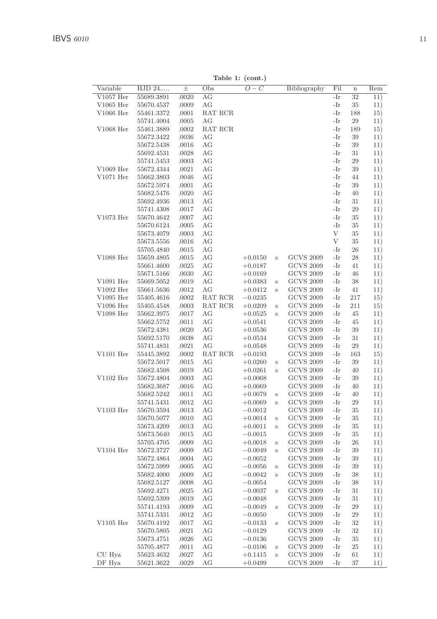Table 1: (cont.)

| Variable    | HJD 24     | $_{\pm}$ | Obs     | $\frac{1}{2}$<br>$\overline{O}-C$ |         | Bibliography     | $\overline{\mathrm{Fil}}$ | $\mathbf n$ | Rem |
|-------------|------------|----------|---------|-----------------------------------|---------|------------------|---------------------------|-------------|-----|
| $V1057$ Her | 55689.3891 | .0020    | AG      |                                   |         |                  | -Ir                       | 32          | 11) |
| $V1065$ Her | 55670.4537 | .0009    | AG      |                                   |         |                  | -Ir                       | 35          | 11) |
| V1066 Her   | 55461.3372 | .0001    | RAT RCR |                                   |         |                  | -Ir                       | 188         | 15) |
|             | 55741.4004 | .0005    | AG      |                                   |         |                  | -Ir                       | $\,29$      | 11) |
| $V1068$ Her | 55461.3889 | .0002    | RAT RCR |                                   |         |                  | -Ir                       | 189         | 15) |
|             | 55672.3422 | .0036    | AG      |                                   |         |                  | -Ir                       | 39          | 11) |
|             | 55672.5438 | .0016    | AG      |                                   |         |                  | -Ir                       | 39          | 11) |
|             | 55692.4531 | .0028    | AG      |                                   |         |                  | -Ir                       | 31          | 11) |
|             | 55741.5453 | .0003    | AG      |                                   |         |                  | -Ir                       | 29          | 11) |
| $V1069$ Her | 55672.4344 | .0021    | AG      |                                   |         |                  | -Ir                       | 39          | 11) |
| $V1071$ Her | 55662.3803 | .0046    | AG      |                                   |         |                  | -Ir                       | 44          | 11) |
|             | 55672.5974 | .0001    | AG      |                                   |         |                  | $-Ir$                     | 39          | 11) |
|             | 55682.5476 | .0020    | AG      |                                   |         |                  | -Ir                       | 40          | 11) |
|             | 55692.4936 | .0013    | AG      |                                   |         |                  | -Ir                       | 31          | 11) |
|             | 55741.4308 | .0017    | AG      |                                   |         |                  | -Ir                       | 29          | 11) |
| $V1073$ Her | 55670.4642 | .0007    | AG      |                                   |         |                  | -Ir                       | 35          | 11) |
|             | 55670.6124 | .0005    | AG      |                                   |         |                  | -Ir                       | 35          | 11) |
|             | 55673.4079 | .0003    | AG      |                                   |         |                  | V                         | 35          | 11) |
|             | 55673.5556 | .0016    | AG      |                                   |         |                  | $\mathbf{V}$              | 35          | 11) |
|             | 55705.4840 | .0015    | AG      |                                   |         |                  | -Ir                       | 26          | 11) |
| V1088 Her   | 55659.4805 | .0015    | AG      | $+0.0150$                         | S       | <b>GCVS 2009</b> | -Ir                       | 28          | 11) |
|             | 55661.4600 | .0025    | AG      | $+0.0187$                         |         | <b>GCVS 2009</b> | -Ir                       | 41          | 11) |
|             | 55671.5166 | .0030    | AG      | $+0.0169$                         |         | <b>GCVS 2009</b> | -Ir                       | 46          | 11) |
| $V1091$ Her | 55669.5052 | .0019    | AG      | $+0.0383$                         | $\rm s$ | <b>GCVS 2009</b> | -Ir                       | 38          | 11) |
| V1092 Her   | 55661.5636 | .0012    | AG      | $+0.0412$                         | S       | <b>GCVS 2009</b> | -Ir                       | 41          | 11) |
| $V1095$ Her | 55405.4616 | .0002    | RAT RCR | $-0.0235$                         |         | <b>GCVS 2009</b> | -Ir                       | 217         | 15) |
| V1096 Her   | 55405.4548 | .0003    | RAT RCR | $+0.0209$                         | S       | <b>GCVS 2009</b> | -Ir                       | 211         | 15) |
| $V1098$ Her | 55662.3975 | .0017    | AG      | $+0.0525$                         | S       | <b>GCVS 2009</b> | -Ir                       | 45          | 11) |
|             | 55662.5752 | .0011    | AG      | $+0.0541$                         |         | <b>GCVS 2009</b> | -Ir                       | 45          | 11) |
|             | 55672.4381 | .0020    | AG      | $+0.0536$                         |         | <b>GCVS 2009</b> | -Ir                       | 39          | 11) |
|             | 55692.5170 | .0038    | AG      | $+0.0534$                         |         | <b>GCVS 2009</b> | -Ir                       | 31          | 11) |
|             | 55741.4831 | .0021    | AG      | $+0.0548$                         |         | <b>GCVS 2009</b> | -Ir                       | 29          | 11) |
| $V1101$ Her | 55445.3892 | .0002    | RAT RCR | $+0.0193$                         |         | <b>GCVS 2009</b> | -Ir                       | 163         | 15) |
|             | 55672.5017 | .0015    | AG      | $+0.0260$                         | $\rm s$ | <b>GCVS 2009</b> | -Ir                       | 39          | 11) |
|             | 55682.4508 | .0019    | AG      | $+0.0261$                         | S       | <b>GCVS 2009</b> | -Ir                       | 40          | 11) |
| $V1102$ Her | 55672.4804 | .0003    | AG      | $+0.0068$                         |         | <b>GCVS 2009</b> | -Ir                       | 39          | 11) |
|             | 55682.3687 | .0016    | AG      | $+0.0069$                         |         | <b>GCVS 2009</b> | -Ir                       | 40          | 11) |
|             | 55682.5242 | .0011    | AG      | $+0.0079$                         | S       | <b>GCVS 2009</b> | -Ir                       | 40          | 11) |
|             | 55741.5431 | .0012    | AG      | $+0.0069$                         | S       | <b>GCVS 2009</b> | -Ir                       | 29          | 11) |
| $V1103$ Her | 55670.3594 | .0013    | AG      | $-0.0012$                         |         | <b>GCVS 2009</b> | -Ir                       | 35          | 11) |
|             | 55670.5077 | .0010    | AG      | $+0.0014$                         | $\,$ s  | <b>GCVS 2009</b> | -Ir                       | 35          | 11) |
|             | 55673.4209 | .0013    | AG      | $+0.0011$                         | S       | <b>GCVS 2009</b> | -Ir                       | 35          | 11) |
|             | 55673.5640 | .0015    | AG      | $-0.0015$                         |         | <b>GCVS 2009</b> | -Ir                       | 35          | 11) |
|             | 55705.4705 | .0009    | AG      | $+0.0018$                         | $\rm s$ | <b>GCVS 2009</b> | -Ir                       | 26          | 11) |
| $V1104$ Her | 55672.3727 | .0009    | AG      | $-0.0049$                         | $\rm s$ | <b>GCVS 2009</b> | -Ir                       | 39          | 11) |
|             | 55672.4864 | .0004    | AG      | $-0.0052$                         |         | <b>GCVS 2009</b> | -Ir                       | 39          | 11) |
|             | 55672.5999 | .0005    | AG      | $-0.0056$                         | $\rm s$ | <b>GCVS 2009</b> | -Ir                       | 39          | 11) |
|             | 55682.4000 | .0009    | AG      | $-0.0042$                         | S       | <b>GCVS 2009</b> | -Ir                       | 38          | 11) |
|             | 55682.5127 | .0008    | AG      | $-0.0054$                         |         | <b>GCVS 2009</b> | -Ir                       | 38          | 11) |
|             | 55692.4271 | .0025    | AG      | $-0.0037$                         | $\rm s$ | <b>GCVS 2009</b> | -Ir                       | 31          | 11) |
|             | 55692.5399 | .0019    | AG      | $-0.0048$                         |         | <b>GCVS 2009</b> | -Ir                       | 31          | 11) |
|             | 55741.4193 | .0009    | AG      | $-0.0049$                         | S       | <b>GCVS 2009</b> | -Ir                       | 29          | 11) |
|             | 55741.5331 | .0012    | AG      | $-0.0050$                         |         | <b>GCVS 2009</b> | -Ir                       | 29          | 11) |
| $V1105$ Her | 55670.4192 | .0017    | AG      | $-0.0133$                         | $\,$ s  | <b>GCVS 2009</b> | -Ir                       | 32          | 11) |
|             | 55670.5805 | .0021    | AG      | $-0.0129$                         |         | <b>GCVS 2009</b> | -Ir                       | 32          | 11) |
|             | 55673.4751 | .0026    | AG      | $-0.0136$                         |         | <b>GCVS 2009</b> | -Ir                       | 35          | 11) |
|             | 55705.4877 | .0011    | AG      | $-0.0106$                         | $\rm s$ | <b>GCVS 2009</b> | -Ir                       | 25          | 11) |
| CU Hya      | 55623.4632 | .0027    | AG      | $+0.1415$                         | S       | <b>GCVS 2009</b> | -Ir                       | 61          | 11) |
| DF Hya      | 55621.3622 | .0029    | AG      | $+0.0499$                         |         | <b>GCVS 2009</b> | -Ir                       | 37          | 11) |
|             |            |          |         |                                   |         |                  |                           |             |     |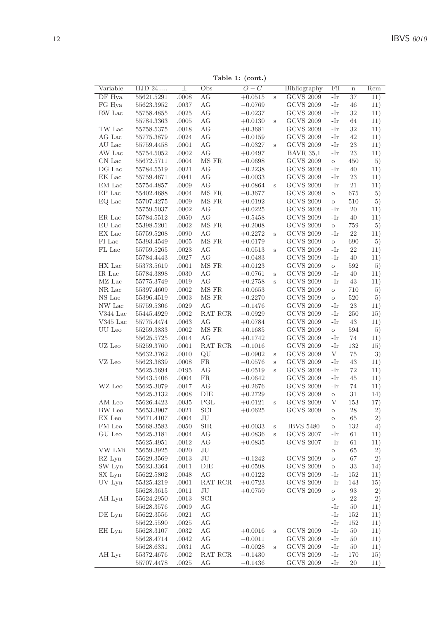Table 1: (cont.)

|            |                          |          |            | rable $\mathbf{r}$ : (com.) |         |                  |              |             |     |
|------------|--------------------------|----------|------------|-----------------------------|---------|------------------|--------------|-------------|-----|
| Variable   | HJD 24                   | $_{\pm}$ | Obs        | $\overline{O-C}$            |         | Bibliography     | Fil          | $\mathbf n$ | Rem |
| DF Hya     | 55621.5291               | .0008    | AG         | $+0.0515$                   | S       | <b>GCVS 2009</b> | -Ir          | 37          | 11) |
| FG Hya     | 55623.3952               | .0037    | AG         | $-0.0769$                   |         | <b>GCVS 2009</b> | -Ir          | 46          | 11) |
| RW Lac     | 55758.4855               | .0025    | AG         | $-0.0237$                   |         | <b>GCVS 2009</b> | -Ir          | 32          | 11) |
|            | 55784.3363               | .0005    | AG         | $+0.0130$                   | $\rm s$ | <b>GCVS 2009</b> | -Ir          | 64          | 11) |
| TW Lac     | 55758.5375               | .0018    | AG         | $+0.3681$                   |         | <b>GCVS 2009</b> | -Ir          | 32          | 11) |
| AG Lac     | 55775.3879               | .0024    | AG         | $-0.0159$                   |         | <b>GCVS 2009</b> | -Ir          | 42          | 11) |
| AU Lac     | 55759.4458               | .0001    | AG         | $-0.0327$                   | S       | <b>GCVS 2009</b> | -Ir          | 23          | 11) |
| AW Lac     | 55754.5052               | .0002    | AG         | $+0.0497$                   |         | <b>BAVR</b> 35,1 | -Ir          | 23          | 11) |
| CN Lac     | 55672.5711               | .0004    | MS FR      | $-0.0698$                   |         | <b>GCVS 2009</b> | $\rm{O}$     | 450         | 5)  |
| DG Lac     | 55784.5519               | .0021    | AG         | $-0.2238$                   |         | <b>GCVS 2009</b> | -Ir          | 40          | 11) |
| EK Lac     | 55759.4671               | .0041    | AG         | $-0.0033$                   |         | <b>GCVS 2009</b> | -Ir          | 23          | 11) |
| EM Lac     | 55754.4857               | .0009    | AG         | $+0.0864$                   | S       | <b>GCVS 2009</b> | -Ir          | 21          | 11) |
| EP Lac     | 55402.4688               | .0004    | MS FR      | $-0.3677$                   |         | <b>GCVS 2009</b> | $\circ$      | 675         | 5)  |
| EQ Lac     | 55707.4275               | .0009    | MS FR      | $+0.0192$                   |         | <b>GCVS 2009</b> | $\rm _O$     | 510         | 5)  |
|            | 55759.5037               | .0002    | AG         | $+0.0225$                   |         | <b>GCVS 2009</b> | -Ir          | 20          | 11) |
| ER Lac     | 55784.5512               | .0050    | AG         | $-0.5458$                   |         | <b>GCVS 2009</b> | -Ir          | 40          | 11) |
| EU Lac     | 55398.5201               | .0002    | MS FR      | $+0.2008$                   |         | <b>GCVS 2009</b> | $\rm _O$     | 759         | 5)  |
| EX Lac     | 55759.5208               | .0090    | AG         | $+0.2272$                   | S       | <b>GCVS 2009</b> | -Ir          | 22          | 11) |
| FI Lac     | 55393.4549               | .0005    | MS FR      | $+0.0179$                   |         | <b>GCVS 2009</b> | $\rm _O$     | 690         | 5)  |
| FL Lac     | 55759.5265               | .0023    | AG         | $-0.0513$                   | $\rm s$ | <b>GCVS 2009</b> | -Ir          | $22\,$      | 11) |
|            | 55784.4443               | .0027    | AG         | $-0.0483$                   |         | <b>GCVS 2009</b> | -Ir          | 40          | 11) |
| HX Lac     | 55373.5619               | .0001    | MS FR      | $+0.0123$                   |         | <b>GCVS 2009</b> | $\rm _O$     | 592         | 5)  |
| IR Lac     | 55784.3898               | .0030    | AG         | $-0.0761$                   | S       | <b>GCVS 2009</b> | -Ir          | 40          | 11) |
| MZ Lac     | 55775.3749               | .0019    | AG         | $+0.2758$                   | s       | <b>GCVS 2009</b> | -Ir          | 43          | 11) |
| NR Lac     | 55397.4609               | .0002    | MS FR      | $+0.0653$                   |         | <b>GCVS 2009</b> | $\circ$      | 710         | 5)  |
| NS Lac     | 55396.4519               | .0003    | MS FR      | $-0.2270$                   |         | <b>GCVS 2009</b> | $\rm _O$     | 520         | 5)  |
| NW Lac     | 55759.5306               | .0029    | AG         | $-0.1476$                   |         | <b>GCVS 2009</b> | -Ir          | 23          | 11) |
| V344 Lac   | 55445.4929               | .0002    | RAT RCR    | $-0.0929$                   |         | <b>GCVS 2009</b> | -Ir          | 250         | 15) |
| $V345$ Lac | 55775.4474               | .0063    | AG         | $+0.0784$                   |         | <b>GCVS 2009</b> | -Ir          | 43          | 11) |
| UU Leo     | 55259.3833               | .0002    | MS FR      | $+0.1685$                   |         | <b>GCVS 2009</b> | $\rm _O$     | 594         | 5)  |
|            | 55625.5725               | .0014    | AG         | $+0.1742$                   |         | <b>GCVS 2009</b> | -Ir          | 74          | 11) |
| UZ Leo     | 55259.3760               | .0001    | RAT RCR    | $-0.1016$                   |         | <b>GCVS 2009</b> | -Ir          | 132         | 15) |
|            | 55632.3762               | .0010    | QU         | $-0.0902$                   | S       | <b>GCVS 2009</b> | V            | 75          | 3)  |
| VZ Leo     | 55623.3839               | .0008    | FR         | $-0.0576$                   | S       | <b>GCVS 2009</b> | -Ir          | 43          | 11) |
|            | 55625.5694               | .0195    | AG         | $-0.0519$                   | S       | <b>GCVS 2009</b> | -Ir          | 72          | 11) |
|            |                          |          | FR.        |                             |         | <b>GCVS 2009</b> | -Ir          | 45          |     |
| WZ Leo     | 55643.5406<br>55625.3079 | .0004    | AG         | $-0.0642$                   |         | <b>GCVS 2009</b> | -Ir          | 74          | 11) |
|            | 55625.3132               | .0017    | DIE        | $+0.2676$                   |         | <b>GCVS 2009</b> |              | 31          | 11) |
|            |                          | .0008    |            | $+0.2729$                   |         |                  | $\circ$<br>V |             | 14) |
| AM Leo     | 55626.4423               | .0035    | PGL        | $+0.0121$                   | S       | <b>GCVS 2009</b> |              | 153         | 17) |
| BW Leo     | 55653.3907               | .0021    | SCI        | $+0.0625$                   |         | <b>GCVS 2009</b> | $\circ$      | 28          | 2)  |
| EX Leo     | 55671.4107               | .0004    | JU         |                             |         |                  | $\circ$      | 65          | 2)  |
| FM Leo     | 55668.3583               | .0050    | <b>SIR</b> | $+0.0033$                   | Ś       | <b>IBVS 5480</b> | $\rm{O}$     | 132         | 4)  |
| GU Leo     | 55625.3181               | .0004    | AG         | $+0.0836$                   | S       | <b>GCVS 2007</b> | -Ir          | 61          | 11) |
|            | 55625.4951               | .0012    | AG         | $+0.0835$                   |         | <b>GCVS 2007</b> | -Ir          | 61          | 11) |
| VW LMi     | 55659.3925               | .0020    | JU         |                             |         |                  | $\circ$      | 65          | 2)  |
| RZ Lyn     | 55629.3569               | .0013    | JU         | $-0.1242$                   |         | <b>GCVS 2009</b> | $\circ$      | 67          | 2)  |
| SW Lyn     | 55623.3364               | .0011    | DIE        | $+0.0598$                   |         | <b>GCVS 2009</b> | $\circ$      | 33          | 14) |
| SX Lyn     | 55622.5802               | .0048    | AG         | $+0.0122$                   |         | <b>GCVS 2009</b> | -Ir          | 152         | 11) |
| UV Lyn     | 55325.4219               | .0001    | RAT RCR    | $+0.0723$                   |         | <b>GCVS 2009</b> | -Ir          | 143         | 15) |
|            | 55628.3615               | .0011    | JU         | $+0.0759$                   |         | <b>GCVS 2009</b> | $\rm _O$     | 93          | 2)  |
| AH Lyn     | 55624.2950               | .0013    | SCI        |                             |         |                  | $\rm _O$     | $22\,$      | 2)  |
|            | 55628.3576               | .0009    | AG         |                             |         |                  | -Ir          | 50          | 11) |
| DE Lyn     | 55622.3556               | .0021    | AG         |                             |         |                  | -Ir          | 152         | 11) |
|            | 55622.5590               | .0025    | AG         |                             |         |                  | -Ir          | 152         | 11) |
| EH Lyn     | 55628.3107               | .0032    | AG         | $+0.0016$                   | S       | <b>GCVS 2009</b> | -Ir          | 50          | 11) |
|            | 55628.4714               | .0042    | AG         | $-0.0011$                   |         | <b>GCVS 2009</b> | -Ir          | 50          | 11) |
|            | 55628.6331               | .0031    | AG         | $-0.0028$                   | S       | <b>GCVS 2009</b> | -Ir          | 50          | 11) |
|            |                          |          |            |                             |         |                  |              |             |     |
| AH Lyr     | 55372.4676               | .0002    | RAT RCR    | $-0.1430$                   |         | <b>GCVS 2009</b> | -Ir          | 170         | 15) |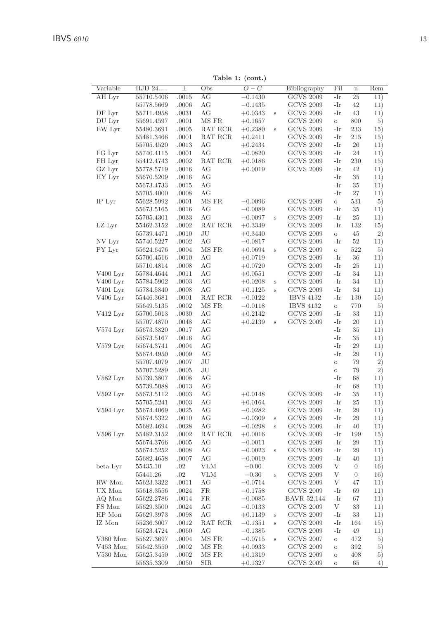Table 1: (cont.)

| Variable               | HJD 24     | $\pm$ | Obs            | $\overline{O}-C$ |         | Bibliography                         | Fil      | $\mathbf n$      | Rem           |
|------------------------|------------|-------|----------------|------------------|---------|--------------------------------------|----------|------------------|---------------|
| AH Lyr                 | 55710.5406 | .0015 | AG             | $-0.1430$        |         | <b>GCVS 2009</b>                     | -Ir      | 25               | 11)           |
|                        | 55778.5669 | .0006 | AG             | $-0.1435$        |         | <b>GCVS 2009</b>                     | -Ir      | 42               | 11)           |
| DF Lyr                 | 55711.4958 | .0031 | AG             | $+0.0343$        | S       | <b>GCVS 2009</b>                     | -Ir      | 43               | 11)           |
| DU Lyr                 | 55691.4597 | .0001 | MS FR          | $+0.1657$        |         | <b>GCVS 2009</b>                     | $\circ$  | 800              | 5)            |
| EW Lyr                 | 55480.3691 | .0005 | RAT RCR        | $+0.2380$        | S       | <b>GCVS 2009</b>                     | -Ir      | 233              | 15)           |
|                        | 55481.3466 | .0001 | RAT RCR        | $+0.2411$        |         | <b>GCVS 2009</b>                     | -Ir      | 215              | 15)           |
|                        | 55705.4520 | .0013 | AG             | $+0.2434$        |         | <b>GCVS 2009</b>                     | -Ir      | $\sqrt{26}$      | 11)           |
| FG Lyr                 | 55740.4115 | .0001 | AG             | $-0.0820$        |         | <b>GCVS 2009</b>                     | -Ir      | 24               | 11)           |
| FH Lyr                 | 55412.4743 | .0002 | RAT RCR        | $+0.0186$        |         | <b>GCVS 2009</b>                     | -Ir      | 230              | 15)           |
| GZ Lyr                 | 55778.5719 | .0016 | AG             | $+0.0019$        |         | <b>GCVS 2009</b>                     | -Ir      | 42               | 11)           |
| HY Lyr                 | 55670.5209 | .0016 | AG             |                  |         |                                      | -Ir      | 35               | 11)           |
|                        | 55673.4733 | .0015 | AG             |                  |         |                                      | -Ir      | 35               | 11)           |
|                        | 55705.4000 | .0008 | AG             |                  |         |                                      | -Ir      | 27               | 11)           |
| IP Lyr                 | 55628.5992 | .0001 | MS FR          | $-0.0096$        |         | <b>GCVS 2009</b>                     | $\rm{O}$ | 531              | 5)            |
|                        | 55673.5165 | .0016 | AG             | $-0.0089$        |         | <b>GCVS 2009</b>                     | -Ir      | 35               | 11)           |
|                        | 55705.4301 | .0033 | AG             | $-0.0097$        | $\rm s$ | <b>GCVS 2009</b>                     | -Ir      | 25               | 11)           |
| LZ Lyr                 | 55462.3152 | .0002 | RAT RCR        | $+0.3349$        |         | <b>GCVS 2009</b>                     | -Ir      | 132              | 15)           |
|                        | 55739.4471 | .0010 | JU             | $+0.3440$        |         | <b>GCVS 2009</b>                     | $\circ$  | 45               | 2)            |
| NV Lyr                 | 55740.5227 | .0002 | AG             | $-0.0817$        |         | <b>GCVS 2009</b>                     | -Ir      | 52               | 11)           |
| PY Lyr                 | 55624.6476 | .0004 | MS FR          | $+0.0694$        | $\rm s$ | <b>GCVS 2009</b>                     | $\circ$  | 522              | 5)            |
|                        | 55700.4516 | .0010 | AG             | $+0.0719$        |         | <b>GCVS 2009</b>                     | -Ir      | 36               | 11)           |
|                        | 55710.4814 | .0008 | AG             | $+0.0720$        |         | <b>GCVS 2009</b>                     | -Ir      | 25               | 11)           |
| V400 Lyr               | 55784.4644 | .0011 | AG             | $+0.0551$        |         | <b>GCVS 2009</b>                     | -Ir      | 34               | 11)           |
| $V400$ Lyr             | 55784.5902 | .0003 | AG             | $+0.0208$        | $\rm s$ | <b>GCVS 2009</b>                     | -Ir      | 34               | 11)           |
| $V401$ Lyr             | 55784.5840 | .0008 | AG             | $+0.1125$        | S       | <b>GCVS 2009</b>                     | -Ir      | 34               | 11)           |
| $V406$ Lyr             | 55446.3681 | .0001 | RAT RCR        | $-0.0122$        |         | <b>IBVS 4132</b>                     | -Ir      | 130              | 15)           |
|                        | 55649.5135 | .0002 | MS FR          | $-0.0118$        |         | <b>IBVS 4132</b>                     | $\circ$  | 770              | 5)            |
| V412 Lyr               | 55700.5013 | .0030 | AG             | $+0.2142$        |         | <b>GCVS 2009</b>                     | -Ir      | 33               | 11)           |
|                        | 55707.4870 | .0048 | AG             | $+0.2139$        | S       | <b>GCVS 2009</b>                     | -Ir      | 20               | 11)           |
| $V574$ Lyr             | 55673.3820 | .0017 | AG             |                  |         |                                      | -Ir      | 35               | 11)           |
|                        | 55673.5167 | .0016 | AG             |                  |         |                                      | -Ir      | 35               | 11)           |
| $V579$ Lyr             | 55674.3741 | .0004 | AG             |                  |         |                                      | -Ir      | 29               | 11)           |
|                        | 55674.4950 | .0009 | AG             |                  |         |                                      | -Ir      | 29               | 11)           |
|                        | 55707.4079 | .0007 | $_{\rm JU}$    |                  |         |                                      | $\rm{O}$ | 79               | 2)            |
|                        | 55707.5289 | .0005 | $\rm{J}U$      |                  |         |                                      | $\circ$  | 79               | 2)            |
| $V582$ Lyr             | 55739.3807 | .0008 | AG             |                  |         |                                      | -Ir      | 68               | 11)           |
|                        | 55739.5088 | .0013 | AG             |                  |         |                                      | -Ir      | 68               | 11)           |
| $V592$ Lyr             | 55673.5112 | .0003 | AG             | $+0.0148$        |         | <b>GCVS 2009</b>                     | -Ir      | 35               | 11)           |
|                        | 55705.5241 | .0003 | AG             | $+0.0164$        |         | <b>GCVS 2009</b>                     | -Ir      | 25               | 11)           |
| $V594$ Lyr             | 55674.4069 | .0025 | AG             | $-0.0282$        |         | <b>GCVS 2009</b>                     | -Ir      | 29               | 11)           |
|                        | 55674.5322 | .0010 | AG             | $-0.0309$        | $\rm s$ | <b>GCVS 2009</b>                     | -Ir      | 29               | 11)           |
|                        | 55682.4694 | .0028 | AG             | $-0.0298$        | S       | <b>GCVS 2009</b>                     | -Ir      | 40               | 11)           |
| $V596$ Lyr             | 55482.3152 | .0002 | RAT RCR        | $+0.0016$        |         | <b>GCVS 2009</b>                     | -Ir      | 199              | 15)           |
|                        | 55674.3766 | .0005 | AG             | $-0.0011$        |         | <b>GCVS 2009</b>                     | -Ir      | 29               | 11)           |
|                        | 55674.5252 | .0008 | AG             | $-0.0023$        | $\,$ s  | <b>GCVS 2009</b>                     | -Ir      | 29               | 11)           |
|                        | 55682.4658 | .0007 | AG             | $-0.0019$        |         | <b>GCVS 2009</b>                     | -Ir      | 40               | 11)           |
| beta Lyr               | 55435.10   | .02   | <b>VLM</b>     | $+0.00$          |         | <b>GCVS 2009</b>                     | V        | $\boldsymbol{0}$ | 16)           |
|                        | 55441.26   | .02   | <b>VLM</b>     | $-0.30$          | S       | <b>GCVS 2009</b>                     | V        | $\boldsymbol{0}$ | 16)           |
| RW Mon                 | 55623.3322 | .0011 | AG             | $-0.0714$        |         | <b>GCVS 2009</b>                     | V        | 47               | 11)           |
| UX Mon                 | 55618.3556 | .0024 | <b>FR</b>      | $-0.1758$        |         | <b>GCVS 2009</b>                     | -Ir      | 69               | 11)           |
| AQ Mon                 | 55622.2786 | .0014 | <b>FR</b>      | $-0.0085$        |         | <b>BAVR 52,144</b>                   | -Ir      | 67               | 11)           |
| FS Mon                 | 55629.3500 | .0024 | AG             | $-0.0133$        |         | <b>GCVS 2009</b>                     | V        | 33               | 11)           |
| HP Mon                 | 55629.3973 | .0098 | AG             | $+0.1139$        | $\,$ s  | <b>GCVS 2009</b>                     | -Ir      | 33               | 11)           |
| IZ Mon                 | 55236.3007 | .0012 | RAT RCR        | $-0.1351$        | $\rm s$ | <b>GCVS 2009</b>                     | -Ir      | 164              | 15)           |
|                        | 55623.4724 | .0060 | AG             | $-0.1385$        |         | <b>GCVS 2009</b>                     | -Ir      | 49               | 11)           |
| V380 Mon               | 55627.3697 | .0004 | MS FR          | $-0.0715$        | S       | <b>GCVS 2007</b>                     | $\circ$  | 472              | 5)            |
| V453 Mon<br>$V530$ Mon | 55642.3550 | .0002 | MS FR<br>MS FR | $+0.0933$        |         | <b>GCVS 2009</b><br><b>GCVS 2009</b> | $\circ$  | 392<br>408       | 5)            |
|                        | 55625.3450 | .0002 |                | $+0.1319$        |         | <b>GCVS 2009</b>                     | $\circ$  | 65               | 5)<br>$^{4)}$ |
|                        | 55635.3309 | .0050 | <b>SIR</b>     | $+0.1327$        |         |                                      | $\circ$  |                  |               |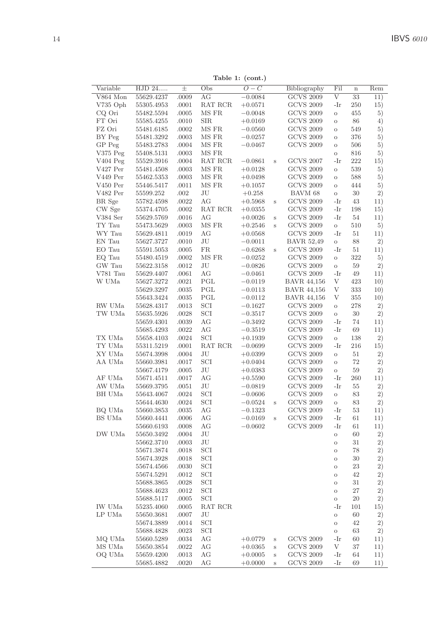Table 1: (cont.)

| Variable   | HJD 24     | $_{\pm}$  | Obs          | $\cdots$<br>$\overline{O-C}$ |         | Bibliography       | Fil        | $\mathbf n$ | Rem |
|------------|------------|-----------|--------------|------------------------------|---------|--------------------|------------|-------------|-----|
| V864 Mon   | 55629.4237 | .0009     | AG           | $-0.0084$                    |         | <b>GCVS 2009</b>   | $_{\rm V}$ | 33          | 11) |
| V735 Oph   | 55305.4953 | .0001     | RAT RCR      | $+0.0571$                    |         | <b>GCVS 2009</b>   | -Ir        | 250         | 15) |
| CQ Ori     | 55482.5594 | .0005     | MS FR        | $-0.0048$                    |         | <b>GCVS 2009</b>   | $\rm{O}$   | 455         | 5)  |
| FT Ori     | 55585.4255 | .0010     | <b>SIR</b>   | $+0.0169$                    |         | <b>GCVS 2009</b>   | $\circ$    | $86\,$      | 4)  |
| FZ Ori     | 55481.6185 | $.0002\,$ | MS FR        | $-0.0560$                    |         | <b>GCVS 2009</b>   | $\circ$    | 549         | 5)  |
| BY Peg     | 55481.3292 | $.0003\,$ | MS FR        | $-0.0257$                    |         | <b>GCVS 2009</b>   | $\circ$    | 376         | 5)  |
| GP Peg     | 55483.2783 | .0004     | MS FR        | $-0.0467$                    |         | <b>GCVS 2009</b>   | $\circ$    | 506         | 5)  |
| $V375$ Peg | 55408.5131 | .0003     | MS FR        |                              |         |                    | $\circ$    | 816         | 5)  |
| V404 Peg   | 55529.3916 | .0004     | RAT RCR      | $-0.0861$                    | S       | <b>GCVS 2007</b>   | -Ir        | 222         | 15) |
| V427 Per   | 55481.4508 | .0003     | MS FR        | $+0.0128$                    |         | <b>GCVS 2009</b>   | $\circ$    | 539         | 5)  |
| V449 Per   | 55462.5353 | .0003     | MS FR        | $+0.0498$                    |         | <b>GCVS 2009</b>   | $\circ$    | 588         | 5)  |
| $V450$ Per | 55446.5417 | .0011     | MS FR        | $+0.1057$                    |         | <b>GCVS 2009</b>   | $\circ$    | 444         | 5)  |
| V482 Per   | 55599.252  | $.002\,$  | JU           | $+0.258$                     |         | BAVM 68            | $\rm{O}$   | 30          | 2)  |
| BR Sge     | 55782.4598 | .0022     | AG           | $+0.5968$                    | S       | <b>GCVS 2009</b>   | -Ir        | 43          | 11) |
| CW Sge     | 55374.4705 | .0002     | RAT RCR      | $+0.0355$                    |         | <b>GCVS 2009</b>   | -Ir        | 198         | 15) |
| V384 Ser   | 55629.5769 | .0016     | AG           | $+0.0026$                    | S       | <b>GCVS 2009</b>   | -Ir        | 54          | 11) |
| TY Tau     | 55473.5629 | .0003     | MS FR        | $+0.2546$                    | S       | <b>GCVS 2009</b>   | $\circ$    | 510         | 5)  |
| WY Tau     | 55629.4811 | .0019     | АG           | $+0.0568$                    |         | <b>GCVS 2009</b>   | -Ir        | 51          | 11) |
| EN Tau     | 55627.3727 | .0010     | JU           | $-0.0011$                    |         | <b>BAVR 52,49</b>  | $\circ$    | 88          | 2)  |
| EO Tau     | 55591.5053 | .0005     | FR.          | $-0.6268$                    | S       | <b>GCVS 2009</b>   | -Ir        | 51          | 11) |
| EQ Tau     | 55480.4519 | .0002     | MS FR        | $-0.0252$                    |         | <b>GCVS 2009</b>   | $\circ$    | 322         | 5)  |
| GW Tau     | 55622.3158 | .0012     | JU           | $-0.0826$                    |         | <b>GCVS 2009</b>   | $\circ$    | 59          | 2)  |
| V781 Tau   | 55629.4407 | .0061     | AG           | $-0.0461$                    |         | <b>GCVS 2009</b>   | -Ir        | 49          | 11) |
| W UMa      | 55627.3272 | .0021     | $_{\rm PGL}$ | $-0.0119$                    |         | <b>BAVR 44,156</b> | $\bar{V}$  | 423         | 10) |
|            | 55629.3297 | .0035     | $_{\rm PGL}$ | $-0.0113$                    |         | <b>BAVR 44,156</b> | V          | 333         | 10) |
|            | 55643.3424 | .0035     | $_{\rm PGL}$ | $-0.0112$                    |         | <b>BAVR 44,156</b> | V          | 355         | 10) |
| RW UMa     | 55628.4317 | .0013     | SCI          | $-0.1627$                    |         | <b>GCVS 2009</b>   | $\circ$    | 278         | 2)  |
| TW UMa     | 55635.5926 | .0028     | SCI          | $-0.3517$                    |         | <b>GCVS 2009</b>   | $\circ$    | $30\,$      | 2)  |
|            | 55659.4301 | .0039     | AG           | $-0.3492$                    |         | <b>GCVS 2009</b>   | -Ir        | 74          | 11) |
|            | 55685.4293 | .0022     | AG           | $-0.3519$                    |         | <b>GCVS 2009</b>   | -Ir        | 69          | 11) |
| TX UMa     | 55658.4103 | .0024     | SCI          | $+0.1939$                    |         | <b>GCVS 2009</b>   | $\circ$    | 138         | 2)  |
| TY UMa     | 55311.5219 | .0001     | RAT RCR      | $-0.0699$                    |         | <b>GCVS 2009</b>   | -Ir        | 216         | 15) |
| XY UMa     | 55674.3998 | .0004     | JU           | $+0.0399$                    |         | <b>GCVS 2009</b>   | $\circ$    | 51          | 2)  |
| AA UMa     | 55660.3981 | .0017     | SCI          | $+0.0404$                    |         | <b>GCVS 2009</b>   | $\circ$    | 72          | 2)  |
|            | 55667.4179 | .0005     | JU           | $+0.0383$                    |         | <b>GCVS 2009</b>   | $\rm{O}$   | 59          | 2)  |
| AF UMa     | 55671.4511 | .0017     | AG           | $+0.5590$                    |         | <b>GCVS 2009</b>   | -Ir        | 260         | 11) |
| AW UMa     | 55669.3795 | .0051     | JU           | $-0.0819$                    |         | <b>GCVS 2009</b>   | -Ir        | 55          | 2)  |
| BH UMa     | 55643.4067 | .0024     | SCI          | $-0.0606$                    |         | <b>GCVS 2009</b>   | $\rm{O}$   | 83          | 2)  |
|            | 55644.4630 | .0024     | SCI          | $-0.0524$                    | $\rm s$ | <b>GCVS 2009</b>   | $\rm{O}$   | 83          | 2)  |
| BQ UMa     | 55660.3853 | .0035     | АG           | $-0.1323$                    |         | <b>GCVS 2009</b>   | -Ir        | 53          | 11) |
| BS UMa     | 55660.4441 | .0006     | AG           | $-0.0169$                    | S       | <b>GCVS 2009</b>   | -Ir        | 61          | 11) |
|            | 55660.6193 | .0008     | AG           | $-0.0602$                    |         | <b>GCVS 2009</b>   | -Ir        | 61          | 11) |
| DW UMa     | 55650.3492 | .0004     | JU           |                              |         |                    | $\circ$    | 60          | 2)  |
|            | 55662.3710 | .0003     | JU           |                              |         |                    | $\circ$    | 31          | 2)  |
|            | 55671.3874 | .0018     | SCI          |                              |         |                    | $\circ$    | 78          | 2)  |
|            | 55674.3928 | .0018     | SCI          |                              |         |                    | $\circ$    | 30          | 2)  |
|            | 55674.4566 | .0030     | SCI          |                              |         |                    |            | 23          |     |
|            |            |           |              |                              |         |                    | $\circ$    | 42          | 2)  |
|            | 55674.5291 | .0012     | SCI<br>SCI   |                              |         |                    | $\circ$    | 31          | 2)  |
|            | 55688.3865 | .0028     |              |                              |         |                    | $\circ$    | 27          | 2)  |
|            | 55688.4623 | .0012     | SCI          |                              |         |                    | $\circ$    |             | 2)  |
|            | 55688.5117 | .0005     | SCI          |                              |         |                    | $\rm{O}$   | 20          | 2)  |
| IW UMa     | 55235.4060 | .0005     | RAT RCR      |                              |         |                    | -Ir        | 101         | 15) |
| LP UMa     | 55650.3681 | .0007     | JU           |                              |         |                    | $\rm{O}$   | 60          | 2)  |
|            | 55674.3889 | .0014     | SCI          |                              |         |                    | $\circ$    | 42          | 2)  |
|            | 55688.4828 | .0023     | SCI          |                              |         |                    | $\rm{O}$   | 63          | 2)  |
| MQ UMa     | 55660.5289 | .0034     | AG           | $+0.0779$                    | S       | <b>GCVS 2009</b>   | -Ir        | 60          | 11) |
| MS UMa     | 55650.3854 | .0022     | AG           | $+0.0365$                    | S       | <b>GCVS 2009</b>   | V          | 37          | 11) |
| OQ UMa     | 55659.4200 | .0013     | AG           | $+0.0005$                    | S       | <b>GCVS 2009</b>   | -Ir        | 64          | 11) |
|            | 55685.4882 | .0020     | AG           | $+0.0000$                    | S       | <b>GCVS 2009</b>   | -Ir        | 69          | 11) |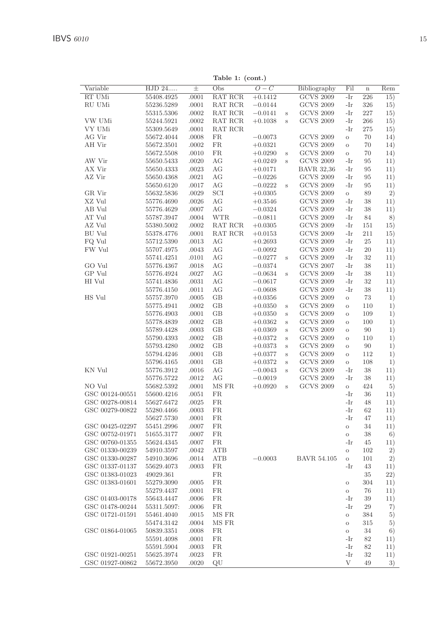|                 |            |           | Table 1: (cont.) |                  |         |                   |                  |         |     |
|-----------------|------------|-----------|------------------|------------------|---------|-------------------|------------------|---------|-----|
| Variable        | HJD 24     | $\pm$     | Obs              | $\overline{O-C}$ |         | Bibliography      | $\overline{Fil}$ | $\bf n$ | Rem |
| RT UMi          | 55408.4925 | .0001     | <b>RAT RCR</b>   | $+0.1412$        |         | <b>GCVS 2009</b>  | $-Ir$            | 226     | 15) |
| RU UMi          | 55236.5289 | .0001     | RAT RCR          | $-0.0144$        |         | <b>GCVS 2009</b>  | -Ir              | 326     | 15) |
|                 | 55315.5306 | .0002     | RAT RCR          | $-0.0141$        | $\rm s$ | <b>GCVS 2009</b>  | -Ir              | 227     | 15) |
| VW UMi          | 55244.5921 | .0002     | RAT RCR          | $+0.1038$        | S       | <b>GCVS 2009</b>  | -Ir              | 266     | 15) |
| VY UMi          | 55309.5649 | .0001     | RAT RCR          |                  |         |                   | -Ir              | 275     | 15) |
| AG Vir          | 55672.4044 | .0008     | FR.              | $-0.0073$        |         | <b>GCVS 2009</b>  | $\circ$          | 70      | 14) |
| AH Vir          | 55672.3501 | .0002     | ${\rm FR}$       | $+0.0321$        |         | <b>GCVS 2009</b>  | $\circ$          | 70      | 14) |
|                 | 55672.5508 | .0010     | ${\rm FR}$       | $+0.0290$        | $\rm s$ | <b>GCVS 2009</b>  | $\circ$          | 70      | 14) |
| AW Vir          | 55650.5433 | .0020     | AG               | $+0.0249$        | s       | <b>GCVS 2009</b>  | -Ir              | 95      | 11) |
| AX Vir          | 55650.4333 | .0023     | AG               | $+0.0171$        |         | <b>BAVR 32,36</b> | -Ir              | 95      | 11) |
| AZ Vir          | 55650.4368 | .0021     | AG               | $-0.0226$        |         | <b>GCVS 2009</b>  | -Ir              | 95      | 11) |
|                 | 55650.6120 | .0017     | AG               | $-0.0222$        | S       | <b>GCVS 2009</b>  | -Ir              | 95      | 11) |
| GR Vir          | 55632.5836 | .0029     | SCI              | $+0.0305$        |         | <b>GCVS 2009</b>  | $\mathbf{o}$     | 89      | 2)  |
| XZ Vul          | 55776.4690 | .0026     | AG               | $+0.3546$        |         | <b>GCVS 2009</b>  | -Ir              | 38      | 11) |
| AB Vul          | 55776.4629 | .0007     | AG               | $-0.0324$        |         | <b>GCVS 2009</b>  | -Ir              | $38\,$  | 11) |
| AT Vul          | 55787.3947 | .0004     | <b>WTR</b>       | $-0.0811$        |         | <b>GCVS 2009</b>  | -Ir              | 84      | 8)  |
| AZ Vul          | 55380.5002 | $.0002\,$ | RAT RCR          | $+0.0305$        |         | <b>GCVS 2009</b>  | -Ir              | 151     | 15) |
| BU Vul          | 55378.4776 | .0001     | RAT RCR          | $+0.0153$        |         | <b>GCVS 2009</b>  | -Ir              | 211     | 15) |
| FQ Vul          | 55712.5390 | .0013     | АG               | $+0.2693$        |         | $\rm GCVS$ 2009   | -Ir              | 25      | 11) |
| FW Vul          | 55707.4975 | .0043     | AG               | $-0.0092$        |         | <b>GCVS 2009</b>  | -Ir              | $20\,$  | 11) |
|                 | 55741.4251 | .0101     | AG               | $-0.0277$        | $\,$ s  | <b>GCVS 2009</b>  | -Ir              | 32      | 11) |
| GO Vul          | 55776.4367 | .0018     | AG               | $-0.0374$        |         | <b>GCVS 2007</b>  | -Ir              | 38      | 11) |
| GP Vul          | 55776.4924 | .0027     | AG               | $-0.0634$        | $\,$ s  | <b>GCVS 2009</b>  | -Ir              | 38      | 11) |
| HI Vul          | 55741.4836 | $.0031\,$ | АG               | $-0.0617$        |         | <b>GCVS 2009</b>  | -Ir              | 32      | 11) |
|                 | 55776.4150 | .0011     | AG               | $-0.0608$        |         | <b>GCVS 2009</b>  | -Ir              | 38      | 11) |
| HS Vul          | 55757.3970 | .0005     | GB               | $+0.0356$        |         | <b>GCVS 2009</b>  | $\mathcal O$     | 73      | 1)  |
|                 | 55775.4941 | .0002     | GB               | $+0.0350$        | $\,$ s  | <b>GCVS 2009</b>  | $\circ$          | 110     | 1)  |
|                 | 55776.4903 | .0001     | GB               | $+0.0350$        | s       | <b>GCVS 2009</b>  | $\circ$          | 109     | 1)  |
|                 | 55778.4839 | .0002     | GB               | $+0.0362$        | $\,$ s  | <b>GCVS 2009</b>  | $\circ$          | 100     | 1)  |
|                 | 55789.4428 | .0003     | GB               | $+0.0369$        | $\,$ s  | <b>GCVS 2009</b>  | $\circ$          | 90      | 1)  |
|                 | 55790.4393 | $.0002\,$ | GB               | $+0.0372$        | $\,$ s  | <b>GCVS 2009</b>  | $\circ$          | 110     | 1)  |
|                 | 55793.4280 | .0002     | GB               | $+0.0373$        | $\,$ s  | <b>GCVS 2009</b>  | $\circ$          | 90      | 1)  |
|                 | 55794.4246 | .0001     | GB               | $+0.0377$        | $\,$ s  | <b>GCVS 2009</b>  | $\circ$          | 112     | 1)  |
|                 | 55796.4165 | .0001     | GB               | $+0.0372$        | $\,$ s  | <b>GCVS 2009</b>  | $\circ$          | 108     | 1)  |
| KN Vul          | 55776.3912 | .0016     | AG               | $-0.0043$        | $\,$ s  | <b>GCVS 2009</b>  | -Ir              | 38      | 11) |
|                 | 55776.5722 | .0012     | AG               | $-0.0019$        |         | <b>GCVS 2009</b>  | -Ir              | 38      | 11) |
| NO Vul          | 55682.5392 | .0001     | MS FR            | $+0.0920$        | $\rm s$ | <b>GCVS 2009</b>  | $\mathbf{o}$     | 424     | 5)  |
| GSC 00124-00551 | 55600.4216 | .0051     | FR.              |                  |         |                   | -Ir              | 36      | 11) |
| GSC 00278-00814 | 55627.6472 | .0025     | FR.              |                  |         |                   | -Ir              | 48      | 11) |
| GSC 00279-00822 | 55280.4466 | .0003     | <b>FR</b>        |                  |         |                   | -Ir              | 62      | 11) |
|                 | 55627.5730 | .0001     | FR               |                  |         |                   | -Ir              | 47      | 11) |
| GSC 00425-02297 | 55451.2996 | .0007     | <b>FR</b>        |                  |         |                   | $\mathcal O$     | 34      | 11) |

| KN Vul          | 55776.3912  | .0016 | АG        | $-0.0043$ | S | GCVS 2009          | -Ir      | 38  | 11)  |
|-----------------|-------------|-------|-----------|-----------|---|--------------------|----------|-----|------|
|                 | 55776.5722  | .0012 | AG        | $-0.0019$ |   | <b>GCVS 2009</b>   | -Ir      | 38  | 11)  |
| NO Vul          | 55682.5392  | .0001 | MS FR     | $+0.0920$ | s | <b>GCVS 2009</b>   | $\circ$  | 424 | 5)   |
| GSC 00124-00551 | 55600.4216  | .0051 | <b>FR</b> |           |   |                    | -Ir      | 36  | 11)  |
| GSC 00278-00814 | 55627.6472  | .0025 | <b>FR</b> |           |   |                    | -Ir      | 48  | 11)  |
| GSC 00279-00822 | 55280.4466  | .0003 | <b>FR</b> |           |   |                    | -Ir      | 62  | 11)  |
|                 | 55627.5730  | .0001 | <b>FR</b> |           |   |                    | -Ir      | 47  | 11)  |
| GSC 00425-02297 | 55451.2996  | .0007 | <b>FR</b> |           |   |                    | $\circ$  | 34  | 11)  |
| GSC 00752-01971 | 51655.3177  | .0007 | <b>FR</b> |           |   |                    | $\circ$  | 38  | 6)   |
| GSC 00760-01355 | 55624.4345  | .0007 | <b>FR</b> |           |   |                    | -Ir      | 45  | 11)  |
| GSC 01330-00239 | 54910.3597  | .0042 | ATB       |           |   |                    | $\circ$  | 102 | 2)   |
| GSC 01330-00287 | 54910.3696  | .0014 | ATB       | $-0.0003$ |   | <b>BAVR 54.105</b> | $\circ$  | 101 | 2)   |
| GSC 01337-01137 | 55629.4073  | .0003 | <b>FR</b> |           |   |                    | -Ir      | 43  | 11)  |
| GSC 01383-01023 | 49029.361   |       | <b>FR</b> |           |   |                    |          | 35  | (22) |
| GSC 01383-01601 | 55279.3090  | .0005 | FR.       |           |   |                    | $\circ$  | 304 | 11)  |
|                 | 55279.4437  | .0001 | FR.       |           |   |                    | $\circ$  | 76  | 11)  |
| GSC 01403-00178 | 55643.4447  | .0006 | <b>FR</b> |           |   |                    | -Ir      | 39  | 11)  |
| GSC 01478-00244 | 55311.5097: | .0006 | <b>FR</b> |           |   |                    | -Ir      | 29  | 7)   |
| GSC 01721-01591 | 55461.4040  | .0015 | MS FR     |           |   |                    | $\circ$  | 384 | 5)   |
|                 | 55474.3142  | .0004 | MS FR     |           |   |                    | $\Omega$ | 315 | 5)   |
| GSC 01864-01065 | 50839.3351  | .0008 | FR.       |           |   |                    | $\circ$  | 34  | 6)   |
|                 | 55591.4098  | .0001 | <b>FR</b> |           |   |                    | -Ir      | 82  | 11)  |
|                 | 55591.5904  | .0003 | FR.       |           |   |                    | -Ir      | 82  | 11)  |
| GSC 01921-00251 | 55625.3974  | .0023 | FR.       |           |   |                    | -Ir      | 32  | 11)  |
| GSC 01927-00862 | 55672.3950  | .0020 | QU        |           |   |                    | V        | 49  | 3)   |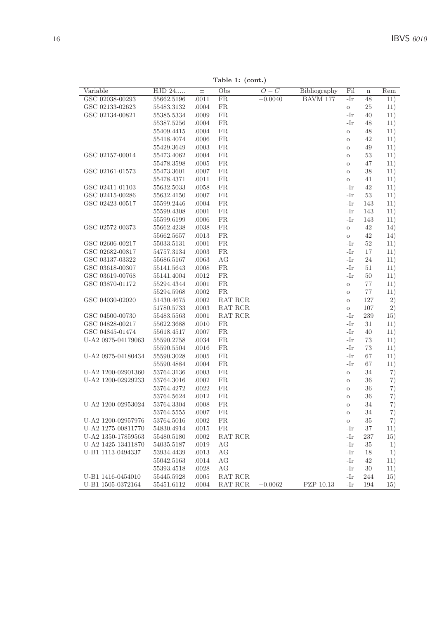Table 1: (cont.)

| Variable           | HJD 24     | $_{\pm}$ | Obs       | $O-C$     | Bibliography | Fil     | $\bf n$ | Rem |
|--------------------|------------|----------|-----------|-----------|--------------|---------|---------|-----|
| GSC 02038-00293    | 55662.5196 | .0011    | <b>FR</b> | $+0.0040$ | BAVM 177     | -Ir     | 48      | 11) |
| GSC 02133-02623    | 55483.3132 | .0004    | <b>FR</b> |           |              | $\circ$ | 25      | 11) |
| GSC 02134-00821    | 55385.5334 | .0009    | <b>FR</b> |           |              | -Ir     | 40      | 11) |
|                    | 55387.5256 | .0004    | <b>FR</b> |           |              | -Ir     | 48      | 11) |
|                    | 55409.4415 | .0004    | <b>FR</b> |           |              | $\circ$ | 48      | 11) |
|                    | 55418.4074 | .0006    | <b>FR</b> |           |              | $\circ$ | 42      | 11) |
|                    | 55429.3649 | .0003    | FR.       |           |              | $\circ$ | 49      | 11) |
| GSC 02157-00014    | 55473.4062 | .0004    | FR.       |           |              | $\circ$ | 53      | 11) |
|                    | 55478.3598 | .0005    | FR.       |           |              | $\circ$ | 47      | 11) |
| GSC 02161-01573    | 55473.3601 | .0007    | <b>FR</b> |           |              | $\circ$ | 38      | 11) |
|                    | 55478.4371 | .0011    | <b>FR</b> |           |              | $\circ$ | 41      | 11) |
| GSC 02411-01103    | 55632.5033 | .0058    | <b>FR</b> |           |              | $-Ir$   | 42      | 11) |
| GSC 02415-00286    | 55632.4150 | .0007    | <b>FR</b> |           |              | -Ir     | 53      | 11) |
| GSC 02423-00517    | 55599.2446 | .0004    | FR.       |           |              | -Ir     | 143     | 11) |
|                    | 55599.4308 | .0001    | FR.       |           |              | -Ir     | 143     | 11) |
|                    | 55599.6199 | .0006    | FR.       |           |              | -Ir     | 143     | 11) |
| GSC 02572-00373    | 55662.4238 | .0038    | FR.       |           |              | $\circ$ | 42      | 14) |
|                    | 55662.5657 | .0013    | <b>FR</b> |           |              | $\circ$ | 42      | 14) |
| GSC 02606-00217    | 55033.5131 | .0001    | <b>FR</b> |           |              | -Ir     | 52      | 11) |
| GSC 02682-00817    | 54757.3134 | .0003    | <b>FR</b> |           |              | -Ir     | 17      | 11) |
| GSC 03137-03322    | 55686.5167 | .0063    | AG        |           |              | -Ir     | 24      | 11) |
| GSC 03618-00307    | 55141.5643 | .0008    | FR        |           |              | -Ir     | 51      | 11) |
| GSC 03619-00768    | 55141.4004 | .0012    | FR.       |           |              | -Ir     | 50      | 11) |
| GSC 03870-01172    | 55294.4344 | .0001    | FR.       |           |              | $\circ$ | 77      | 11) |
|                    | 55294.5968 | .0002    | FR.       |           |              | $\circ$ | 77      | 11) |
| GSC 04030-02020    | 51430.4675 | .0002    | RAT RCR   |           |              | $\circ$ | 127     | 2)  |
|                    | 51780.5733 | .0003    | RAT RCR   |           |              | $\circ$ | 107     | 2)  |
| GSC 04500-00730    | 55483.5563 | .0001    | RAT RCR   |           |              | -Ir     | 239     | 15) |
| GSC 04828-00217    | 55622.3688 | .0010    | FR        |           |              | -Ir     | 31      | 11) |
| GSC 04845-01474    | 55618.4517 | .0007    | FR        |           |              | -Ir     | 40      | 11) |
| U-A2 0975-04179063 | 55590.2758 | .0034    | FR.       |           |              | -Ir     | 73      | 11) |
|                    | 55590.5504 | .0016    | FR.       |           |              | -Ir     | 73      | 11) |
| U-A2 0975-04180434 | 55590.3028 | .0005    | FR.       |           |              | -Ir     | 67      | 11) |
|                    | 55590.4884 | .0004    | FR.       |           |              | -Ir     | 67      | 11) |
| U-A2 1200-02901360 | 53764.3136 | .0003    | <b>FR</b> |           |              | $\circ$ | 34      | 7)  |
| U-A2 1200-02929233 | 53764.3016 | .0002    | <b>FR</b> |           |              | $\circ$ | 36      | 7)  |
|                    | 53764.4272 | .0022    | <b>FR</b> |           |              | $\circ$ | 36      | 7)  |
|                    | 53764.5624 | .0012    | <b>FR</b> |           |              | $\circ$ | 36      | 7)  |
| U-A2 1200-02953024 | 53764.3304 | .0008    | FR        |           |              | $\circ$ | 34      | 7)  |
|                    | 53764.5555 | .0007    | FR.       |           |              | $\circ$ | 34      | 7)  |
| U-A2 1200-02957976 | 53764.5016 | .0002    | FR        |           |              | $\circ$ | 35      | 7)  |
| U-A2 1275-00811770 | 54830.4914 | .0015    | FR.       |           |              | -Ir     | 37      | 11) |
| U-A2 1350-17859563 | 55480.5180 | .0002    | RAT RCR   |           |              | -Ir     | 237     | 15) |
| U-A2 1425-13411870 | 54035.5187 | .0019    | AG        |           |              | -Ir     | 35      | 1)  |
| U-B1 1113-0494337  | 53934.4439 | .0013    | AG        |           |              | -Ir     | 18      | 1)  |
|                    | 55042.5163 | .0014    | AG        |           |              | -Ir     | 42      | 11) |
|                    | 55393.4518 | .0028    | AG        |           |              | -Ir     | 30      | 11) |
| U-B1 1416-0454010  | 55445.5928 | .0005    | RAT RCR   |           |              | -Ir     | 244     | 15) |
| U-B1 1505-0372164  | 55451.6112 | .0004    | RAT RCR   | $+0.0062$ | PZP 10.13    | -Ir     | 194     | 15) |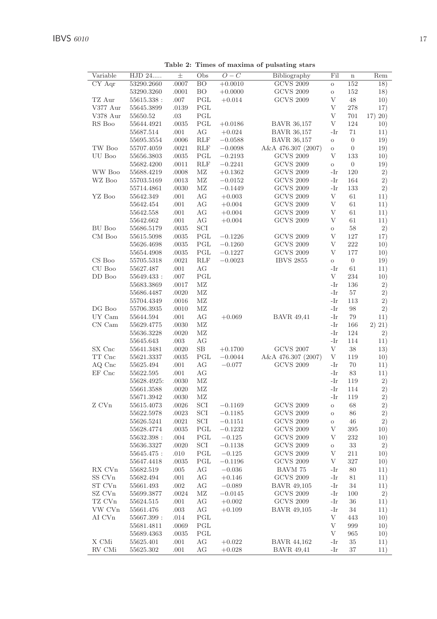Table 2: Times of maxima of pulsating stars

| Variable<br>HJD 24<br>Obs<br>$O-C$<br>Fil<br>$_{\pm}$<br>Bibliography<br>$\mathbf n$<br>CY Aqr<br>53290.2660<br><b>GCVS 2009</b><br>.0007<br>BO<br>$+0.0010$<br>152<br>$\circ$<br>BO<br><b>GCVS 2009</b><br>152<br>53290.3260<br>.0001<br>$+0.0000$<br>$\circ$<br>TZ Aur<br><b>GCVS 2009</b><br>V<br>.007<br>PGL<br>48<br>55615.338:<br>$+0.014$<br>PGL<br>V<br>V377 Aur<br>55645.3899<br>.0139<br>278<br>V378 Aur<br>PGL<br>V<br>55650.52<br>.03<br>701<br>RS Boo<br>PGL<br><b>BAVR 36,157</b><br>V<br>124<br>55644.4921<br>.0035<br>$+0.0186$<br>55687.514<br>.001<br>AG<br>$+0.024$<br><b>BAVR 36,157</b><br>-Ir<br>71<br><b>BAVR 36,157</b><br>55695.3554<br>$.0006$<br><b>RLF</b><br>$-0.0588$<br>$\boldsymbol{0}$<br>$\rm _O$<br>TW Boo<br>55707.4059<br>.0021<br><b>RLF</b><br>$-0.0098$<br>A&A 476.307 (2007)<br>$\boldsymbol{0}$<br>$\circ$<br>UU Boo<br>55656.3803<br>.0035<br>PGL<br>$-0.2193$<br><b>GCVS 2009</b><br>V<br>133<br>55682.4200<br>.0011<br><b>RLF</b><br>$-0.2241$<br><b>GCVS 2009</b><br>$\boldsymbol{0}$<br>$\circ$<br>WW Boo<br>MZ<br><b>GCVS 2009</b><br>55688.4219<br>.0008<br>$+0.1362$<br>-Ir<br>120<br>WZ Boo<br><b>GCVS 2009</b><br>55703.5169<br>.0013<br>МZ<br>$-0.0152$<br>-Ir<br>164<br>MZ<br><b>GCVS 2009</b><br>55714.4861<br>.0030<br>$-0.1449$<br>-Ir<br>133<br>YZ Boo<br>$\mathbf{V}$<br><b>GCVS 2009</b><br>55642.349<br>.001<br>AG<br>$+0.003$<br>61<br>$\overline{V}$<br><b>GCVS 2009</b><br>55642.454<br>.001<br>АG<br>$+0.004$<br>61<br><b>GCVS 2009</b><br>$\mathbf{V}$<br>55642.558<br>.001<br>AG<br>61<br>$+0.004$<br><b>GCVS 2009</b><br>$\mathbf V$<br>55642.662<br>.001<br>AG<br>$+0.004$<br>61<br>BU Boo<br>55686.5179<br>SCI<br>58<br>.0035<br>$\rm{O}$<br><b>GCVS 2009</b><br>$\rm V$<br>CM Boo<br>55615.5098<br>.0035<br>PGL<br>127<br>$-0.1226$<br><b>GCVS 2009</b><br>$\mathbf{V}$<br>55626.4698<br>.0035<br>PGL<br>$-0.1260$<br>222<br>PGL<br>$-0.1227$<br><b>GCVS 2009</b><br>V<br>177<br>55654.4908<br>.0035<br>CS Boo<br><b>IBVS 2855</b><br>55705.5318<br>.0021<br><b>RLF</b><br>$-0.0023$<br>$\overline{0}$<br>$\circ$<br>CU Boo<br>55627.487<br>.001<br>AG<br>-Ir<br>61<br>DD Boo<br>PGL<br>V<br>55649.433:<br>.007<br>234<br>55683.3869<br>.0017<br>МZ<br>-Ir<br>136<br>55686.4487<br>MZ<br>-Ir<br>.0020<br>57<br>MZ<br>-Ir<br>55704.4349<br>.0016<br>113<br>$DG$ Boo<br>MZ<br>-Ir<br>98<br>55706.3935<br>.0010<br>UY Cam<br>AG<br>$+0.069$<br><b>BAVR 49,41</b><br>-Ir<br>79<br>55644.594<br>.001<br>CN Cam<br>55629.4775<br>MZ<br>-Ir<br>.0030<br>166<br>MZ<br>-Ir<br>124<br>55636.3228<br>.0020<br>$.003\,$<br>AG<br>-Ir<br>114<br>55645.643<br>SX Cnc<br>$+0.1700$<br><b>GCVS 2007</b><br>V<br>55641.3481<br>.0020<br>SВ<br>38<br>TT Cnc<br>PGL<br>A&A 476.307 (2007)<br>V<br>55621.3337<br>.0035<br>$-0.0044$<br>119<br>AQ Cnc<br>AG<br>$-0.077$<br><b>GCVS 2009</b><br>55625.494<br>.001<br>-Ir<br>70<br>EF Cnc<br>55622.595<br>.001<br>AG<br>-Ir<br>83<br>55628.4925:<br>$.0030\,$<br>MZ<br>-Ir<br>119<br>MZ<br>-Ir<br>55661.3588<br>.0020<br>114<br>55671.3942<br>MZ<br>-Ir<br>.0030<br>119<br>Z CVn<br><b>GCVS 2009</b><br>SCI<br>55615.4073<br>.0026<br>$-0.1169$<br>$\circ$<br>68<br><b>GCVS 2009</b><br>SCI<br>$-0.1185$<br>55622.5978<br>.0023<br>86<br>$\circ$<br><b>GCVS 2009</b><br>SCI<br>55626.5241<br>.0021<br>$-0.1151$<br>46<br>$\circ$<br>PGL<br><b>GCVS 2009</b><br>V<br>395<br>55628.4774<br>.0035<br>$-0.1232$<br>$\rm V$<br>PGL<br><b>GCVS 2009</b><br>232<br>55632.398:<br>.004<br>$-0.125$<br>SCI<br><b>GCVS 2009</b><br>55636.3327<br>.0020<br>$-0.1138$<br>33<br>$\mathbf O$<br>PGL<br><b>GCVS 2009</b><br>$\mathbf V$<br>55645.475:<br>.010<br>$-0.125$<br>211<br>PGL<br><b>GCVS 2009</b><br>V<br>55647.4418<br>.0035<br>$-0.1196$<br>327<br>RX CVn<br>55682.519<br>.005<br>AG<br>$-0.036$<br>BAVM 75<br>-Ir<br>80<br>SS CVn<br>55682.494<br>.001<br>AG<br>$+0.146$<br><b>GCVS 2009</b><br>-Ir<br>81<br>ST CVn<br>55661.493<br>.002<br>AG<br>$-0.089$<br><b>BAVR 49,105</b><br>-Ir<br>34<br>SZ CVn<br>MZ<br><b>GCVS 2009</b><br>55699.3877<br>.0024<br>$-0.0145$<br>-Ir<br>100<br><b>GCVS 2009</b><br>TZ CVn<br>55624.515<br>.001<br>AG<br>$+0.002$<br>-Ir<br>36<br>VW CVn<br>55661.476<br>.003<br>AG<br>$+0.109$<br><b>BAVR 49,105</b><br>-Ir<br>34<br>$\mathbf{V}$<br>AI CVn<br>PGL<br>55667.399:<br>.014<br>443<br>$\mathbf{V}$<br>PGL<br>55681.4811<br>.0069<br>999<br>PGL<br>V<br>55689.4363<br>965<br>.0035<br>X CMi<br>AG<br><b>BAVR 44,162</b><br>55625.401<br>.001<br>$+0.022$<br>-Ir<br>35 |        |           |      |    |          |                   |     |    |          |
|---------------------------------------------------------------------------------------------------------------------------------------------------------------------------------------------------------------------------------------------------------------------------------------------------------------------------------------------------------------------------------------------------------------------------------------------------------------------------------------------------------------------------------------------------------------------------------------------------------------------------------------------------------------------------------------------------------------------------------------------------------------------------------------------------------------------------------------------------------------------------------------------------------------------------------------------------------------------------------------------------------------------------------------------------------------------------------------------------------------------------------------------------------------------------------------------------------------------------------------------------------------------------------------------------------------------------------------------------------------------------------------------------------------------------------------------------------------------------------------------------------------------------------------------------------------------------------------------------------------------------------------------------------------------------------------------------------------------------------------------------------------------------------------------------------------------------------------------------------------------------------------------------------------------------------------------------------------------------------------------------------------------------------------------------------------------------------------------------------------------------------------------------------------------------------------------------------------------------------------------------------------------------------------------------------------------------------------------------------------------------------------------------------------------------------------------------------------------------------------------------------------------------------------------------------------------------------------------------------------------------------------------------------------------------------------------------------------------------------------------------------------------------------------------------------------------------------------------------------------------------------------------------------------------------------------------------------------------------------------------------------------------------------------------------------------------------------------------------------------------------------------------------------------------------------------------------------------------------------------------------------------------------------------------------------------------------------------------------------------------------------------------------------------------------------------------------------------------------------------------------------------------------------------------------------------------------------------------------------------------------------------------------------------------------------------------------------------------------------------------------------------------------------------------------------------------------------------------------------------------------------------------------------------------------------------------------------------------------------------------------------------------------------------------------------------------------------------------------------------------------------------------------------------------------------------------------------------------------------------------------------------------------------------------------------------------------------------------------------------------------------------------------------------------------------------------------------------------------------------------------------|--------|-----------|------|----|----------|-------------------|-----|----|----------|
|                                                                                                                                                                                                                                                                                                                                                                                                                                                                                                                                                                                                                                                                                                                                                                                                                                                                                                                                                                                                                                                                                                                                                                                                                                                                                                                                                                                                                                                                                                                                                                                                                                                                                                                                                                                                                                                                                                                                                                                                                                                                                                                                                                                                                                                                                                                                                                                                                                                                                                                                                                                                                                                                                                                                                                                                                                                                                                                                                                                                                                                                                                                                                                                                                                                                                                                                                                                                                                                                                                                                                                                                                                                                                                                                                                                                                                                                                                                                                                                                                                                                                                                                                                                                                                                                                                                                                                                                                                                                                                         |        |           |      |    |          |                   |     |    | Rem      |
|                                                                                                                                                                                                                                                                                                                                                                                                                                                                                                                                                                                                                                                                                                                                                                                                                                                                                                                                                                                                                                                                                                                                                                                                                                                                                                                                                                                                                                                                                                                                                                                                                                                                                                                                                                                                                                                                                                                                                                                                                                                                                                                                                                                                                                                                                                                                                                                                                                                                                                                                                                                                                                                                                                                                                                                                                                                                                                                                                                                                                                                                                                                                                                                                                                                                                                                                                                                                                                                                                                                                                                                                                                                                                                                                                                                                                                                                                                                                                                                                                                                                                                                                                                                                                                                                                                                                                                                                                                                                                                         |        |           |      |    |          |                   |     |    | 18)      |
|                                                                                                                                                                                                                                                                                                                                                                                                                                                                                                                                                                                                                                                                                                                                                                                                                                                                                                                                                                                                                                                                                                                                                                                                                                                                                                                                                                                                                                                                                                                                                                                                                                                                                                                                                                                                                                                                                                                                                                                                                                                                                                                                                                                                                                                                                                                                                                                                                                                                                                                                                                                                                                                                                                                                                                                                                                                                                                                                                                                                                                                                                                                                                                                                                                                                                                                                                                                                                                                                                                                                                                                                                                                                                                                                                                                                                                                                                                                                                                                                                                                                                                                                                                                                                                                                                                                                                                                                                                                                                                         |        |           |      |    |          |                   |     |    | 18)      |
|                                                                                                                                                                                                                                                                                                                                                                                                                                                                                                                                                                                                                                                                                                                                                                                                                                                                                                                                                                                                                                                                                                                                                                                                                                                                                                                                                                                                                                                                                                                                                                                                                                                                                                                                                                                                                                                                                                                                                                                                                                                                                                                                                                                                                                                                                                                                                                                                                                                                                                                                                                                                                                                                                                                                                                                                                                                                                                                                                                                                                                                                                                                                                                                                                                                                                                                                                                                                                                                                                                                                                                                                                                                                                                                                                                                                                                                                                                                                                                                                                                                                                                                                                                                                                                                                                                                                                                                                                                                                                                         |        |           |      |    |          |                   |     |    | 10)      |
|                                                                                                                                                                                                                                                                                                                                                                                                                                                                                                                                                                                                                                                                                                                                                                                                                                                                                                                                                                                                                                                                                                                                                                                                                                                                                                                                                                                                                                                                                                                                                                                                                                                                                                                                                                                                                                                                                                                                                                                                                                                                                                                                                                                                                                                                                                                                                                                                                                                                                                                                                                                                                                                                                                                                                                                                                                                                                                                                                                                                                                                                                                                                                                                                                                                                                                                                                                                                                                                                                                                                                                                                                                                                                                                                                                                                                                                                                                                                                                                                                                                                                                                                                                                                                                                                                                                                                                                                                                                                                                         |        |           |      |    |          |                   |     |    | 17)      |
|                                                                                                                                                                                                                                                                                                                                                                                                                                                                                                                                                                                                                                                                                                                                                                                                                                                                                                                                                                                                                                                                                                                                                                                                                                                                                                                                                                                                                                                                                                                                                                                                                                                                                                                                                                                                                                                                                                                                                                                                                                                                                                                                                                                                                                                                                                                                                                                                                                                                                                                                                                                                                                                                                                                                                                                                                                                                                                                                                                                                                                                                                                                                                                                                                                                                                                                                                                                                                                                                                                                                                                                                                                                                                                                                                                                                                                                                                                                                                                                                                                                                                                                                                                                                                                                                                                                                                                                                                                                                                                         |        |           |      |    |          |                   |     |    | 17) 20)  |
|                                                                                                                                                                                                                                                                                                                                                                                                                                                                                                                                                                                                                                                                                                                                                                                                                                                                                                                                                                                                                                                                                                                                                                                                                                                                                                                                                                                                                                                                                                                                                                                                                                                                                                                                                                                                                                                                                                                                                                                                                                                                                                                                                                                                                                                                                                                                                                                                                                                                                                                                                                                                                                                                                                                                                                                                                                                                                                                                                                                                                                                                                                                                                                                                                                                                                                                                                                                                                                                                                                                                                                                                                                                                                                                                                                                                                                                                                                                                                                                                                                                                                                                                                                                                                                                                                                                                                                                                                                                                                                         |        |           |      |    |          |                   |     |    | 10)      |
|                                                                                                                                                                                                                                                                                                                                                                                                                                                                                                                                                                                                                                                                                                                                                                                                                                                                                                                                                                                                                                                                                                                                                                                                                                                                                                                                                                                                                                                                                                                                                                                                                                                                                                                                                                                                                                                                                                                                                                                                                                                                                                                                                                                                                                                                                                                                                                                                                                                                                                                                                                                                                                                                                                                                                                                                                                                                                                                                                                                                                                                                                                                                                                                                                                                                                                                                                                                                                                                                                                                                                                                                                                                                                                                                                                                                                                                                                                                                                                                                                                                                                                                                                                                                                                                                                                                                                                                                                                                                                                         |        |           |      |    |          |                   |     |    | 11)      |
|                                                                                                                                                                                                                                                                                                                                                                                                                                                                                                                                                                                                                                                                                                                                                                                                                                                                                                                                                                                                                                                                                                                                                                                                                                                                                                                                                                                                                                                                                                                                                                                                                                                                                                                                                                                                                                                                                                                                                                                                                                                                                                                                                                                                                                                                                                                                                                                                                                                                                                                                                                                                                                                                                                                                                                                                                                                                                                                                                                                                                                                                                                                                                                                                                                                                                                                                                                                                                                                                                                                                                                                                                                                                                                                                                                                                                                                                                                                                                                                                                                                                                                                                                                                                                                                                                                                                                                                                                                                                                                         |        |           |      |    |          |                   |     |    | 19)      |
|                                                                                                                                                                                                                                                                                                                                                                                                                                                                                                                                                                                                                                                                                                                                                                                                                                                                                                                                                                                                                                                                                                                                                                                                                                                                                                                                                                                                                                                                                                                                                                                                                                                                                                                                                                                                                                                                                                                                                                                                                                                                                                                                                                                                                                                                                                                                                                                                                                                                                                                                                                                                                                                                                                                                                                                                                                                                                                                                                                                                                                                                                                                                                                                                                                                                                                                                                                                                                                                                                                                                                                                                                                                                                                                                                                                                                                                                                                                                                                                                                                                                                                                                                                                                                                                                                                                                                                                                                                                                                                         |        |           |      |    |          |                   |     |    | 19)      |
|                                                                                                                                                                                                                                                                                                                                                                                                                                                                                                                                                                                                                                                                                                                                                                                                                                                                                                                                                                                                                                                                                                                                                                                                                                                                                                                                                                                                                                                                                                                                                                                                                                                                                                                                                                                                                                                                                                                                                                                                                                                                                                                                                                                                                                                                                                                                                                                                                                                                                                                                                                                                                                                                                                                                                                                                                                                                                                                                                                                                                                                                                                                                                                                                                                                                                                                                                                                                                                                                                                                                                                                                                                                                                                                                                                                                                                                                                                                                                                                                                                                                                                                                                                                                                                                                                                                                                                                                                                                                                                         |        |           |      |    |          |                   |     |    | 10)      |
|                                                                                                                                                                                                                                                                                                                                                                                                                                                                                                                                                                                                                                                                                                                                                                                                                                                                                                                                                                                                                                                                                                                                                                                                                                                                                                                                                                                                                                                                                                                                                                                                                                                                                                                                                                                                                                                                                                                                                                                                                                                                                                                                                                                                                                                                                                                                                                                                                                                                                                                                                                                                                                                                                                                                                                                                                                                                                                                                                                                                                                                                                                                                                                                                                                                                                                                                                                                                                                                                                                                                                                                                                                                                                                                                                                                                                                                                                                                                                                                                                                                                                                                                                                                                                                                                                                                                                                                                                                                                                                         |        |           |      |    |          |                   |     |    | 19)      |
|                                                                                                                                                                                                                                                                                                                                                                                                                                                                                                                                                                                                                                                                                                                                                                                                                                                                                                                                                                                                                                                                                                                                                                                                                                                                                                                                                                                                                                                                                                                                                                                                                                                                                                                                                                                                                                                                                                                                                                                                                                                                                                                                                                                                                                                                                                                                                                                                                                                                                                                                                                                                                                                                                                                                                                                                                                                                                                                                                                                                                                                                                                                                                                                                                                                                                                                                                                                                                                                                                                                                                                                                                                                                                                                                                                                                                                                                                                                                                                                                                                                                                                                                                                                                                                                                                                                                                                                                                                                                                                         |        |           |      |    |          |                   |     |    | 2)       |
|                                                                                                                                                                                                                                                                                                                                                                                                                                                                                                                                                                                                                                                                                                                                                                                                                                                                                                                                                                                                                                                                                                                                                                                                                                                                                                                                                                                                                                                                                                                                                                                                                                                                                                                                                                                                                                                                                                                                                                                                                                                                                                                                                                                                                                                                                                                                                                                                                                                                                                                                                                                                                                                                                                                                                                                                                                                                                                                                                                                                                                                                                                                                                                                                                                                                                                                                                                                                                                                                                                                                                                                                                                                                                                                                                                                                                                                                                                                                                                                                                                                                                                                                                                                                                                                                                                                                                                                                                                                                                                         |        |           |      |    |          |                   |     |    | 2)       |
|                                                                                                                                                                                                                                                                                                                                                                                                                                                                                                                                                                                                                                                                                                                                                                                                                                                                                                                                                                                                                                                                                                                                                                                                                                                                                                                                                                                                                                                                                                                                                                                                                                                                                                                                                                                                                                                                                                                                                                                                                                                                                                                                                                                                                                                                                                                                                                                                                                                                                                                                                                                                                                                                                                                                                                                                                                                                                                                                                                                                                                                                                                                                                                                                                                                                                                                                                                                                                                                                                                                                                                                                                                                                                                                                                                                                                                                                                                                                                                                                                                                                                                                                                                                                                                                                                                                                                                                                                                                                                                         |        |           |      |    |          |                   |     |    | 2)       |
|                                                                                                                                                                                                                                                                                                                                                                                                                                                                                                                                                                                                                                                                                                                                                                                                                                                                                                                                                                                                                                                                                                                                                                                                                                                                                                                                                                                                                                                                                                                                                                                                                                                                                                                                                                                                                                                                                                                                                                                                                                                                                                                                                                                                                                                                                                                                                                                                                                                                                                                                                                                                                                                                                                                                                                                                                                                                                                                                                                                                                                                                                                                                                                                                                                                                                                                                                                                                                                                                                                                                                                                                                                                                                                                                                                                                                                                                                                                                                                                                                                                                                                                                                                                                                                                                                                                                                                                                                                                                                                         |        |           |      |    |          |                   |     |    | 11)      |
|                                                                                                                                                                                                                                                                                                                                                                                                                                                                                                                                                                                                                                                                                                                                                                                                                                                                                                                                                                                                                                                                                                                                                                                                                                                                                                                                                                                                                                                                                                                                                                                                                                                                                                                                                                                                                                                                                                                                                                                                                                                                                                                                                                                                                                                                                                                                                                                                                                                                                                                                                                                                                                                                                                                                                                                                                                                                                                                                                                                                                                                                                                                                                                                                                                                                                                                                                                                                                                                                                                                                                                                                                                                                                                                                                                                                                                                                                                                                                                                                                                                                                                                                                                                                                                                                                                                                                                                                                                                                                                         |        |           |      |    |          |                   |     |    | 11)      |
|                                                                                                                                                                                                                                                                                                                                                                                                                                                                                                                                                                                                                                                                                                                                                                                                                                                                                                                                                                                                                                                                                                                                                                                                                                                                                                                                                                                                                                                                                                                                                                                                                                                                                                                                                                                                                                                                                                                                                                                                                                                                                                                                                                                                                                                                                                                                                                                                                                                                                                                                                                                                                                                                                                                                                                                                                                                                                                                                                                                                                                                                                                                                                                                                                                                                                                                                                                                                                                                                                                                                                                                                                                                                                                                                                                                                                                                                                                                                                                                                                                                                                                                                                                                                                                                                                                                                                                                                                                                                                                         |        |           |      |    |          |                   |     |    | 11)      |
|                                                                                                                                                                                                                                                                                                                                                                                                                                                                                                                                                                                                                                                                                                                                                                                                                                                                                                                                                                                                                                                                                                                                                                                                                                                                                                                                                                                                                                                                                                                                                                                                                                                                                                                                                                                                                                                                                                                                                                                                                                                                                                                                                                                                                                                                                                                                                                                                                                                                                                                                                                                                                                                                                                                                                                                                                                                                                                                                                                                                                                                                                                                                                                                                                                                                                                                                                                                                                                                                                                                                                                                                                                                                                                                                                                                                                                                                                                                                                                                                                                                                                                                                                                                                                                                                                                                                                                                                                                                                                                         |        |           |      |    |          |                   |     |    | 11)      |
|                                                                                                                                                                                                                                                                                                                                                                                                                                                                                                                                                                                                                                                                                                                                                                                                                                                                                                                                                                                                                                                                                                                                                                                                                                                                                                                                                                                                                                                                                                                                                                                                                                                                                                                                                                                                                                                                                                                                                                                                                                                                                                                                                                                                                                                                                                                                                                                                                                                                                                                                                                                                                                                                                                                                                                                                                                                                                                                                                                                                                                                                                                                                                                                                                                                                                                                                                                                                                                                                                                                                                                                                                                                                                                                                                                                                                                                                                                                                                                                                                                                                                                                                                                                                                                                                                                                                                                                                                                                                                                         |        |           |      |    |          |                   |     |    | 2)       |
|                                                                                                                                                                                                                                                                                                                                                                                                                                                                                                                                                                                                                                                                                                                                                                                                                                                                                                                                                                                                                                                                                                                                                                                                                                                                                                                                                                                                                                                                                                                                                                                                                                                                                                                                                                                                                                                                                                                                                                                                                                                                                                                                                                                                                                                                                                                                                                                                                                                                                                                                                                                                                                                                                                                                                                                                                                                                                                                                                                                                                                                                                                                                                                                                                                                                                                                                                                                                                                                                                                                                                                                                                                                                                                                                                                                                                                                                                                                                                                                                                                                                                                                                                                                                                                                                                                                                                                                                                                                                                                         |        |           |      |    |          |                   |     |    | 17)      |
|                                                                                                                                                                                                                                                                                                                                                                                                                                                                                                                                                                                                                                                                                                                                                                                                                                                                                                                                                                                                                                                                                                                                                                                                                                                                                                                                                                                                                                                                                                                                                                                                                                                                                                                                                                                                                                                                                                                                                                                                                                                                                                                                                                                                                                                                                                                                                                                                                                                                                                                                                                                                                                                                                                                                                                                                                                                                                                                                                                                                                                                                                                                                                                                                                                                                                                                                                                                                                                                                                                                                                                                                                                                                                                                                                                                                                                                                                                                                                                                                                                                                                                                                                                                                                                                                                                                                                                                                                                                                                                         |        |           |      |    |          |                   |     |    | 10)      |
|                                                                                                                                                                                                                                                                                                                                                                                                                                                                                                                                                                                                                                                                                                                                                                                                                                                                                                                                                                                                                                                                                                                                                                                                                                                                                                                                                                                                                                                                                                                                                                                                                                                                                                                                                                                                                                                                                                                                                                                                                                                                                                                                                                                                                                                                                                                                                                                                                                                                                                                                                                                                                                                                                                                                                                                                                                                                                                                                                                                                                                                                                                                                                                                                                                                                                                                                                                                                                                                                                                                                                                                                                                                                                                                                                                                                                                                                                                                                                                                                                                                                                                                                                                                                                                                                                                                                                                                                                                                                                                         |        |           |      |    |          |                   |     |    | 10)      |
|                                                                                                                                                                                                                                                                                                                                                                                                                                                                                                                                                                                                                                                                                                                                                                                                                                                                                                                                                                                                                                                                                                                                                                                                                                                                                                                                                                                                                                                                                                                                                                                                                                                                                                                                                                                                                                                                                                                                                                                                                                                                                                                                                                                                                                                                                                                                                                                                                                                                                                                                                                                                                                                                                                                                                                                                                                                                                                                                                                                                                                                                                                                                                                                                                                                                                                                                                                                                                                                                                                                                                                                                                                                                                                                                                                                                                                                                                                                                                                                                                                                                                                                                                                                                                                                                                                                                                                                                                                                                                                         |        |           |      |    |          |                   |     |    | 19)      |
|                                                                                                                                                                                                                                                                                                                                                                                                                                                                                                                                                                                                                                                                                                                                                                                                                                                                                                                                                                                                                                                                                                                                                                                                                                                                                                                                                                                                                                                                                                                                                                                                                                                                                                                                                                                                                                                                                                                                                                                                                                                                                                                                                                                                                                                                                                                                                                                                                                                                                                                                                                                                                                                                                                                                                                                                                                                                                                                                                                                                                                                                                                                                                                                                                                                                                                                                                                                                                                                                                                                                                                                                                                                                                                                                                                                                                                                                                                                                                                                                                                                                                                                                                                                                                                                                                                                                                                                                                                                                                                         |        |           |      |    |          |                   |     |    | 11)      |
|                                                                                                                                                                                                                                                                                                                                                                                                                                                                                                                                                                                                                                                                                                                                                                                                                                                                                                                                                                                                                                                                                                                                                                                                                                                                                                                                                                                                                                                                                                                                                                                                                                                                                                                                                                                                                                                                                                                                                                                                                                                                                                                                                                                                                                                                                                                                                                                                                                                                                                                                                                                                                                                                                                                                                                                                                                                                                                                                                                                                                                                                                                                                                                                                                                                                                                                                                                                                                                                                                                                                                                                                                                                                                                                                                                                                                                                                                                                                                                                                                                                                                                                                                                                                                                                                                                                                                                                                                                                                                                         |        |           |      |    |          |                   |     |    | 10)      |
|                                                                                                                                                                                                                                                                                                                                                                                                                                                                                                                                                                                                                                                                                                                                                                                                                                                                                                                                                                                                                                                                                                                                                                                                                                                                                                                                                                                                                                                                                                                                                                                                                                                                                                                                                                                                                                                                                                                                                                                                                                                                                                                                                                                                                                                                                                                                                                                                                                                                                                                                                                                                                                                                                                                                                                                                                                                                                                                                                                                                                                                                                                                                                                                                                                                                                                                                                                                                                                                                                                                                                                                                                                                                                                                                                                                                                                                                                                                                                                                                                                                                                                                                                                                                                                                                                                                                                                                                                                                                                                         |        |           |      |    |          |                   |     |    | 2)       |
|                                                                                                                                                                                                                                                                                                                                                                                                                                                                                                                                                                                                                                                                                                                                                                                                                                                                                                                                                                                                                                                                                                                                                                                                                                                                                                                                                                                                                                                                                                                                                                                                                                                                                                                                                                                                                                                                                                                                                                                                                                                                                                                                                                                                                                                                                                                                                                                                                                                                                                                                                                                                                                                                                                                                                                                                                                                                                                                                                                                                                                                                                                                                                                                                                                                                                                                                                                                                                                                                                                                                                                                                                                                                                                                                                                                                                                                                                                                                                                                                                                                                                                                                                                                                                                                                                                                                                                                                                                                                                                         |        |           |      |    |          |                   |     |    | 2)       |
|                                                                                                                                                                                                                                                                                                                                                                                                                                                                                                                                                                                                                                                                                                                                                                                                                                                                                                                                                                                                                                                                                                                                                                                                                                                                                                                                                                                                                                                                                                                                                                                                                                                                                                                                                                                                                                                                                                                                                                                                                                                                                                                                                                                                                                                                                                                                                                                                                                                                                                                                                                                                                                                                                                                                                                                                                                                                                                                                                                                                                                                                                                                                                                                                                                                                                                                                                                                                                                                                                                                                                                                                                                                                                                                                                                                                                                                                                                                                                                                                                                                                                                                                                                                                                                                                                                                                                                                                                                                                                                         |        |           |      |    |          |                   |     |    | 2)       |
|                                                                                                                                                                                                                                                                                                                                                                                                                                                                                                                                                                                                                                                                                                                                                                                                                                                                                                                                                                                                                                                                                                                                                                                                                                                                                                                                                                                                                                                                                                                                                                                                                                                                                                                                                                                                                                                                                                                                                                                                                                                                                                                                                                                                                                                                                                                                                                                                                                                                                                                                                                                                                                                                                                                                                                                                                                                                                                                                                                                                                                                                                                                                                                                                                                                                                                                                                                                                                                                                                                                                                                                                                                                                                                                                                                                                                                                                                                                                                                                                                                                                                                                                                                                                                                                                                                                                                                                                                                                                                                         |        |           |      |    |          |                   |     |    | 2)       |
|                                                                                                                                                                                                                                                                                                                                                                                                                                                                                                                                                                                                                                                                                                                                                                                                                                                                                                                                                                                                                                                                                                                                                                                                                                                                                                                                                                                                                                                                                                                                                                                                                                                                                                                                                                                                                                                                                                                                                                                                                                                                                                                                                                                                                                                                                                                                                                                                                                                                                                                                                                                                                                                                                                                                                                                                                                                                                                                                                                                                                                                                                                                                                                                                                                                                                                                                                                                                                                                                                                                                                                                                                                                                                                                                                                                                                                                                                                                                                                                                                                                                                                                                                                                                                                                                                                                                                                                                                                                                                                         |        |           |      |    |          |                   |     |    | 11)      |
|                                                                                                                                                                                                                                                                                                                                                                                                                                                                                                                                                                                                                                                                                                                                                                                                                                                                                                                                                                                                                                                                                                                                                                                                                                                                                                                                                                                                                                                                                                                                                                                                                                                                                                                                                                                                                                                                                                                                                                                                                                                                                                                                                                                                                                                                                                                                                                                                                                                                                                                                                                                                                                                                                                                                                                                                                                                                                                                                                                                                                                                                                                                                                                                                                                                                                                                                                                                                                                                                                                                                                                                                                                                                                                                                                                                                                                                                                                                                                                                                                                                                                                                                                                                                                                                                                                                                                                                                                                                                                                         |        |           |      |    |          |                   |     |    | 2) 21)   |
|                                                                                                                                                                                                                                                                                                                                                                                                                                                                                                                                                                                                                                                                                                                                                                                                                                                                                                                                                                                                                                                                                                                                                                                                                                                                                                                                                                                                                                                                                                                                                                                                                                                                                                                                                                                                                                                                                                                                                                                                                                                                                                                                                                                                                                                                                                                                                                                                                                                                                                                                                                                                                                                                                                                                                                                                                                                                                                                                                                                                                                                                                                                                                                                                                                                                                                                                                                                                                                                                                                                                                                                                                                                                                                                                                                                                                                                                                                                                                                                                                                                                                                                                                                                                                                                                                                                                                                                                                                                                                                         |        |           |      |    |          |                   |     |    | 2)       |
|                                                                                                                                                                                                                                                                                                                                                                                                                                                                                                                                                                                                                                                                                                                                                                                                                                                                                                                                                                                                                                                                                                                                                                                                                                                                                                                                                                                                                                                                                                                                                                                                                                                                                                                                                                                                                                                                                                                                                                                                                                                                                                                                                                                                                                                                                                                                                                                                                                                                                                                                                                                                                                                                                                                                                                                                                                                                                                                                                                                                                                                                                                                                                                                                                                                                                                                                                                                                                                                                                                                                                                                                                                                                                                                                                                                                                                                                                                                                                                                                                                                                                                                                                                                                                                                                                                                                                                                                                                                                                                         |        |           |      |    |          |                   |     |    | 11)      |
|                                                                                                                                                                                                                                                                                                                                                                                                                                                                                                                                                                                                                                                                                                                                                                                                                                                                                                                                                                                                                                                                                                                                                                                                                                                                                                                                                                                                                                                                                                                                                                                                                                                                                                                                                                                                                                                                                                                                                                                                                                                                                                                                                                                                                                                                                                                                                                                                                                                                                                                                                                                                                                                                                                                                                                                                                                                                                                                                                                                                                                                                                                                                                                                                                                                                                                                                                                                                                                                                                                                                                                                                                                                                                                                                                                                                                                                                                                                                                                                                                                                                                                                                                                                                                                                                                                                                                                                                                                                                                                         |        |           |      |    |          |                   |     |    | 13)      |
|                                                                                                                                                                                                                                                                                                                                                                                                                                                                                                                                                                                                                                                                                                                                                                                                                                                                                                                                                                                                                                                                                                                                                                                                                                                                                                                                                                                                                                                                                                                                                                                                                                                                                                                                                                                                                                                                                                                                                                                                                                                                                                                                                                                                                                                                                                                                                                                                                                                                                                                                                                                                                                                                                                                                                                                                                                                                                                                                                                                                                                                                                                                                                                                                                                                                                                                                                                                                                                                                                                                                                                                                                                                                                                                                                                                                                                                                                                                                                                                                                                                                                                                                                                                                                                                                                                                                                                                                                                                                                                         |        |           |      |    |          |                   |     |    | 10)      |
|                                                                                                                                                                                                                                                                                                                                                                                                                                                                                                                                                                                                                                                                                                                                                                                                                                                                                                                                                                                                                                                                                                                                                                                                                                                                                                                                                                                                                                                                                                                                                                                                                                                                                                                                                                                                                                                                                                                                                                                                                                                                                                                                                                                                                                                                                                                                                                                                                                                                                                                                                                                                                                                                                                                                                                                                                                                                                                                                                                                                                                                                                                                                                                                                                                                                                                                                                                                                                                                                                                                                                                                                                                                                                                                                                                                                                                                                                                                                                                                                                                                                                                                                                                                                                                                                                                                                                                                                                                                                                                         |        |           |      |    |          |                   |     |    | 11)      |
|                                                                                                                                                                                                                                                                                                                                                                                                                                                                                                                                                                                                                                                                                                                                                                                                                                                                                                                                                                                                                                                                                                                                                                                                                                                                                                                                                                                                                                                                                                                                                                                                                                                                                                                                                                                                                                                                                                                                                                                                                                                                                                                                                                                                                                                                                                                                                                                                                                                                                                                                                                                                                                                                                                                                                                                                                                                                                                                                                                                                                                                                                                                                                                                                                                                                                                                                                                                                                                                                                                                                                                                                                                                                                                                                                                                                                                                                                                                                                                                                                                                                                                                                                                                                                                                                                                                                                                                                                                                                                                         |        |           |      |    |          |                   |     |    | 11)      |
|                                                                                                                                                                                                                                                                                                                                                                                                                                                                                                                                                                                                                                                                                                                                                                                                                                                                                                                                                                                                                                                                                                                                                                                                                                                                                                                                                                                                                                                                                                                                                                                                                                                                                                                                                                                                                                                                                                                                                                                                                                                                                                                                                                                                                                                                                                                                                                                                                                                                                                                                                                                                                                                                                                                                                                                                                                                                                                                                                                                                                                                                                                                                                                                                                                                                                                                                                                                                                                                                                                                                                                                                                                                                                                                                                                                                                                                                                                                                                                                                                                                                                                                                                                                                                                                                                                                                                                                                                                                                                                         |        |           |      |    |          |                   |     |    | 2)       |
|                                                                                                                                                                                                                                                                                                                                                                                                                                                                                                                                                                                                                                                                                                                                                                                                                                                                                                                                                                                                                                                                                                                                                                                                                                                                                                                                                                                                                                                                                                                                                                                                                                                                                                                                                                                                                                                                                                                                                                                                                                                                                                                                                                                                                                                                                                                                                                                                                                                                                                                                                                                                                                                                                                                                                                                                                                                                                                                                                                                                                                                                                                                                                                                                                                                                                                                                                                                                                                                                                                                                                                                                                                                                                                                                                                                                                                                                                                                                                                                                                                                                                                                                                                                                                                                                                                                                                                                                                                                                                                         |        |           |      |    |          |                   |     |    | 2)<br>2) |
|                                                                                                                                                                                                                                                                                                                                                                                                                                                                                                                                                                                                                                                                                                                                                                                                                                                                                                                                                                                                                                                                                                                                                                                                                                                                                                                                                                                                                                                                                                                                                                                                                                                                                                                                                                                                                                                                                                                                                                                                                                                                                                                                                                                                                                                                                                                                                                                                                                                                                                                                                                                                                                                                                                                                                                                                                                                                                                                                                                                                                                                                                                                                                                                                                                                                                                                                                                                                                                                                                                                                                                                                                                                                                                                                                                                                                                                                                                                                                                                                                                                                                                                                                                                                                                                                                                                                                                                                                                                                                                         |        |           |      |    |          |                   |     |    | 2)       |
|                                                                                                                                                                                                                                                                                                                                                                                                                                                                                                                                                                                                                                                                                                                                                                                                                                                                                                                                                                                                                                                                                                                                                                                                                                                                                                                                                                                                                                                                                                                                                                                                                                                                                                                                                                                                                                                                                                                                                                                                                                                                                                                                                                                                                                                                                                                                                                                                                                                                                                                                                                                                                                                                                                                                                                                                                                                                                                                                                                                                                                                                                                                                                                                                                                                                                                                                                                                                                                                                                                                                                                                                                                                                                                                                                                                                                                                                                                                                                                                                                                                                                                                                                                                                                                                                                                                                                                                                                                                                                                         |        |           |      |    |          |                   |     |    | 2)       |
|                                                                                                                                                                                                                                                                                                                                                                                                                                                                                                                                                                                                                                                                                                                                                                                                                                                                                                                                                                                                                                                                                                                                                                                                                                                                                                                                                                                                                                                                                                                                                                                                                                                                                                                                                                                                                                                                                                                                                                                                                                                                                                                                                                                                                                                                                                                                                                                                                                                                                                                                                                                                                                                                                                                                                                                                                                                                                                                                                                                                                                                                                                                                                                                                                                                                                                                                                                                                                                                                                                                                                                                                                                                                                                                                                                                                                                                                                                                                                                                                                                                                                                                                                                                                                                                                                                                                                                                                                                                                                                         |        |           |      |    |          |                   |     |    | 2)       |
|                                                                                                                                                                                                                                                                                                                                                                                                                                                                                                                                                                                                                                                                                                                                                                                                                                                                                                                                                                                                                                                                                                                                                                                                                                                                                                                                                                                                                                                                                                                                                                                                                                                                                                                                                                                                                                                                                                                                                                                                                                                                                                                                                                                                                                                                                                                                                                                                                                                                                                                                                                                                                                                                                                                                                                                                                                                                                                                                                                                                                                                                                                                                                                                                                                                                                                                                                                                                                                                                                                                                                                                                                                                                                                                                                                                                                                                                                                                                                                                                                                                                                                                                                                                                                                                                                                                                                                                                                                                                                                         |        |           |      |    |          |                   |     |    | 10)      |
|                                                                                                                                                                                                                                                                                                                                                                                                                                                                                                                                                                                                                                                                                                                                                                                                                                                                                                                                                                                                                                                                                                                                                                                                                                                                                                                                                                                                                                                                                                                                                                                                                                                                                                                                                                                                                                                                                                                                                                                                                                                                                                                                                                                                                                                                                                                                                                                                                                                                                                                                                                                                                                                                                                                                                                                                                                                                                                                                                                                                                                                                                                                                                                                                                                                                                                                                                                                                                                                                                                                                                                                                                                                                                                                                                                                                                                                                                                                                                                                                                                                                                                                                                                                                                                                                                                                                                                                                                                                                                                         |        |           |      |    |          |                   |     |    | 10)      |
|                                                                                                                                                                                                                                                                                                                                                                                                                                                                                                                                                                                                                                                                                                                                                                                                                                                                                                                                                                                                                                                                                                                                                                                                                                                                                                                                                                                                                                                                                                                                                                                                                                                                                                                                                                                                                                                                                                                                                                                                                                                                                                                                                                                                                                                                                                                                                                                                                                                                                                                                                                                                                                                                                                                                                                                                                                                                                                                                                                                                                                                                                                                                                                                                                                                                                                                                                                                                                                                                                                                                                                                                                                                                                                                                                                                                                                                                                                                                                                                                                                                                                                                                                                                                                                                                                                                                                                                                                                                                                                         |        |           |      |    |          |                   |     |    | 2)       |
|                                                                                                                                                                                                                                                                                                                                                                                                                                                                                                                                                                                                                                                                                                                                                                                                                                                                                                                                                                                                                                                                                                                                                                                                                                                                                                                                                                                                                                                                                                                                                                                                                                                                                                                                                                                                                                                                                                                                                                                                                                                                                                                                                                                                                                                                                                                                                                                                                                                                                                                                                                                                                                                                                                                                                                                                                                                                                                                                                                                                                                                                                                                                                                                                                                                                                                                                                                                                                                                                                                                                                                                                                                                                                                                                                                                                                                                                                                                                                                                                                                                                                                                                                                                                                                                                                                                                                                                                                                                                                                         |        |           |      |    |          |                   |     |    | 10)      |
|                                                                                                                                                                                                                                                                                                                                                                                                                                                                                                                                                                                                                                                                                                                                                                                                                                                                                                                                                                                                                                                                                                                                                                                                                                                                                                                                                                                                                                                                                                                                                                                                                                                                                                                                                                                                                                                                                                                                                                                                                                                                                                                                                                                                                                                                                                                                                                                                                                                                                                                                                                                                                                                                                                                                                                                                                                                                                                                                                                                                                                                                                                                                                                                                                                                                                                                                                                                                                                                                                                                                                                                                                                                                                                                                                                                                                                                                                                                                                                                                                                                                                                                                                                                                                                                                                                                                                                                                                                                                                                         |        |           |      |    |          |                   |     |    | 10)      |
|                                                                                                                                                                                                                                                                                                                                                                                                                                                                                                                                                                                                                                                                                                                                                                                                                                                                                                                                                                                                                                                                                                                                                                                                                                                                                                                                                                                                                                                                                                                                                                                                                                                                                                                                                                                                                                                                                                                                                                                                                                                                                                                                                                                                                                                                                                                                                                                                                                                                                                                                                                                                                                                                                                                                                                                                                                                                                                                                                                                                                                                                                                                                                                                                                                                                                                                                                                                                                                                                                                                                                                                                                                                                                                                                                                                                                                                                                                                                                                                                                                                                                                                                                                                                                                                                                                                                                                                                                                                                                                         |        |           |      |    |          |                   |     |    | 11)      |
|                                                                                                                                                                                                                                                                                                                                                                                                                                                                                                                                                                                                                                                                                                                                                                                                                                                                                                                                                                                                                                                                                                                                                                                                                                                                                                                                                                                                                                                                                                                                                                                                                                                                                                                                                                                                                                                                                                                                                                                                                                                                                                                                                                                                                                                                                                                                                                                                                                                                                                                                                                                                                                                                                                                                                                                                                                                                                                                                                                                                                                                                                                                                                                                                                                                                                                                                                                                                                                                                                                                                                                                                                                                                                                                                                                                                                                                                                                                                                                                                                                                                                                                                                                                                                                                                                                                                                                                                                                                                                                         |        |           |      |    |          |                   |     |    | 11)      |
|                                                                                                                                                                                                                                                                                                                                                                                                                                                                                                                                                                                                                                                                                                                                                                                                                                                                                                                                                                                                                                                                                                                                                                                                                                                                                                                                                                                                                                                                                                                                                                                                                                                                                                                                                                                                                                                                                                                                                                                                                                                                                                                                                                                                                                                                                                                                                                                                                                                                                                                                                                                                                                                                                                                                                                                                                                                                                                                                                                                                                                                                                                                                                                                                                                                                                                                                                                                                                                                                                                                                                                                                                                                                                                                                                                                                                                                                                                                                                                                                                                                                                                                                                                                                                                                                                                                                                                                                                                                                                                         |        |           |      |    |          |                   |     |    | 11)      |
|                                                                                                                                                                                                                                                                                                                                                                                                                                                                                                                                                                                                                                                                                                                                                                                                                                                                                                                                                                                                                                                                                                                                                                                                                                                                                                                                                                                                                                                                                                                                                                                                                                                                                                                                                                                                                                                                                                                                                                                                                                                                                                                                                                                                                                                                                                                                                                                                                                                                                                                                                                                                                                                                                                                                                                                                                                                                                                                                                                                                                                                                                                                                                                                                                                                                                                                                                                                                                                                                                                                                                                                                                                                                                                                                                                                                                                                                                                                                                                                                                                                                                                                                                                                                                                                                                                                                                                                                                                                                                                         |        |           |      |    |          |                   |     |    | 2)       |
|                                                                                                                                                                                                                                                                                                                                                                                                                                                                                                                                                                                                                                                                                                                                                                                                                                                                                                                                                                                                                                                                                                                                                                                                                                                                                                                                                                                                                                                                                                                                                                                                                                                                                                                                                                                                                                                                                                                                                                                                                                                                                                                                                                                                                                                                                                                                                                                                                                                                                                                                                                                                                                                                                                                                                                                                                                                                                                                                                                                                                                                                                                                                                                                                                                                                                                                                                                                                                                                                                                                                                                                                                                                                                                                                                                                                                                                                                                                                                                                                                                                                                                                                                                                                                                                                                                                                                                                                                                                                                                         |        |           |      |    |          |                   |     |    | 11)      |
|                                                                                                                                                                                                                                                                                                                                                                                                                                                                                                                                                                                                                                                                                                                                                                                                                                                                                                                                                                                                                                                                                                                                                                                                                                                                                                                                                                                                                                                                                                                                                                                                                                                                                                                                                                                                                                                                                                                                                                                                                                                                                                                                                                                                                                                                                                                                                                                                                                                                                                                                                                                                                                                                                                                                                                                                                                                                                                                                                                                                                                                                                                                                                                                                                                                                                                                                                                                                                                                                                                                                                                                                                                                                                                                                                                                                                                                                                                                                                                                                                                                                                                                                                                                                                                                                                                                                                                                                                                                                                                         |        |           |      |    |          |                   |     |    | 11)      |
|                                                                                                                                                                                                                                                                                                                                                                                                                                                                                                                                                                                                                                                                                                                                                                                                                                                                                                                                                                                                                                                                                                                                                                                                                                                                                                                                                                                                                                                                                                                                                                                                                                                                                                                                                                                                                                                                                                                                                                                                                                                                                                                                                                                                                                                                                                                                                                                                                                                                                                                                                                                                                                                                                                                                                                                                                                                                                                                                                                                                                                                                                                                                                                                                                                                                                                                                                                                                                                                                                                                                                                                                                                                                                                                                                                                                                                                                                                                                                                                                                                                                                                                                                                                                                                                                                                                                                                                                                                                                                                         |        |           |      |    |          |                   |     |    | 10)      |
|                                                                                                                                                                                                                                                                                                                                                                                                                                                                                                                                                                                                                                                                                                                                                                                                                                                                                                                                                                                                                                                                                                                                                                                                                                                                                                                                                                                                                                                                                                                                                                                                                                                                                                                                                                                                                                                                                                                                                                                                                                                                                                                                                                                                                                                                                                                                                                                                                                                                                                                                                                                                                                                                                                                                                                                                                                                                                                                                                                                                                                                                                                                                                                                                                                                                                                                                                                                                                                                                                                                                                                                                                                                                                                                                                                                                                                                                                                                                                                                                                                                                                                                                                                                                                                                                                                                                                                                                                                                                                                         |        |           |      |    |          |                   |     |    | 10)      |
|                                                                                                                                                                                                                                                                                                                                                                                                                                                                                                                                                                                                                                                                                                                                                                                                                                                                                                                                                                                                                                                                                                                                                                                                                                                                                                                                                                                                                                                                                                                                                                                                                                                                                                                                                                                                                                                                                                                                                                                                                                                                                                                                                                                                                                                                                                                                                                                                                                                                                                                                                                                                                                                                                                                                                                                                                                                                                                                                                                                                                                                                                                                                                                                                                                                                                                                                                                                                                                                                                                                                                                                                                                                                                                                                                                                                                                                                                                                                                                                                                                                                                                                                                                                                                                                                                                                                                                                                                                                                                                         |        |           |      |    |          |                   |     |    | 10)      |
|                                                                                                                                                                                                                                                                                                                                                                                                                                                                                                                                                                                                                                                                                                                                                                                                                                                                                                                                                                                                                                                                                                                                                                                                                                                                                                                                                                                                                                                                                                                                                                                                                                                                                                                                                                                                                                                                                                                                                                                                                                                                                                                                                                                                                                                                                                                                                                                                                                                                                                                                                                                                                                                                                                                                                                                                                                                                                                                                                                                                                                                                                                                                                                                                                                                                                                                                                                                                                                                                                                                                                                                                                                                                                                                                                                                                                                                                                                                                                                                                                                                                                                                                                                                                                                                                                                                                                                                                                                                                                                         |        |           |      |    |          |                   |     |    | 11)      |
|                                                                                                                                                                                                                                                                                                                                                                                                                                                                                                                                                                                                                                                                                                                                                                                                                                                                                                                                                                                                                                                                                                                                                                                                                                                                                                                                                                                                                                                                                                                                                                                                                                                                                                                                                                                                                                                                                                                                                                                                                                                                                                                                                                                                                                                                                                                                                                                                                                                                                                                                                                                                                                                                                                                                                                                                                                                                                                                                                                                                                                                                                                                                                                                                                                                                                                                                                                                                                                                                                                                                                                                                                                                                                                                                                                                                                                                                                                                                                                                                                                                                                                                                                                                                                                                                                                                                                                                                                                                                                                         | RV CMi | 55625.302 | .001 | AG | $+0.028$ | <b>BAVR 49,41</b> | -Ir | 37 | 11)      |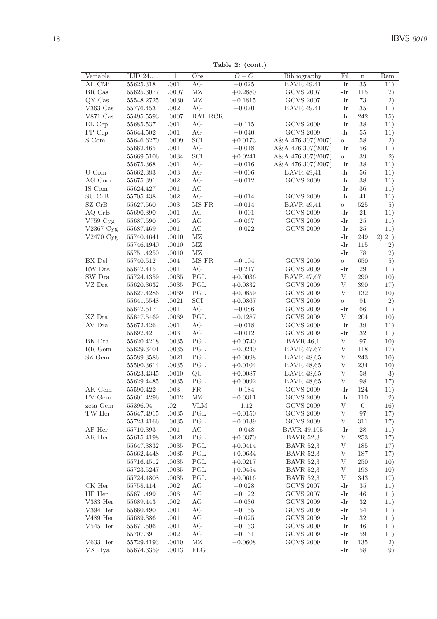Table 2: (cont.)

| Variable<br>AL CMi | HJD 24<br>55625.318 | $_{\pm}$      | Obs<br>AG      | $\overline{O}-C$<br>$-0.025$ | Bibliography<br><b>BAVR 49,41</b>     | Fil<br>-Ir   | $\bf n$          | Rem    |
|--------------------|---------------------|---------------|----------------|------------------------------|---------------------------------------|--------------|------------------|--------|
|                    |                     | .001          |                |                              | <b>GCVS 2007</b>                      |              | 35               | 11)    |
| BR Cas             | 55625.3077          | .0007         | ΜZ             | $+0.2880$                    |                                       | -Ir          | 115              | 2)     |
| QY Cas<br>V363 Cas | 55548.2725          | .0030<br>.002 | $\rm MZ$<br>AG | $-0.1815$<br>$+0.070$        | <b>GCVS 2007</b><br><b>BAVR 49,41</b> | -Ir<br>-Ir   | 73<br>35         | 2)     |
|                    | 55776.453           |               |                |                              |                                       |              |                  | 11)    |
| $V871$ Cas         | 55495.5593          | .0007         | RAT RCR        |                              |                                       | -Ir          | 242              | 15)    |
| EL Cep             | 55685.537           | .001          | AG             | $+0.115$                     | <b>GCVS 2009</b>                      | -Ir          | 38               | 11)    |
| FP Cep             | 55644.502           | .001          | AG             | $-0.040$                     | <b>GCVS 2009</b>                      | -Ir          | 55               | 11)    |
| S Com              | 55646.6270          | .0009         | SCI            | $+0.0173$                    | A&A 476.307(2007)                     | $\circ$      | 58               | 2)     |
|                    | 55662.465           | .001          | AG             | $+0.018$                     | A&A 476.307(2007)                     | -Ir          | 56               | 11)    |
|                    | 55669.5106          | .0034         | SCI            | $+0.0241$                    | A&A 476.307(2007)                     | $\rm{O}$     | 39               | 2)     |
|                    | 55675.368           | .001          | AG             | $+0.016$                     | A&A 476.307(2007)                     | -Ir          | 38               | 11)    |
| U Com              | 55662.383           | .003          | AG             | $+0.006$                     | <b>BAVR 49,41</b>                     | -Ir          | 56               | 11)    |
| AG Com             | 55675.391           | .002          | AG             | $-0.012$                     | <b>GCVS 2009</b>                      | -Ir          | 38               | 11)    |
| IS Com             | 55624.427           | .001          | AG             |                              |                                       | -Ir          | 36               | 11)    |
| SU CrB             | 55705.438           | .002          | AG             | $+0.014$                     | <b>GCVS 2009</b>                      | -Ir          | 41               | 11)    |
| SZ CrB             | 55627.560           | .003          | MS FR          | $+0.014$                     | <b>BAVR</b> 49,41                     | $\circ$      | 525              | 5)     |
| AQ CrB             | 55690.390           | .001          | AG             | $+0.001$                     | <b>GCVS 2009</b>                      | -Ir          | 21               | 11)    |
| V759 Cyg           | 55687.590           | .005          | AG             | $+0.067$                     | <b>GCVS 2009</b>                      | -Ir          | 25               | 11)    |
| V2367 Cyg          | 55687.469           | .001          | AG             | $-0.022$                     | <b>GCVS 2009</b>                      | -Ir          | 25               | 11)    |
| V2470 Cyg          | 55740.4641          | .0010         | ΜZ             |                              |                                       | -Ir          | 249              | 2) 21) |
|                    | 55746.4940          | .0010         | MZ             |                              |                                       | -Ir          | 115              | 2)     |
|                    | 55751.4250          | .0010         | MZ             |                              |                                       | $-Ir$        | 78               | 2)     |
| BX Del             | 55740.512           | .004          | MS FR          | $+0.104$                     | <b>GCVS 2009</b>                      | $\circ$      | 650              | 5)     |
| RW Dra             | 55642.415           | .001          | AG             | $-0.217$                     | <b>GCVS 2009</b>                      | -Ir          | 29               | 11)    |
| SW Dra             | 55724.4359          | .0035         | PGL            | $+0.0036$                    | <b>BAVR 47,67</b>                     | V            | 290              | 10)    |
| VZ Dra             | 55620.3632          | .0035         | PGL            | $+0.0832$                    | <b>GCVS 2009</b>                      | V            | 390              | 17)    |
|                    | 55627.4286          | .0069         | PGL            | $+0.0859$                    | <b>GCVS 2009</b>                      | V            | 132              | 10)    |
|                    |                     |               |                |                              |                                       |              | 91               |        |
|                    | 55641.5548          | .0021         | SCI            | $+0.0867$                    | <b>GCVS 2009</b>                      | $\circ$      |                  | 2)     |
|                    | 55642.517           | .001          | AG             | $+0.086$                     | <b>GCVS 2009</b>                      | -Ir          | 66               | 11)    |
| XZ Dra             | 55647.5469          | .0069         | PGL            | $-0.1287$                    | <b>GCVS 2009</b>                      | V            | 204              | 10)    |
| AV Dra             | 55672.426           | .001          | AG             | $+0.018$                     | <b>GCVS 2009</b>                      | -Ir          | 39               | 11)    |
|                    | 55692.421           | .003          | AG             | $+0.012$                     | <b>GCVS 2009</b>                      | -Ir          | 32               | 11)    |
| BK Dra             | 55620.4218          | .0035         | PGL            | $+0.0740$                    | <b>BAVR 46,1</b>                      | $\mathbf V$  | 97               | 10)    |
| RR Gem             | 55629.3401          | .0035         | PGL            | $-0.0240$                    | <b>BAVR 47,67</b>                     | $\mathbf{V}$ | 118              | 17)    |
| SZ Gem             | 55589.3586          | .0021         | $_{\rm PGL}$   | $+0.0098$                    | <b>BAVR 48,65</b>                     | $\rm V$      | 243              | 10)    |
|                    | 55590.3614          | .0035         | PGL            | $+0.0104$                    | <b>BAVR 48,65</b>                     | V            | 234              | 10)    |
|                    | 55623.4345          | .0010         | QU             | $+0.0087$                    | <b>BAVR 48,65</b>                     | V            | 58               | 3)     |
|                    | 55629.4485          | .0035         | PGL            | $+0.0092$                    | <b>BAVR 48,65</b>                     | V            | 98               | 17)    |
| AK Gem             | 55590.422           | .003          | FR             | $-0.184$                     | <b>GCVS 2009</b>                      | -Ir          | 124              | 11)    |
| FV Gem             | 55601.4296          | .0012         | ΜZ             | $-0.0311$                    | <b>GCVS 2009</b>                      | -Ir          | 110              | 2)     |
| zeta Gem           | 55396.94            | .02           | VLM            | $-1.12$                      | <b>GCVS 2009</b>                      | V            | $\boldsymbol{0}$ | 16)    |
| TW Her             | 55647.4915          | .0035         | PGL            | $-0.0150$                    | <b>GCVS 2009</b>                      | $\mathbf{V}$ | 97               | 17)    |
|                    | 55723.4166          | .0035         | PGL            | $-0.0139$                    | <b>GCVS 2009</b>                      | V            | 311              | 17)    |
| AF Her             | 55710.393           | .001          | AG             | $-0.048$                     | <b>BAVR 49,105</b>                    | -Ir          | 28               | 11)    |
| AR Her             | 55615.4198          | .0021         | PGL            | $+0.0370$                    | <b>BAVR 52.3</b>                      | V            | 253              | 17)    |
|                    | 55647.3832          | .0035         | PGL            | $+0.0414$                    | <b>BAVR 52,3</b>                      | V            | 185              | 17)    |
|                    | 55662.4448          | .0035         | PGL            | $+0.0634$                    | <b>BAVR 52,3</b>                      | V            | 187              | 17)    |
|                    |                     |               | PGL            |                              | <b>BAVR 52,3</b>                      | V            | 250              |        |
|                    | 55716.4512          | .0035         | PGL            | $+0.0217$                    |                                       | V            |                  | 10)    |
|                    | 55723.5247          | .0035         |                | $+0.0454$                    | <b>BAVR 52,3</b>                      |              | 198              | 10)    |
|                    | 55724.4808          | .0035         | PGL            | $+0.0616$                    | <b>BAVR 52,3</b>                      | V            | 343              | 17)    |
| CK Her             | 55758.414           | .002          | AG             | $-0.028$                     | <b>GCVS 2007</b>                      | -Ir          | 35               | 11)    |
| HP Her             | 55671.499           | .006          | AG             | $-0.122$                     | <b>GCVS 2007</b>                      | -Ir          | 46               | 11)    |
| V383 Her           | 55689.443           | .002          | AG             | $+0.036$                     | <b>GCVS 2009</b>                      | -Ir          | 32               | 11)    |
| V394 Her           | 55660.490           | .001          | AG             | $-0.155$                     | <b>GCVS 2009</b>                      | -Ir          | 54               | 11)    |
| $\rm V489$ Her     | 55689.386           | .001          | AG             | $+0.025$                     | <b>GCVS 2009</b>                      | -Ir          | 32               | 11)    |
| $V545$ Her         | 55671.506           | .001          | AG             | $+0.133$                     | <b>GCVS 2009</b>                      | -Ir          | 46               | 11)    |
|                    | 55707.391           | .002          | AG             | $+0.131$                     | <b>GCVS 2009</b>                      | -Ir          | 59               | 11)    |
| $\rm V633\,\,Her$  | 55729.4193          | .0010         | ΜZ             | $-0.0608$                    | <b>GCVS 2009</b>                      | -Ir          | 135              | 2)     |
|                    |                     | .0013         | FLG            |                              |                                       | -Ir          | 58               | 9)     |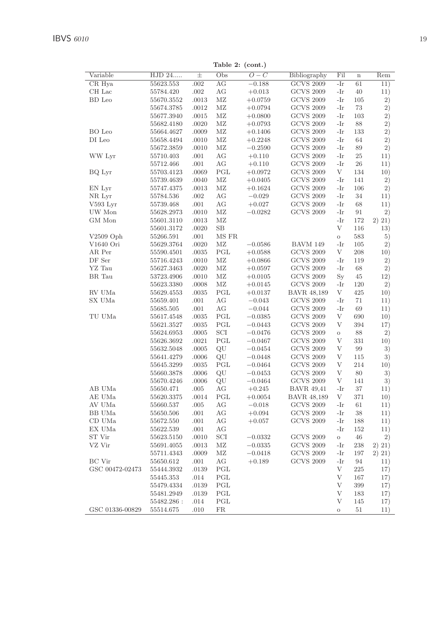Variable  $HJD 24$  $\overline{Obs}$  $\overline{O-C}$ Bibliography  $\overline{\text{Fil}}$  $\overline{\text{Rem}}$ ∓  $\overline{ }$  $\overline{\mathrm{GCVS}}$  2009 CR Hva 55623.553  $.002$  $AG$  $-0.188$  $\overline{\mathbf{I}^{\mathbf{r}}}$  $61$  $\overline{11}$ CH Lac 55784.420  $002$  $AG$  $+0.013$ **GCVS 2009**  $-Ir$  $40$  $11)$ **BD** Leo 55670.3552 .0013  $MZ$  $+0.0759$ **GCVS 2009**  $-Ir$ 105  $2)$ 55674.3785 .0012  $MZ$  $+0.0794$ **GCVS 2009**  $-Ir$ 73  $2)$ 55677.3940 .0015  $MZ$  $+0.0800$ **GCVS 2009**  $-I_{\rm P}$ 103  $\overline{2}$ ) .0020  $+0.0793$  $\overline{2}$ ) 55682.4180  $MZ$ **GCVS 2009**  $-Ir$ 88 BO Leo 55664.4627 .0009  $MZ$  $+0.1406$ **GCVS 2009** 133  $2)$  $-Ir$  $\overline{2)}$  $DI$  Leo 55658.4494  $.0010$  $MZ$  $+0.2248$ **GCVS 2009**  $-Ir$ 64 55672.3859 .0010  $MZ$  $-0.2590$ **GCVS 2009**  $-Ir$ 89  $2)$ 55710.403 WW Lyr  $+0.110$ **GCVS 2009** 25  $.001$  $AG$  $-Ir$  $11)$ 55712.466  $.001$  $+0.110$ **GCVS 2009**  $26$  $AG$  $-Ir$  $11)$ BQ Lyr 55703.4123 .0069 PGL  $+0.0972$ **GCVS 2009**  $\mathbf{V}$ 134  $10)$ **GCVS 2009** 55739 4639  $0040$  $MZ$  $+0.0405$ 141  $2)$  $-Ir$ EN Lvr 55747.4375 .0013  $MZ$  $+0.1624$ **GCVS 2009**  $-Ir$  $106$  $2)$ NR Lvr 55784.536  $002$  $-0.029$ **GCVS 2009** 34  $11)$  $AG$  $-Ir$  $V593$  Lvr 55739.468 .001  $AG$  $+0.027$ **GCVS 2009**  $-Ir$ 68  $11)$ UW Mon 55628.2973 .0010  $MZ$  $-0.0282$ **GCVS 2009**  $-Ir$  $Q<sub>1</sub>$  $2)$ GM Mon 55601.3110  $.0013$ MZ  $-Ir$ 172  $2) 21)$ 55601.3172  $.0020\,$  $SB$ V 116 13)  $V2509$  Oph .001 MS FR 583 55266.591  $\alpha$  $5)$ V<sub>1640</sub> Ori 55629.3764  $.0020$  $MZ$  $-0.0586$ **BAVM 149**  $-Ir$ 105  $2)$  $PGL$ **GCVS 2009**  $\overline{V}$ 208 AR Per 55590.4501 .0035  $+0.0588$  $10)$ DF Ser 55716.4243 .0010  $MZ$  $+0.0866$ **GCVS 2009**  $-Ir$ 119  $\overline{2}$ ) YZ Tau 55627.3463 .0020  $MZ$  $+0.0597$ **GCVS 2009**  $-Ir$ 68  $\overline{2})$ BR Tau 53723.4906 .0010  $MZ$  $+0.0105$ **GCVS 2009**  $Sv$ 45  $12)$ 55623.3380 .0008  $MZ$  $+0.0145$ **GCVS 2009**  $-Ir$ 120  $2)$ RV UMa 55629.4553 .0035  $_{\rm PGL}$  $+0.0137$ **BAVR 48,189**  $\overline{V}$ 495  $10)$ SX UMa 55659.401  $-0.043$ **GCVS 2009** 71 .001  $AG$  $-Ir$  $11)$  $\rm{AG}$ 55685.505  $.001\,$  $-0.044$ **GCVS 2009**  $-Ir$ 69  $11)$ TU UMa 55617.4548 0035 PGL  $-0.0385$ **GCVS 2009**  $\overline{V}$  $690$  $10)$ 55621.3527 .0035 PGL  $-0.0443$ **GCVS 2009**  $\overline{\mathrm{V}}$ 394  $17)$ 55624.6953 .0005 SCI  $-0.0476$ **GCVS 2009**  $\circ$ 88  $2)$ 55626.3692  $.0021$ PGL  $-0.0467$ **GCVS 2009**  $\overline{V}$ 331  $10)$ 55632.5048 .0005 QU  $-0.0454$ **GCVS 2009**  $\overline{V}$  $QQ$  $3)$ 55641.4279 .0006 OU  $-0.0448$ **GCVS 2009**  $\overline{V}$ 115  $3)$ 55645.3299 .0035 PGL  $-0.0464$ **GCVS 2009** V 214  $10)$ **GCVS 2009** 55660.3878 .0006 QU  $-0.0453$  $\mathbf{V}$ 80 3)  $-0.0464$ **GCVS 2009**  $\overline{V}$  $141$ 55670.4246 .0006 QU 3)  $+0.245$ **BAVR 49.41** AB IIMa 55650.471 .005  $AG$  $-Ir$ 37  $11)$ AE UMa PGL  $+0.0054$ **BAVR 48.189**  $\overline{\mathbf{V}}$ 371  $10)$ 55620.3375 .0014 AV UMa 55660.537  $.005$  $AG$  $-0.018$ **GCVS 2009**  $-Ir$ 61  $11)$ **BB** UMa 55650.506 .001  $AG$  $+0.094$ **GCVS 2009**  $-Ir$ 38  $11)$ CD UMa **GCVS 2009** 55672.550 .001  $AG$  $+0.057$  $-Ir$ 188  $11)$ EX UMa 55622.539  $.001$  $AG$  $-Ir$ 152  $11)$ ST Vir 55623.5150  $.0010\,$ SCI  $-0.0332$ **GCVS 2009** 46  $2)$  $\circ$ VZ Vir 55691.4055 .0013  $MZ$  $-0.0335$ **GCVS 2009**  $-Ir$ 238  $2) 21)$  $\rm GCVS$  2009  $-0.0418$ 197  $2) 21)$ 55711.4343 .0009 MZ  $-Ir$ BC Vir  $55650.612\,$  $.001\,$  $\rm{AG}$  $+0.189$ **GCVS 2009**  $-Ir$ 94  $11)$ GSC 00472-02473 55444 3932 0139 PGL  $\overline{V}$ 225 17) 55445.353 014 PGL  $\overline{\mathrm{V}}$ 167  $17)$  $\overline{\mathrm{V}}$ 55479.4334 .0139 PGL 399  $17)$ 55481.2949 .0139 PGL V 183  $17)$ 55482.286: 014 PGL V 145  $17)$ GSC 01336-00829 55514.675 .010  ${\rm FR}$ 51  $11)$  $\Omega$ 

Table 2: (cont.)